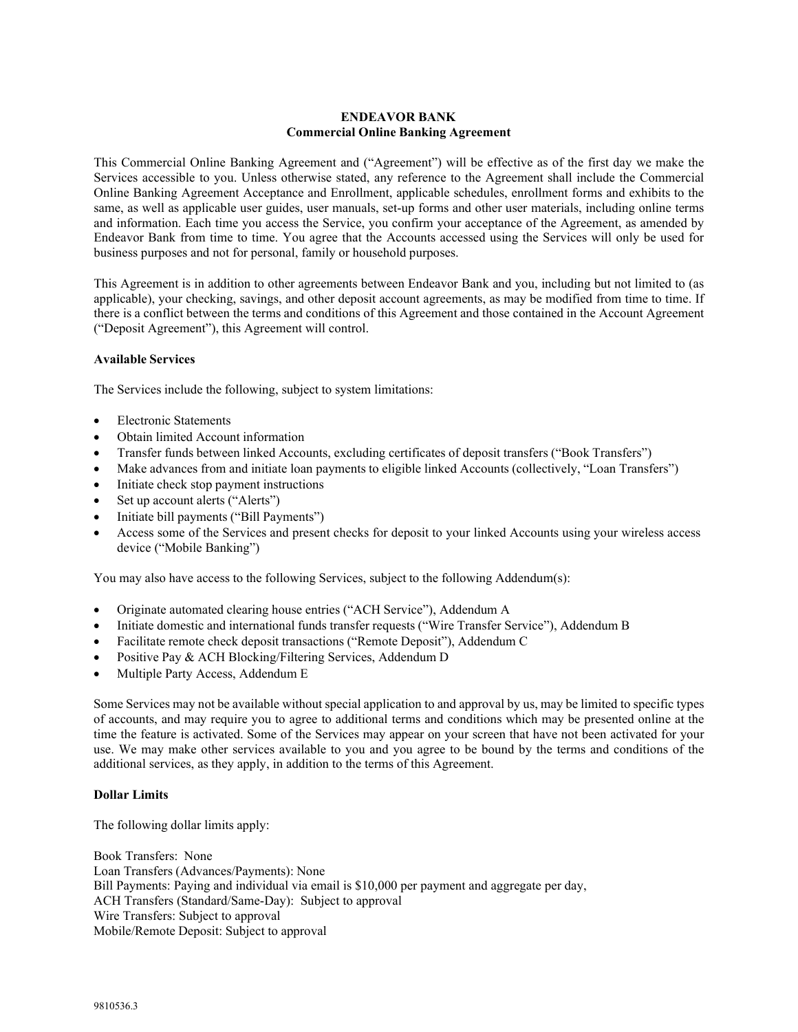## **ENDEAVOR BANK Commercial Online Banking Agreement**

This Commercial Online Banking Agreement and ("Agreement") will be effective as of the first day we make the Services accessible to you. Unless otherwise stated, any reference to the Agreement shall include the Commercial Online Banking Agreement Acceptance and Enrollment, applicable schedules, enrollment forms and exhibits to the same, as well as applicable user guides, user manuals, set-up forms and other user materials, including online terms and information. Each time you access the Service, you confirm your acceptance of the Agreement, as amended by Endeavor Bank from time to time. You agree that the Accounts accessed using the Services will only be used for business purposes and not for personal, family or household purposes.

This Agreement is in addition to other agreements between Endeavor Bank and you, including but not limited to (as applicable), your checking, savings, and other deposit account agreements, as may be modified from time to time. If there is a conflict between the terms and conditions of this Agreement and those contained in the Account Agreement ("Deposit Agreement"), this Agreement will control.

## **Available Services**

The Services include the following, subject to system limitations:

- Electronic Statements
- Obtain limited Account information
- Transfer funds between linked Accounts, excluding certificates of deposit transfers ("Book Transfers")
- Make advances from and initiate loan payments to eligible linked Accounts (collectively, "Loan Transfers")
- Initiate check stop payment instructions
- Set up account alerts ("Alerts")
- Initiate bill payments ("Bill Payments")
- Access some of the Services and present checks for deposit to your linked Accounts using your wireless access device ("Mobile Banking")

You may also have access to the following Services, subject to the following Addendum(s):

- Originate automated clearing house entries ("ACH Service"), Addendum A
- Initiate domestic and international funds transfer requests ("Wire Transfer Service"), Addendum B
- Facilitate remote check deposit transactions ("Remote Deposit"), Addendum C
- Positive Pay & ACH Blocking/Filtering Services, Addendum D
- Multiple Party Access, Addendum E

Some Services may not be available without special application to and approval by us, may be limited to specific types of accounts, and may require you to agree to additional terms and conditions which may be presented online at the time the feature is activated. Some of the Services may appear on your screen that have not been activated for your use. We may make other services available to you and you agree to be bound by the terms and conditions of the additional services, as they apply, in addition to the terms of this Agreement.

#### **Dollar Limits**

The following dollar limits apply:

Book Transfers: None Loan Transfers (Advances/Payments): None Bill Payments: Paying and individual via email is \$10,000 per payment and aggregate per day, ACH Transfers (Standard/Same-Day): Subject to approval Wire Transfers: Subject to approval Mobile/Remote Deposit: Subject to approval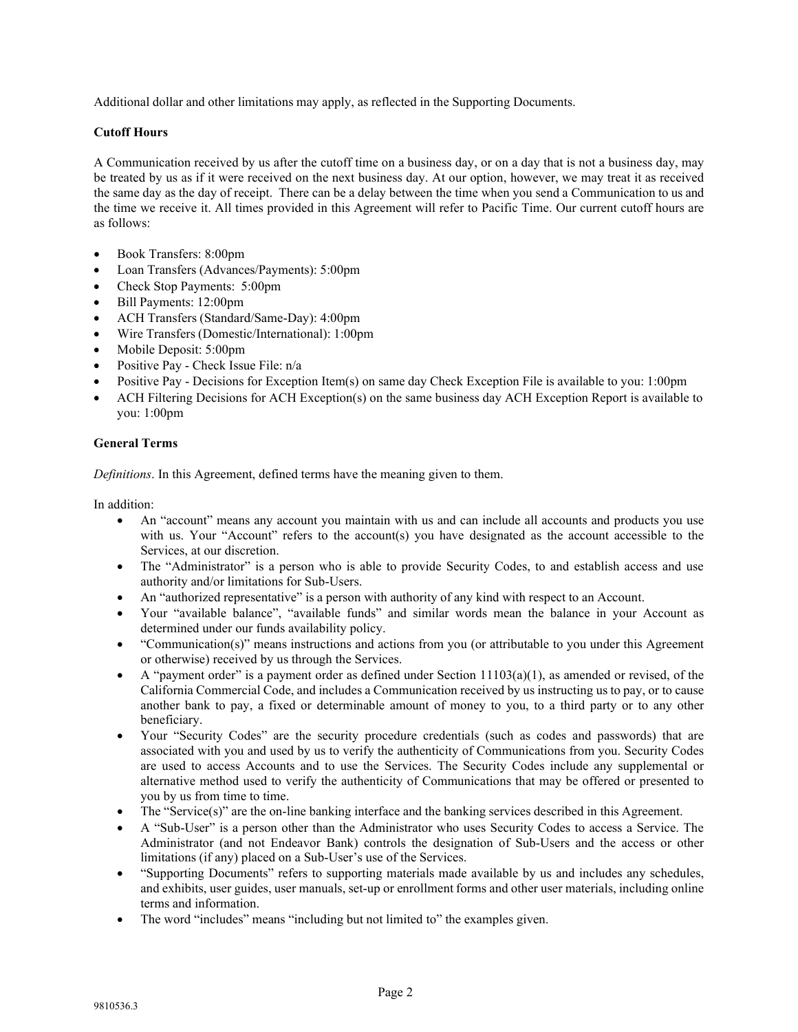Additional dollar and other limitations may apply, as reflected in the Supporting Documents.

# **Cutoff Hours**

A Communication received by us after the cutoff time on a business day, or on a day that is not a business day, may be treated by us as if it were received on the next business day. At our option, however, we may treat it as received the same day as the day of receipt. There can be a delay between the time when you send a Communication to us and the time we receive it. All times provided in this Agreement will refer to Pacific Time. Our current cutoff hours are as follows:

- Book Transfers: 8:00pm
- Loan Transfers (Advances/Payments): 5:00pm
- Check Stop Payments: 5:00pm
- Bill Payments: 12:00pm
- ACH Transfers (Standard/Same-Day): 4:00pm
- Wire Transfers (Domestic/International): 1:00pm
- Mobile Deposit: 5:00pm
- Positive Pay Check Issue File: n/a
- Positive Pay Decisions for Exception Item(s) on same day Check Exception File is available to you: 1:00pm
- ACH Filtering Decisions for ACH Exception(s) on the same business day ACH Exception Report is available to you: 1:00pm

# **General Terms**

*Definitions*. In this Agreement, defined terms have the meaning given to them.

In addition:

- An "account" means any account you maintain with us and can include all accounts and products you use with us. Your "Account" refers to the account(s) you have designated as the account accessible to the Services, at our discretion.
- The "Administrator" is a person who is able to provide Security Codes, to and establish access and use authority and/or limitations for Sub-Users.
- An "authorized representative" is a person with authority of any kind with respect to an Account.
- Your "available balance", "available funds" and similar words mean the balance in your Account as determined under our funds availability policy.
- "Communication(s)" means instructions and actions from you (or attributable to you under this Agreement or otherwise) received by us through the Services.
- A "payment order" is a payment order as defined under Section  $11103(a)(1)$ , as amended or revised, of the California Commercial Code, and includes a Communication received by us instructing us to pay, or to cause another bank to pay, a fixed or determinable amount of money to you, to a third party or to any other beneficiary.
- Your "Security Codes" are the security procedure credentials (such as codes and passwords) that are associated with you and used by us to verify the authenticity of Communications from you. Security Codes are used to access Accounts and to use the Services. The Security Codes include any supplemental or alternative method used to verify the authenticity of Communications that may be offered or presented to you by us from time to time.
- The "Service(s)" are the on-line banking interface and the banking services described in this Agreement.
- A "Sub-User" is a person other than the Administrator who uses Security Codes to access a Service. The Administrator (and not Endeavor Bank) controls the designation of Sub-Users and the access or other limitations (if any) placed on a Sub-User's use of the Services.
- "Supporting Documents" refers to supporting materials made available by us and includes any schedules, and exhibits, user guides, user manuals, set-up or enrollment forms and other user materials, including online terms and information.
- The word "includes" means "including but not limited to" the examples given.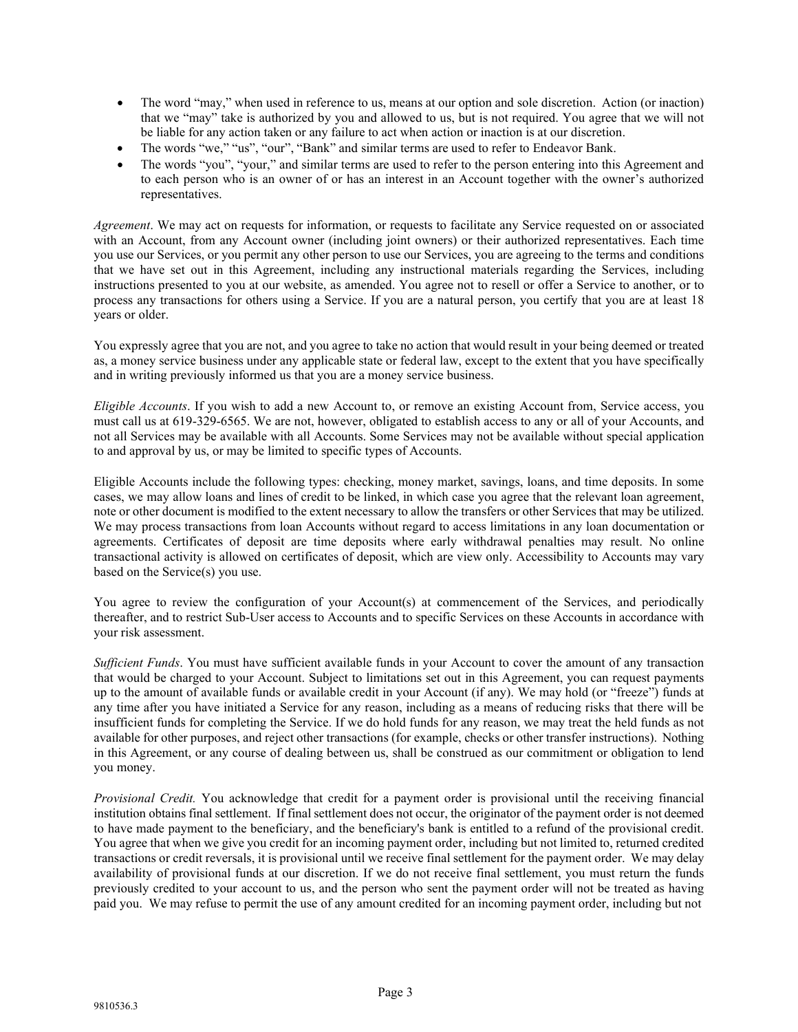- The word "may," when used in reference to us, means at our option and sole discretion. Action (or inaction) that we "may" take is authorized by you and allowed to us, but is not required. You agree that we will not be liable for any action taken or any failure to act when action or inaction is at our discretion.
- The words "we," "us", "our", "Bank" and similar terms are used to refer to Endeavor Bank.
- The words "you", "your," and similar terms are used to refer to the person entering into this Agreement and to each person who is an owner of or has an interest in an Account together with the owner's authorized representatives.

*Agreement*. We may act on requests for information, or requests to facilitate any Service requested on or associated with an Account, from any Account owner (including joint owners) or their authorized representatives. Each time you use our Services, or you permit any other person to use our Services, you are agreeing to the terms and conditions that we have set out in this Agreement, including any instructional materials regarding the Services, including instructions presented to you at our website, as amended. You agree not to resell or offer a Service to another, or to process any transactions for others using a Service. If you are a natural person, you certify that you are at least 18 years or older.

You expressly agree that you are not, and you agree to take no action that would result in your being deemed or treated as, a money service business under any applicable state or federal law, except to the extent that you have specifically and in writing previously informed us that you are a money service business.

*Eligible Accounts*. If you wish to add a new Account to, or remove an existing Account from, Service access, you must call us at 619-329-6565. We are not, however, obligated to establish access to any or all of your Accounts, and not all Services may be available with all Accounts. Some Services may not be available without special application to and approval by us, or may be limited to specific types of Accounts.

Eligible Accounts include the following types: checking, money market, savings, loans, and time deposits. In some cases, we may allow loans and lines of credit to be linked, in which case you agree that the relevant loan agreement, note or other document is modified to the extent necessary to allow the transfers or other Services that may be utilized. We may process transactions from loan Accounts without regard to access limitations in any loan documentation or agreements. Certificates of deposit are time deposits where early withdrawal penalties may result. No online transactional activity is allowed on certificates of deposit, which are view only. Accessibility to Accounts may vary based on the Service(s) you use.

You agree to review the configuration of your Account(s) at commencement of the Services, and periodically thereafter, and to restrict Sub-User access to Accounts and to specific Services on these Accounts in accordance with your risk assessment.

*Sufficient Funds*. You must have sufficient available funds in your Account to cover the amount of any transaction that would be charged to your Account. Subject to limitations set out in this Agreement, you can request payments up to the amount of available funds or available credit in your Account (if any). We may hold (or "freeze") funds at any time after you have initiated a Service for any reason, including as a means of reducing risks that there will be insufficient funds for completing the Service. If we do hold funds for any reason, we may treat the held funds as not available for other purposes, and reject other transactions (for example, checks or other transfer instructions). Nothing in this Agreement, or any course of dealing between us, shall be construed as our commitment or obligation to lend you money.

*Provisional Credit.* You acknowledge that credit for a payment order is provisional until the receiving financial institution obtains final settlement. If final settlement does not occur, the originator of the payment order is not deemed to have made payment to the beneficiary, and the beneficiary's bank is entitled to a refund of the provisional credit. You agree that when we give you credit for an incoming payment order, including but not limited to, returned credited transactions or credit reversals, it is provisional until we receive final settlement for the payment order. We may delay availability of provisional funds at our discretion. If we do not receive final settlement, you must return the funds previously credited to your account to us, and the person who sent the payment order will not be treated as having paid you. We may refuse to permit the use of any amount credited for an incoming payment order, including but not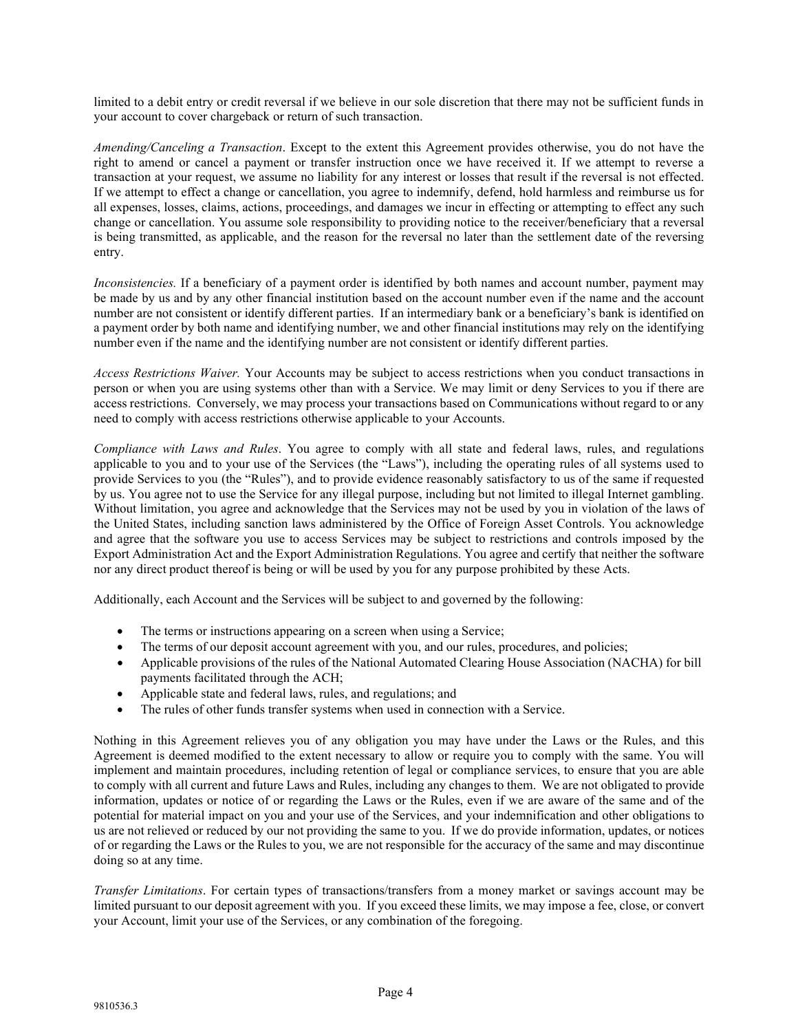limited to a debit entry or credit reversal if we believe in our sole discretion that there may not be sufficient funds in your account to cover chargeback or return of such transaction.

*Amending/Canceling a Transaction*. Except to the extent this Agreement provides otherwise, you do not have the right to amend or cancel a payment or transfer instruction once we have received it. If we attempt to reverse a transaction at your request, we assume no liability for any interest or losses that result if the reversal is not effected. If we attempt to effect a change or cancellation, you agree to indemnify, defend, hold harmless and reimburse us for all expenses, losses, claims, actions, proceedings, and damages we incur in effecting or attempting to effect any such change or cancellation. You assume sole responsibility to providing notice to the receiver/beneficiary that a reversal is being transmitted, as applicable, and the reason for the reversal no later than the settlement date of the reversing entry.

*Inconsistencies.* If a beneficiary of a payment order is identified by both names and account number, payment may be made by us and by any other financial institution based on the account number even if the name and the account number are not consistent or identify different parties. If an intermediary bank or a beneficiary's bank is identified on a payment order by both name and identifying number, we and other financial institutions may rely on the identifying number even if the name and the identifying number are not consistent or identify different parties.

*Access Restrictions Waiver.* Your Accounts may be subject to access restrictions when you conduct transactions in person or when you are using systems other than with a Service. We may limit or deny Services to you if there are access restrictions. Conversely, we may process your transactions based on Communications without regard to or any need to comply with access restrictions otherwise applicable to your Accounts.

*Compliance with Laws and Rules*. You agree to comply with all state and federal laws, rules, and regulations applicable to you and to your use of the Services (the "Laws"), including the operating rules of all systems used to provide Services to you (the "Rules"), and to provide evidence reasonably satisfactory to us of the same if requested by us. You agree not to use the Service for any illegal purpose, including but not limited to illegal Internet gambling. Without limitation, you agree and acknowledge that the Services may not be used by you in violation of the laws of the United States, including sanction laws administered by the Office of Foreign Asset Controls. You acknowledge and agree that the software you use to access Services may be subject to restrictions and controls imposed by the Export Administration Act and the Export Administration Regulations. You agree and certify that neither the software nor any direct product thereof is being or will be used by you for any purpose prohibited by these Acts.

Additionally, each Account and the Services will be subject to and governed by the following:

- The terms or instructions appearing on a screen when using a Service;
- The terms of our deposit account agreement with you, and our rules, procedures, and policies;
- Applicable provisions of the rules of the National Automated Clearing House Association (NACHA) for bill payments facilitated through the ACH;
- Applicable state and federal laws, rules, and regulations; and
- The rules of other funds transfer systems when used in connection with a Service.

Nothing in this Agreement relieves you of any obligation you may have under the Laws or the Rules, and this Agreement is deemed modified to the extent necessary to allow or require you to comply with the same. You will implement and maintain procedures, including retention of legal or compliance services, to ensure that you are able to comply with all current and future Laws and Rules, including any changes to them. We are not obligated to provide information, updates or notice of or regarding the Laws or the Rules, even if we are aware of the same and of the potential for material impact on you and your use of the Services, and your indemnification and other obligations to us are not relieved or reduced by our not providing the same to you. If we do provide information, updates, or notices of or regarding the Laws or the Rules to you, we are not responsible for the accuracy of the same and may discontinue doing so at any time.

*Transfer Limitations*. For certain types of transactions/transfers from a money market or savings account may be limited pursuant to our deposit agreement with you. If you exceed these limits, we may impose a fee, close, or convert your Account, limit your use of the Services, or any combination of the foregoing.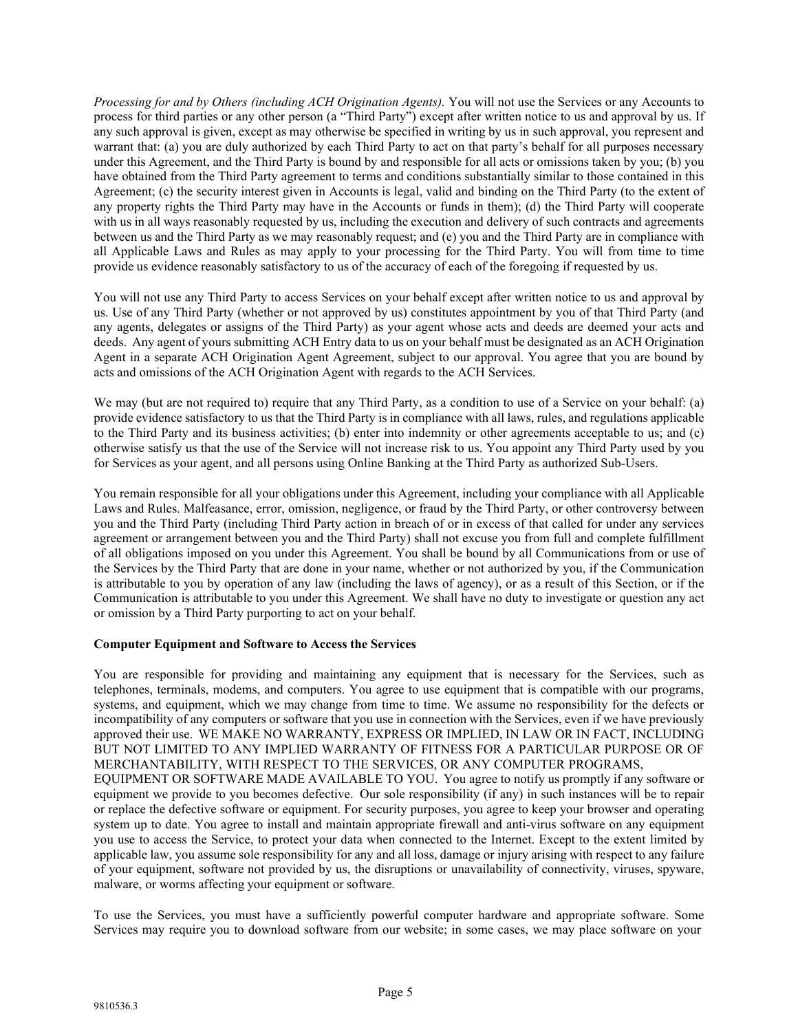*Processing for and by Others (including ACH Origination Agents).* You will not use the Services or any Accounts to process for third parties or any other person (a "Third Party") except after written notice to us and approval by us. If any such approval is given, except as may otherwise be specified in writing by us in such approval, you represent and warrant that: (a) you are duly authorized by each Third Party to act on that party's behalf for all purposes necessary under this Agreement, and the Third Party is bound by and responsible for all acts or omissions taken by you; (b) you have obtained from the Third Party agreement to terms and conditions substantially similar to those contained in this Agreement; (c) the security interest given in Accounts is legal, valid and binding on the Third Party (to the extent of any property rights the Third Party may have in the Accounts or funds in them); (d) the Third Party will cooperate with us in all ways reasonably requested by us, including the execution and delivery of such contracts and agreements between us and the Third Party as we may reasonably request; and (e) you and the Third Party are in compliance with all Applicable Laws and Rules as may apply to your processing for the Third Party. You will from time to time provide us evidence reasonably satisfactory to us of the accuracy of each of the foregoing if requested by us.

You will not use any Third Party to access Services on your behalf except after written notice to us and approval by us. Use of any Third Party (whether or not approved by us) constitutes appointment by you of that Third Party (and any agents, delegates or assigns of the Third Party) as your agent whose acts and deeds are deemed your acts and deeds. Any agent of yours submitting ACH Entry data to us on your behalf must be designated as an ACH Origination Agent in a separate ACH Origination Agent Agreement, subject to our approval. You agree that you are bound by acts and omissions of the ACH Origination Agent with regards to the ACH Services.

We may (but are not required to) require that any Third Party, as a condition to use of a Service on your behalf: (a) provide evidence satisfactory to us that the Third Party is in compliance with all laws, rules, and regulations applicable to the Third Party and its business activities; (b) enter into indemnity or other agreements acceptable to us; and (c) otherwise satisfy us that the use of the Service will not increase risk to us. You appoint any Third Party used by you for Services as your agent, and all persons using Online Banking at the Third Party as authorized Sub-Users.

You remain responsible for all your obligations under this Agreement, including your compliance with all Applicable Laws and Rules. Malfeasance, error, omission, negligence, or fraud by the Third Party, or other controversy between you and the Third Party (including Third Party action in breach of or in excess of that called for under any services agreement or arrangement between you and the Third Party) shall not excuse you from full and complete fulfillment of all obligations imposed on you under this Agreement. You shall be bound by all Communications from or use of the Services by the Third Party that are done in your name, whether or not authorized by you, if the Communication is attributable to you by operation of any law (including the laws of agency), or as a result of this Section, or if the Communication is attributable to you under this Agreement. We shall have no duty to investigate or question any act or omission by a Third Party purporting to act on your behalf.

# **Computer Equipment and Software to Access the Services**

You are responsible for providing and maintaining any equipment that is necessary for the Services, such as telephones, terminals, modems, and computers. You agree to use equipment that is compatible with our programs, systems, and equipment, which we may change from time to time. We assume no responsibility for the defects or incompatibility of any computers or software that you use in connection with the Services, even if we have previously approved their use. WE MAKE NO WARRANTY, EXPRESS OR IMPLIED, IN LAW OR IN FACT, INCLUDING BUT NOT LIMITED TO ANY IMPLIED WARRANTY OF FITNESS FOR A PARTICULAR PURPOSE OR OF MERCHANTABILITY, WITH RESPECT TO THE SERVICES, OR ANY COMPUTER PROGRAMS, EQUIPMENT OR SOFTWARE MADE AVAILABLE TO YOU. You agree to notify us promptly if any software or equipment we provide to you becomes defective. Our sole responsibility (if any) in such instances will be to repair or replace the defective software or equipment. For security purposes, you agree to keep your browser and operating system up to date. You agree to install and maintain appropriate firewall and anti-virus software on any equipment you use to access the Service, to protect your data when connected to the Internet. Except to the extent limited by applicable law, you assume sole responsibility for any and all loss, damage or injury arising with respect to any failure of your equipment, software not provided by us, the disruptions or unavailability of connectivity, viruses, spyware, malware, or worms affecting your equipment or software.

To use the Services, you must have a sufficiently powerful computer hardware and appropriate software. Some Services may require you to download software from our website; in some cases, we may place software on your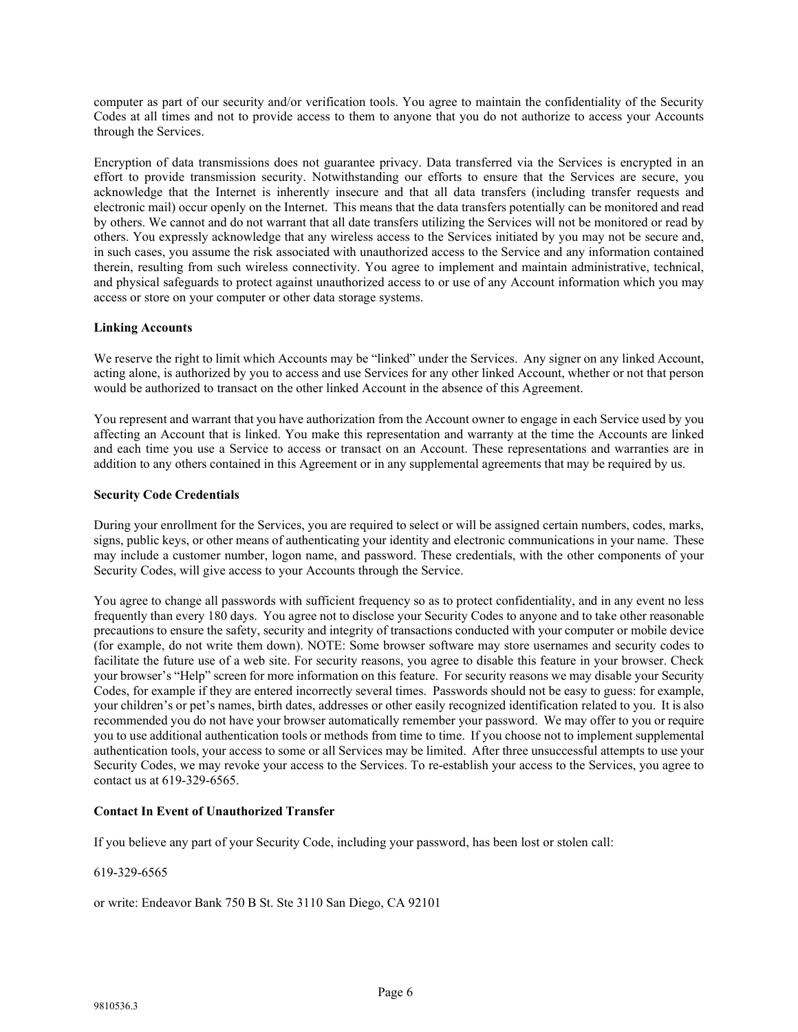computer as part of our security and/or verification tools. You agree to maintain the confidentiality of the Security Codes at all times and not to provide access to them to anyone that you do not authorize to access your Accounts through the Services.

Encryption of data transmissions does not guarantee privacy. Data transferred via the Services is encrypted in an effort to provide transmission security. Notwithstanding our efforts to ensure that the Services are secure, you acknowledge that the Internet is inherently insecure and that all data transfers (including transfer requests and electronic mail) occur openly on the Internet. This means that the data transfers potentially can be monitored and read by others. We cannot and do not warrant that all date transfers utilizing the Services will not be monitored or read by others. You expressly acknowledge that any wireless access to the Services initiated by you may not be secure and, in such cases, you assume the risk associated with unauthorized access to the Service and any information contained therein, resulting from such wireless connectivity. You agree to implement and maintain administrative, technical, and physical safeguards to protect against unauthorized access to or use of any Account information which you may access or store on your computer or other data storage systems.

## **Linking Accounts**

We reserve the right to limit which Accounts may be "linked" under the Services. Any signer on any linked Account, acting alone, is authorized by you to access and use Services for any other linked Account, whether or not that person would be authorized to transact on the other linked Account in the absence of this Agreement.

You represent and warrant that you have authorization from the Account owner to engage in each Service used by you affecting an Account that is linked. You make this representation and warranty at the time the Accounts are linked and each time you use a Service to access or transact on an Account. These representations and warranties are in addition to any others contained in this Agreement or in any supplemental agreements that may be required by us.

## **Security Code Credentials**

During your enrollment for the Services, you are required to select or will be assigned certain numbers, codes, marks, signs, public keys, or other means of authenticating your identity and electronic communications in your name. These may include a customer number, logon name, and password. These credentials, with the other components of your Security Codes, will give access to your Accounts through the Service.

You agree to change all passwords with sufficient frequency so as to protect confidentiality, and in any event no less frequently than every 180 days. You agree not to disclose your Security Codes to anyone and to take other reasonable precautions to ensure the safety, security and integrity of transactions conducted with your computer or mobile device (for example, do not write them down). NOTE: Some browser software may store usernames and security codes to facilitate the future use of a web site. For security reasons, you agree to disable this feature in your browser. Check your browser's "Help" screen for more information on this feature. For security reasons we may disable your Security Codes, for example if they are entered incorrectly several times. Passwords should not be easy to guess: for example, your children's or pet's names, birth dates, addresses or other easily recognized identification related to you. It is also recommended you do not have your browser automatically remember your password. We may offer to you or require you to use additional authentication tools or methods from time to time. If you choose not to implement supplemental authentication tools, your access to some or all Services may be limited. After three unsuccessful attempts to use your Security Codes, we may revoke your access to the Services. To re-establish your access to the Services, you agree to contact us at 619-329-6565.

# **Contact In Event of Unauthorized Transfer**

If you believe any part of your Security Code, including your password, has been lost or stolen call:

#### 619-329-6565

or write: Endeavor Bank 750 B St. Ste 3110 San Diego, CA 92101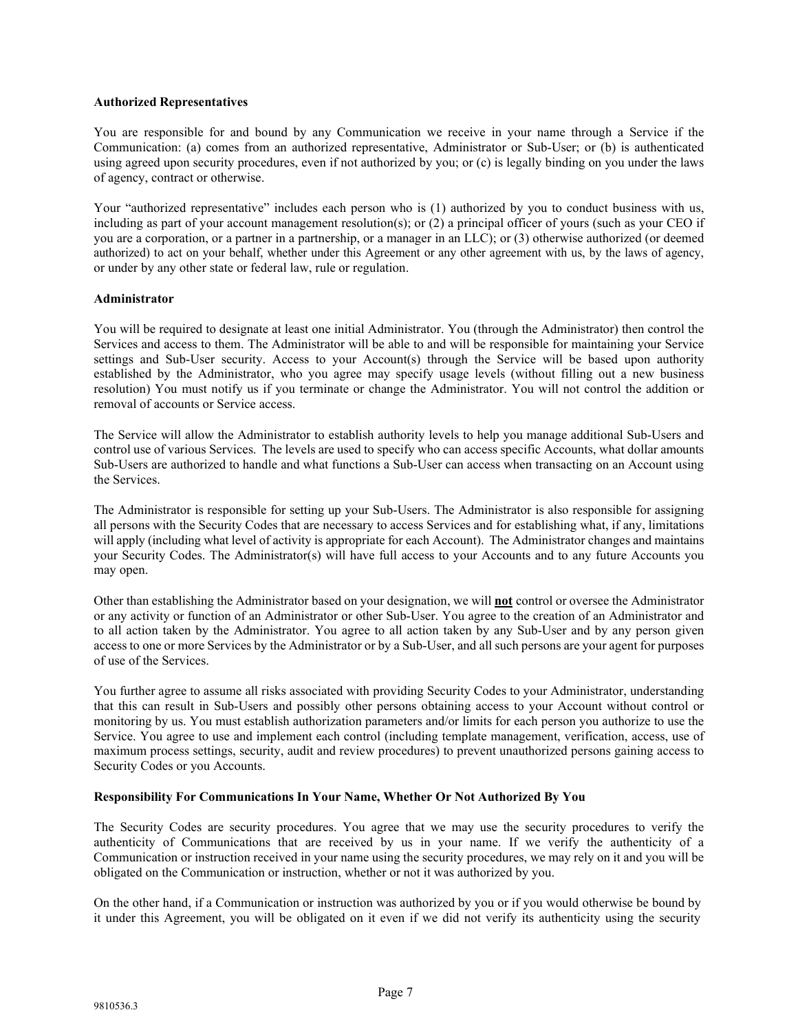## **Authorized Representatives**

You are responsible for and bound by any Communication we receive in your name through a Service if the Communication: (a) comes from an authorized representative, Administrator or Sub-User; or (b) is authenticated using agreed upon security procedures, even if not authorized by you; or (c) is legally binding on you under the laws of agency, contract or otherwise.

Your "authorized representative" includes each person who is (1) authorized by you to conduct business with us, including as part of your account management resolution(s); or (2) a principal officer of yours (such as your CEO if you are a corporation, or a partner in a partnership, or a manager in an LLC); or (3) otherwise authorized (or deemed authorized) to act on your behalf, whether under this Agreement or any other agreement with us, by the laws of agency, or under by any other state or federal law, rule or regulation.

## **Administrator**

You will be required to designate at least one initial Administrator. You (through the Administrator) then control the Services and access to them. The Administrator will be able to and will be responsible for maintaining your Service settings and Sub-User security. Access to your Account(s) through the Service will be based upon authority established by the Administrator, who you agree may specify usage levels (without filling out a new business resolution) You must notify us if you terminate or change the Administrator. You will not control the addition or removal of accounts or Service access.

The Service will allow the Administrator to establish authority levels to help you manage additional Sub-Users and control use of various Services. The levels are used to specify who can access specific Accounts, what dollar amounts Sub-Users are authorized to handle and what functions a Sub-User can access when transacting on an Account using the Services.

The Administrator is responsible for setting up your Sub-Users. The Administrator is also responsible for assigning all persons with the Security Codes that are necessary to access Services and for establishing what, if any, limitations will apply (including what level of activity is appropriate for each Account). The Administrator changes and maintains your Security Codes. The Administrator(s) will have full access to your Accounts and to any future Accounts you may open.

Other than establishing the Administrator based on your designation, we will **not** control or oversee the Administrator or any activity or function of an Administrator or other Sub-User. You agree to the creation of an Administrator and to all action taken by the Administrator. You agree to all action taken by any Sub-User and by any person given access to one or more Services by the Administrator or by a Sub-User, and all such persons are your agent for purposes of use of the Services.

You further agree to assume all risks associated with providing Security Codes to your Administrator, understanding that this can result in Sub-Users and possibly other persons obtaining access to your Account without control or monitoring by us. You must establish authorization parameters and/or limits for each person you authorize to use the Service. You agree to use and implement each control (including template management, verification, access, use of maximum process settings, security, audit and review procedures) to prevent unauthorized persons gaining access to Security Codes or you Accounts.

# **Responsibility For Communications In Your Name, Whether Or Not Authorized By You**

The Security Codes are security procedures. You agree that we may use the security procedures to verify the authenticity of Communications that are received by us in your name. If we verify the authenticity of a Communication or instruction received in your name using the security procedures, we may rely on it and you will be obligated on the Communication or instruction, whether or not it was authorized by you.

On the other hand, if a Communication or instruction was authorized by you or if you would otherwise be bound by it under this Agreement, you will be obligated on it even if we did not verify its authenticity using the security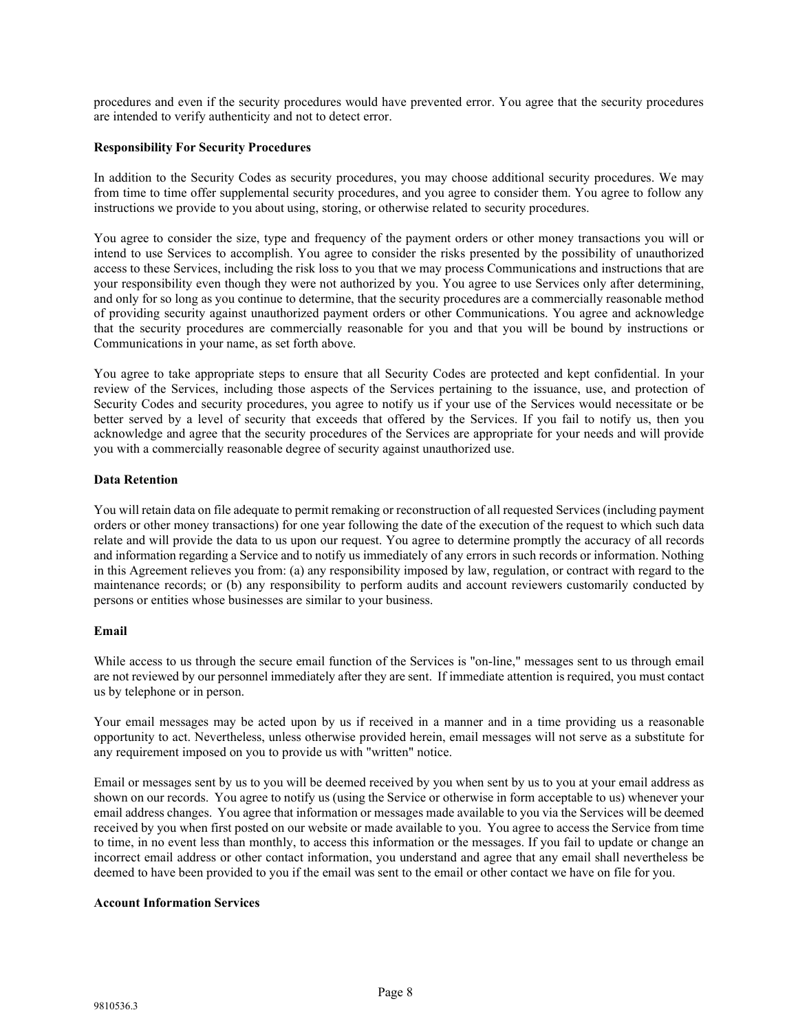procedures and even if the security procedures would have prevented error. You agree that the security procedures are intended to verify authenticity and not to detect error.

## **Responsibility For Security Procedures**

In addition to the Security Codes as security procedures, you may choose additional security procedures. We may from time to time offer supplemental security procedures, and you agree to consider them. You agree to follow any instructions we provide to you about using, storing, or otherwise related to security procedures.

You agree to consider the size, type and frequency of the payment orders or other money transactions you will or intend to use Services to accomplish. You agree to consider the risks presented by the possibility of unauthorized access to these Services, including the risk loss to you that we may process Communications and instructions that are your responsibility even though they were not authorized by you. You agree to use Services only after determining, and only for so long as you continue to determine, that the security procedures are a commercially reasonable method of providing security against unauthorized payment orders or other Communications. You agree and acknowledge that the security procedures are commercially reasonable for you and that you will be bound by instructions or Communications in your name, as set forth above.

You agree to take appropriate steps to ensure that all Security Codes are protected and kept confidential. In your review of the Services, including those aspects of the Services pertaining to the issuance, use, and protection of Security Codes and security procedures, you agree to notify us if your use of the Services would necessitate or be better served by a level of security that exceeds that offered by the Services. If you fail to notify us, then you acknowledge and agree that the security procedures of the Services are appropriate for your needs and will provide you with a commercially reasonable degree of security against unauthorized use.

#### **Data Retention**

You will retain data on file adequate to permit remaking or reconstruction of all requested Services (including payment orders or other money transactions) for one year following the date of the execution of the request to which such data relate and will provide the data to us upon our request. You agree to determine promptly the accuracy of all records and information regarding a Service and to notify us immediately of any errors in such records or information. Nothing in this Agreement relieves you from: (a) any responsibility imposed by law, regulation, or contract with regard to the maintenance records; or (b) any responsibility to perform audits and account reviewers customarily conducted by persons or entities whose businesses are similar to your business.

# **Email**

While access to us through the secure email function of the Services is "on-line," messages sent to us through email are not reviewed by our personnel immediately after they are sent. If immediate attention is required, you must contact us by telephone or in person.

Your email messages may be acted upon by us if received in a manner and in a time providing us a reasonable opportunity to act. Nevertheless, unless otherwise provided herein, email messages will not serve as a substitute for any requirement imposed on you to provide us with "written" notice.

Email or messages sent by us to you will be deemed received by you when sent by us to you at your email address as shown on our records. You agree to notify us (using the Service or otherwise in form acceptable to us) whenever your email address changes. You agree that information or messages made available to you via the Services will be deemed received by you when first posted on our website or made available to you. You agree to access the Service from time to time, in no event less than monthly, to access this information or the messages. If you fail to update or change an incorrect email address or other contact information, you understand and agree that any email shall nevertheless be deemed to have been provided to you if the email was sent to the email or other contact we have on file for you.

#### **Account Information Services**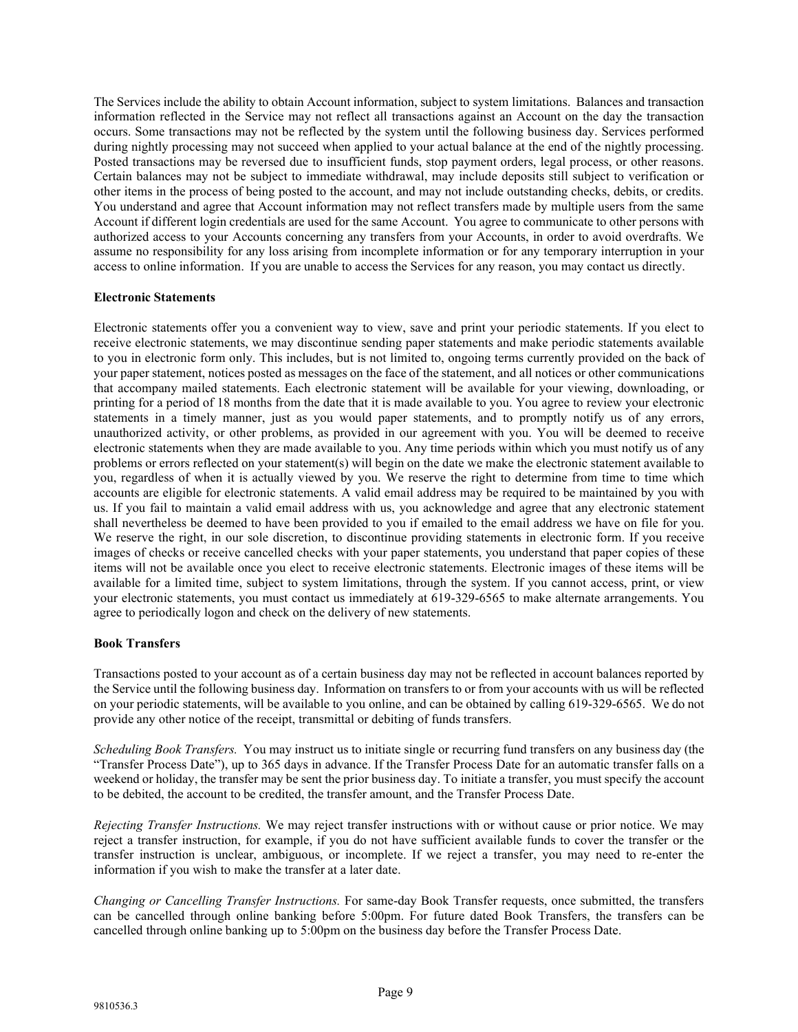The Services include the ability to obtain Account information, subject to system limitations. Balances and transaction information reflected in the Service may not reflect all transactions against an Account on the day the transaction occurs. Some transactions may not be reflected by the system until the following business day. Services performed during nightly processing may not succeed when applied to your actual balance at the end of the nightly processing. Posted transactions may be reversed due to insufficient funds, stop payment orders, legal process, or other reasons. Certain balances may not be subject to immediate withdrawal, may include deposits still subject to verification or other items in the process of being posted to the account, and may not include outstanding checks, debits, or credits. You understand and agree that Account information may not reflect transfers made by multiple users from the same Account if different login credentials are used for the same Account. You agree to communicate to other persons with authorized access to your Accounts concerning any transfers from your Accounts, in order to avoid overdrafts. We assume no responsibility for any loss arising from incomplete information or for any temporary interruption in your access to online information. If you are unable to access the Services for any reason, you may contact us directly.

## **Electronic Statements**

Electronic statements offer you a convenient way to view, save and print your periodic statements. If you elect to receive electronic statements, we may discontinue sending paper statements and make periodic statements available to you in electronic form only. This includes, but is not limited to, ongoing terms currently provided on the back of your paper statement, notices posted as messages on the face of the statement, and all notices or other communications that accompany mailed statements. Each electronic statement will be available for your viewing, downloading, or printing for a period of 18 months from the date that it is made available to you. You agree to review your electronic statements in a timely manner, just as you would paper statements, and to promptly notify us of any errors, unauthorized activity, or other problems, as provided in our agreement with you. You will be deemed to receive electronic statements when they are made available to you. Any time periods within which you must notify us of any problems or errors reflected on your statement(s) will begin on the date we make the electronic statement available to you, regardless of when it is actually viewed by you. We reserve the right to determine from time to time which accounts are eligible for electronic statements. A valid email address may be required to be maintained by you with us. If you fail to maintain a valid email address with us, you acknowledge and agree that any electronic statement shall nevertheless be deemed to have been provided to you if emailed to the email address we have on file for you. We reserve the right, in our sole discretion, to discontinue providing statements in electronic form. If you receive images of checks or receive cancelled checks with your paper statements, you understand that paper copies of these items will not be available once you elect to receive electronic statements. Electronic images of these items will be available for a limited time, subject to system limitations, through the system. If you cannot access, print, or view your electronic statements, you must contact us immediately at 619-329-6565 to make alternate arrangements. You agree to periodically logon and check on the delivery of new statements.

#### **Book Transfers**

Transactions posted to your account as of a certain business day may not be reflected in account balances reported by the Service until the following business day. Information on transfers to or from your accounts with us will be reflected on your periodic statements, will be available to you online, and can be obtained by calling 619-329-6565. We do not provide any other notice of the receipt, transmittal or debiting of funds transfers.

*Scheduling Book Transfers.* You may instruct us to initiate single or recurring fund transfers on any business day (the "Transfer Process Date"), up to 365 days in advance. If the Transfer Process Date for an automatic transfer falls on a weekend or holiday, the transfer may be sent the prior business day. To initiate a transfer, you must specify the account to be debited, the account to be credited, the transfer amount, and the Transfer Process Date.

*Rejecting Transfer Instructions.* We may reject transfer instructions with or without cause or prior notice. We may reject a transfer instruction, for example, if you do not have sufficient available funds to cover the transfer or the transfer instruction is unclear, ambiguous, or incomplete. If we reject a transfer, you may need to re-enter the information if you wish to make the transfer at a later date.

*Changing or Cancelling Transfer Instructions.* For same-day Book Transfer requests, once submitted, the transfers can be cancelled through online banking before 5:00pm. For future dated Book Transfers, the transfers can be cancelled through online banking up to 5:00pm on the business day before the Transfer Process Date.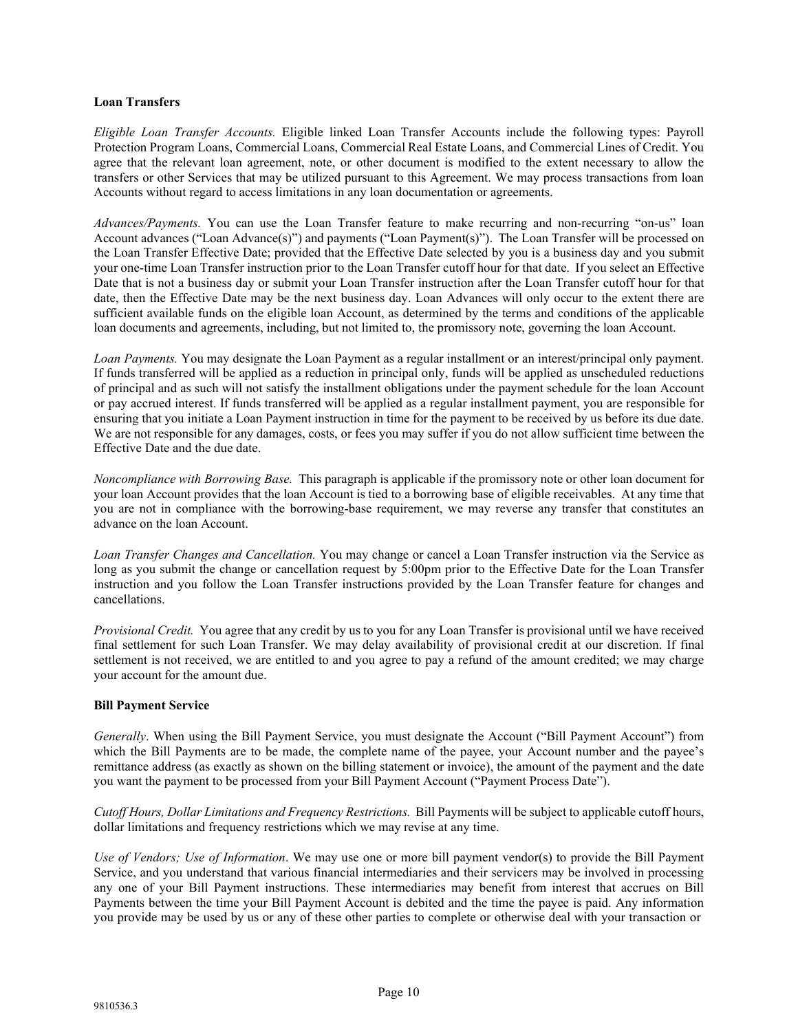## **Loan Transfers**

*Eligible Loan Transfer Accounts.* Eligible linked Loan Transfer Accounts include the following types: Payroll Protection Program Loans, Commercial Loans, Commercial Real Estate Loans, and Commercial Lines of Credit. You agree that the relevant loan agreement, note, or other document is modified to the extent necessary to allow the transfers or other Services that may be utilized pursuant to this Agreement. We may process transactions from loan Accounts without regard to access limitations in any loan documentation or agreements.

*Advances/Payments.* You can use the Loan Transfer feature to make recurring and non-recurring "on-us" loan Account advances ("Loan Advance(s)") and payments ("Loan Payment(s)"). The Loan Transfer will be processed on the Loan Transfer Effective Date; provided that the Effective Date selected by you is a business day and you submit your one-time Loan Transfer instruction prior to the Loan Transfer cutoff hour for that date. If you select an Effective Date that is not a business day or submit your Loan Transfer instruction after the Loan Transfer cutoff hour for that date, then the Effective Date may be the next business day. Loan Advances will only occur to the extent there are sufficient available funds on the eligible loan Account, as determined by the terms and conditions of the applicable loan documents and agreements, including, but not limited to, the promissory note, governing the loan Account.

*Loan Payments.* You may designate the Loan Payment as a regular installment or an interest/principal only payment. If funds transferred will be applied as a reduction in principal only, funds will be applied as unscheduled reductions of principal and as such will not satisfy the installment obligations under the payment schedule for the loan Account or pay accrued interest. If funds transferred will be applied as a regular installment payment, you are responsible for ensuring that you initiate a Loan Payment instruction in time for the payment to be received by us before its due date. We are not responsible for any damages, costs, or fees you may suffer if you do not allow sufficient time between the Effective Date and the due date.

*Noncompliance with Borrowing Base.* This paragraph is applicable if the promissory note or other loan document for your loan Account provides that the loan Account is tied to a borrowing base of eligible receivables. At any time that you are not in compliance with the borrowing-base requirement, we may reverse any transfer that constitutes an advance on the loan Account.

*Loan Transfer Changes and Cancellation.* You may change or cancel a Loan Transfer instruction via the Service as long as you submit the change or cancellation request by 5:00pm prior to the Effective Date for the Loan Transfer instruction and you follow the Loan Transfer instructions provided by the Loan Transfer feature for changes and cancellations.

*Provisional Credit.* You agree that any credit by us to you for any Loan Transfer is provisional until we have received final settlement for such Loan Transfer. We may delay availability of provisional credit at our discretion. If final settlement is not received, we are entitled to and you agree to pay a refund of the amount credited; we may charge your account for the amount due.

# **Bill Payment Service**

*Generally*. When using the Bill Payment Service, you must designate the Account ("Bill Payment Account") from which the Bill Payments are to be made, the complete name of the payee, your Account number and the payee's remittance address (as exactly as shown on the billing statement or invoice), the amount of the payment and the date you want the payment to be processed from your Bill Payment Account ("Payment Process Date").

*Cutoff Hours, Dollar Limitations and Frequency Restrictions.* Bill Payments will be subject to applicable cutoff hours, dollar limitations and frequency restrictions which we may revise at any time.

*Use of Vendors; Use of Information*. We may use one or more bill payment vendor(s) to provide the Bill Payment Service, and you understand that various financial intermediaries and their servicers may be involved in processing any one of your Bill Payment instructions. These intermediaries may benefit from interest that accrues on Bill Payments between the time your Bill Payment Account is debited and the time the payee is paid. Any information you provide may be used by us or any of these other parties to complete or otherwise deal with your transaction or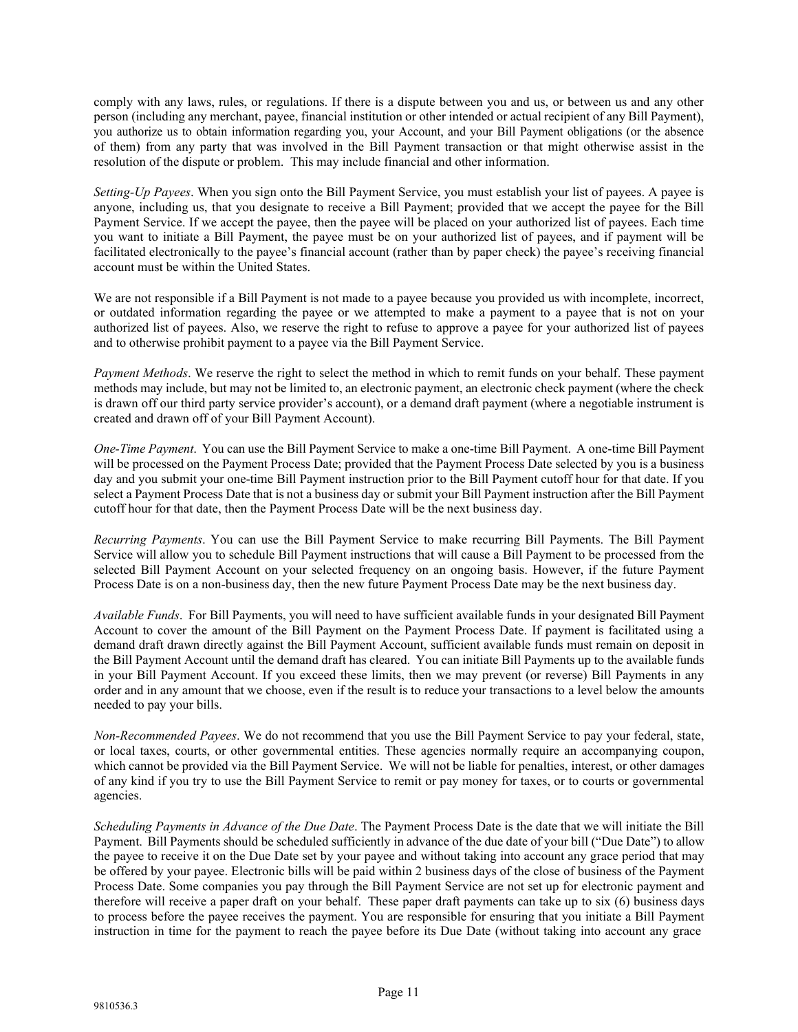comply with any laws, rules, or regulations. If there is a dispute between you and us, or between us and any other person (including any merchant, payee, financial institution or other intended or actual recipient of any Bill Payment), you authorize us to obtain information regarding you, your Account, and your Bill Payment obligations (or the absence of them) from any party that was involved in the Bill Payment transaction or that might otherwise assist in the resolution of the dispute or problem. This may include financial and other information.

*Setting-Up Payees*. When you sign onto the Bill Payment Service, you must establish your list of payees. A payee is anyone, including us, that you designate to receive a Bill Payment; provided that we accept the payee for the Bill Payment Service. If we accept the payee, then the payee will be placed on your authorized list of payees. Each time you want to initiate a Bill Payment, the payee must be on your authorized list of payees, and if payment will be facilitated electronically to the payee's financial account (rather than by paper check) the payee's receiving financial account must be within the United States.

We are not responsible if a Bill Payment is not made to a payee because you provided us with incomplete, incorrect, or outdated information regarding the payee or we attempted to make a payment to a payee that is not on your authorized list of payees. Also, we reserve the right to refuse to approve a payee for your authorized list of payees and to otherwise prohibit payment to a payee via the Bill Payment Service.

*Payment Methods*. We reserve the right to select the method in which to remit funds on your behalf. These payment methods may include, but may not be limited to, an electronic payment, an electronic check payment (where the check is drawn off our third party service provider's account), or a demand draft payment (where a negotiable instrument is created and drawn off of your Bill Payment Account).

*One-Time Payment*. You can use the Bill Payment Service to make a one-time Bill Payment. A one-time Bill Payment will be processed on the Payment Process Date; provided that the Payment Process Date selected by you is a business day and you submit your one-time Bill Payment instruction prior to the Bill Payment cutoff hour for that date. If you select a Payment Process Date that is not a business day or submit your Bill Payment instruction after the Bill Payment cutoff hour for that date, then the Payment Process Date will be the next business day.

*Recurring Payments*. You can use the Bill Payment Service to make recurring Bill Payments. The Bill Payment Service will allow you to schedule Bill Payment instructions that will cause a Bill Payment to be processed from the selected Bill Payment Account on your selected frequency on an ongoing basis. However, if the future Payment Process Date is on a non-business day, then the new future Payment Process Date may be the next business day.

*Available Funds*. For Bill Payments, you will need to have sufficient available funds in your designated Bill Payment Account to cover the amount of the Bill Payment on the Payment Process Date. If payment is facilitated using a demand draft drawn directly against the Bill Payment Account, sufficient available funds must remain on deposit in the Bill Payment Account until the demand draft has cleared. You can initiate Bill Payments up to the available funds in your Bill Payment Account. If you exceed these limits, then we may prevent (or reverse) Bill Payments in any order and in any amount that we choose, even if the result is to reduce your transactions to a level below the amounts needed to pay your bills.

*Non-Recommended Payees*. We do not recommend that you use the Bill Payment Service to pay your federal, state, or local taxes, courts, or other governmental entities. These agencies normally require an accompanying coupon, which cannot be provided via the Bill Payment Service. We will not be liable for penalties, interest, or other damages of any kind if you try to use the Bill Payment Service to remit or pay money for taxes, or to courts or governmental agencies.

*Scheduling Payments in Advance of the Due Date*. The Payment Process Date is the date that we will initiate the Bill Payment. Bill Payments should be scheduled sufficiently in advance of the due date of your bill ("Due Date") to allow the payee to receive it on the Due Date set by your payee and without taking into account any grace period that may be offered by your payee. Electronic bills will be paid within 2 business days of the close of business of the Payment Process Date. Some companies you pay through the Bill Payment Service are not set up for electronic payment and therefore will receive a paper draft on your behalf. These paper draft payments can take up to six (6) business days to process before the payee receives the payment. You are responsible for ensuring that you initiate a Bill Payment instruction in time for the payment to reach the payee before its Due Date (without taking into account any grace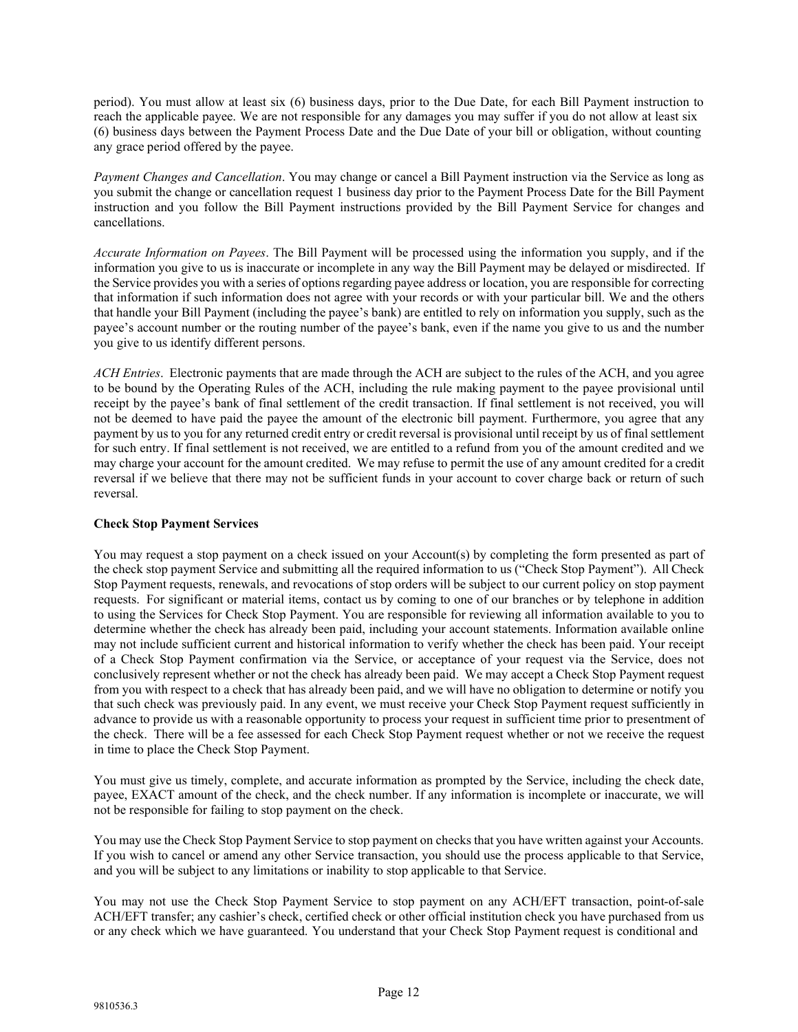period). You must allow at least six (6) business days, prior to the Due Date, for each Bill Payment instruction to reach the applicable payee. We are not responsible for any damages you may suffer if you do not allow at least six (6) business days between the Payment Process Date and the Due Date of your bill or obligation, without counting any grace period offered by the payee.

*Payment Changes and Cancellation*. You may change or cancel a Bill Payment instruction via the Service as long as you submit the change or cancellation request 1 business day prior to the Payment Process Date for the Bill Payment instruction and you follow the Bill Payment instructions provided by the Bill Payment Service for changes and cancellations.

*Accurate Information on Payees*. The Bill Payment will be processed using the information you supply, and if the information you give to us is inaccurate or incomplete in any way the Bill Payment may be delayed or misdirected. If the Service provides you with a series of optionsregarding payee address or location, you are responsible for correcting that information if such information does not agree with your records or with your particular bill. We and the others that handle your Bill Payment (including the payee's bank) are entitled to rely on information you supply, such as the payee's account number or the routing number of the payee's bank, even if the name you give to us and the number you give to us identify different persons.

*ACH Entries*. Electronic payments that are made through the ACH are subject to the rules of the ACH, and you agree to be bound by the Operating Rules of the ACH, including the rule making payment to the payee provisional until receipt by the payee's bank of final settlement of the credit transaction. If final settlement is not received, you will not be deemed to have paid the payee the amount of the electronic bill payment. Furthermore, you agree that any payment by us to you for any returned credit entry or credit reversal is provisional until receipt by us of final settlement for such entry. If final settlement is not received, we are entitled to a refund from you of the amount credited and we may charge your account for the amount credited. We may refuse to permit the use of any amount credited for a credit reversal if we believe that there may not be sufficient funds in your account to cover charge back or return of such reversal.

# **Check Stop Payment Services**

You may request a stop payment on a check issued on your Account(s) by completing the form presented as part of the check stop payment Service and submitting all the required information to us ("Check Stop Payment"). All Check Stop Payment requests, renewals, and revocations of stop orders will be subject to our current policy on stop payment requests. For significant or material items, contact us by coming to one of our branches or by telephone in addition to using the Services for Check Stop Payment. You are responsible for reviewing all information available to you to determine whether the check has already been paid, including your account statements. Information available online may not include sufficient current and historical information to verify whether the check has been paid. Your receipt of a Check Stop Payment confirmation via the Service, or acceptance of your request via the Service, does not conclusively represent whether or not the check has already been paid. We may accept a Check Stop Payment request from you with respect to a check that has already been paid, and we will have no obligation to determine or notify you that such check was previously paid. In any event, we must receive your Check Stop Payment request sufficiently in advance to provide us with a reasonable opportunity to process your request in sufficient time prior to presentment of the check. There will be a fee assessed for each Check Stop Payment request whether or not we receive the request in time to place the Check Stop Payment.

You must give us timely, complete, and accurate information as prompted by the Service, including the check date, payee, EXACT amount of the check, and the check number. If any information is incomplete or inaccurate, we will not be responsible for failing to stop payment on the check.

You may use the Check Stop Payment Service to stop payment on checks that you have written against your Accounts. If you wish to cancel or amend any other Service transaction, you should use the process applicable to that Service, and you will be subject to any limitations or inability to stop applicable to that Service.

You may not use the Check Stop Payment Service to stop payment on any ACH/EFT transaction, point-of-sale ACH/EFT transfer; any cashier's check, certified check or other official institution check you have purchased from us or any check which we have guaranteed. You understand that your Check Stop Payment request is conditional and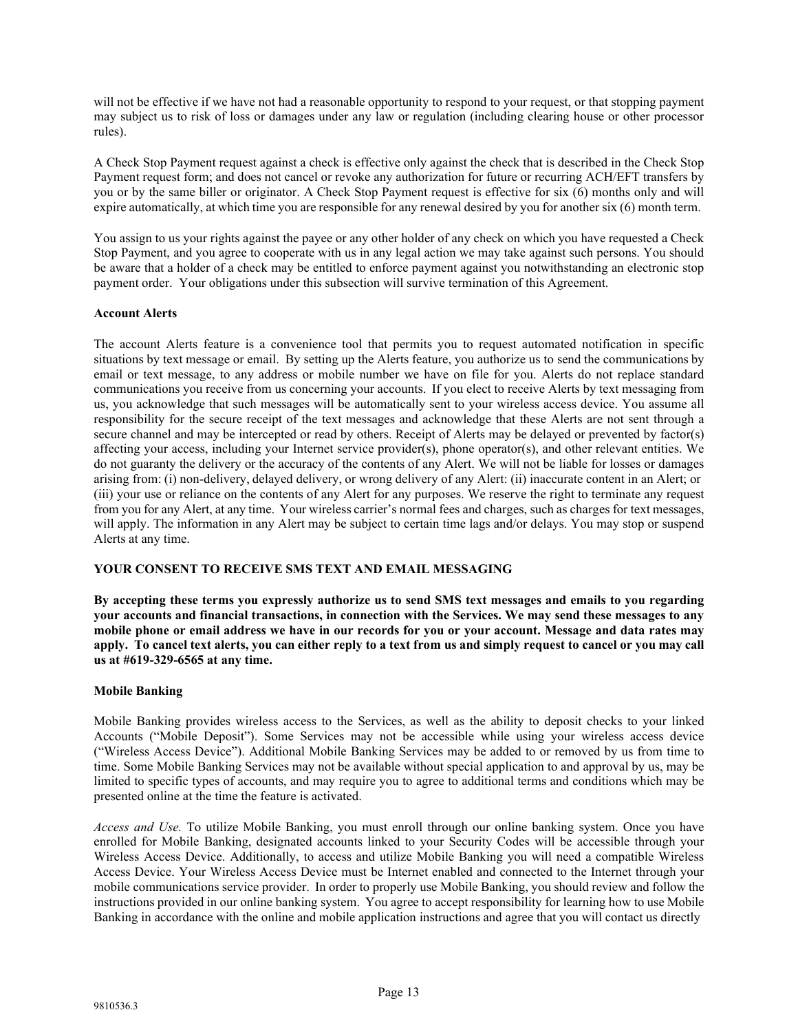will not be effective if we have not had a reasonable opportunity to respond to your request, or that stopping payment may subject us to risk of loss or damages under any law or regulation (including clearing house or other processor rules).

A Check Stop Payment request against a check is effective only against the check that is described in the Check Stop Payment request form; and does not cancel or revoke any authorization for future or recurring ACH/EFT transfers by you or by the same biller or originator. A Check Stop Payment request is effective for six (6) months only and will expire automatically, at which time you are responsible for any renewal desired by you for another six (6) month term.

You assign to us your rights against the payee or any other holder of any check on which you have requested a Check Stop Payment, and you agree to cooperate with us in any legal action we may take against such persons. You should be aware that a holder of a check may be entitled to enforce payment against you notwithstanding an electronic stop payment order. Your obligations under this subsection will survive termination of this Agreement.

# **Account Alerts**

The account Alerts feature is a convenience tool that permits you to request automated notification in specific situations by text message or email. By setting up the Alerts feature, you authorize us to send the communications by email or text message, to any address or mobile number we have on file for you. Alerts do not replace standard communications you receive from us concerning your accounts. If you elect to receive Alerts by text messaging from us, you acknowledge that such messages will be automatically sent to your wireless access device. You assume all responsibility for the secure receipt of the text messages and acknowledge that these Alerts are not sent through a secure channel and may be intercepted or read by others. Receipt of Alerts may be delayed or prevented by factor(s) affecting your access, including your Internet service provider(s), phone operator(s), and other relevant entities. We do not guaranty the delivery or the accuracy of the contents of any Alert. We will not be liable for losses or damages arising from: (i) non-delivery, delayed delivery, or wrong delivery of any Alert: (ii) inaccurate content in an Alert; or (iii) your use or reliance on the contents of any Alert for any purposes. We reserve the right to terminate any request from you for any Alert, at any time. Your wireless carrier's normal fees and charges, such as charges for text messages, will apply. The information in any Alert may be subject to certain time lags and/or delays. You may stop or suspend Alerts at any time.

# **YOUR CONSENT TO RECEIVE SMS TEXT AND EMAIL MESSAGING**

**By accepting these terms you expressly authorize us to send SMS text messages and emails to you regarding your accounts and financial transactions, in connection with the Services. We may send these messages to any mobile phone or email address we have in our records for you or your account. Message and data rates may** apply. To cancel text alerts, you can either reply to a text from us and simply request to cancel or you may call **us at #619-329-6565 at any time.**

#### **Mobile Banking**

Mobile Banking provides wireless access to the Services, as well as the ability to deposit checks to your linked Accounts ("Mobile Deposit"). Some Services may not be accessible while using your wireless access device ("Wireless Access Device"). Additional Mobile Banking Services may be added to or removed by us from time to time. Some Mobile Banking Services may not be available without special application to and approval by us, may be limited to specific types of accounts, and may require you to agree to additional terms and conditions which may be presented online at the time the feature is activated.

*Access and Use.* To utilize Mobile Banking, you must enroll through our online banking system. Once you have enrolled for Mobile Banking, designated accounts linked to your Security Codes will be accessible through your Wireless Access Device. Additionally, to access and utilize Mobile Banking you will need a compatible Wireless Access Device. Your Wireless Access Device must be Internet enabled and connected to the Internet through your mobile communications service provider. In order to properly use Mobile Banking, you should review and follow the instructions provided in our online banking system. You agree to accept responsibility for learning how to use Mobile Banking in accordance with the online and mobile application instructions and agree that you will contact us directly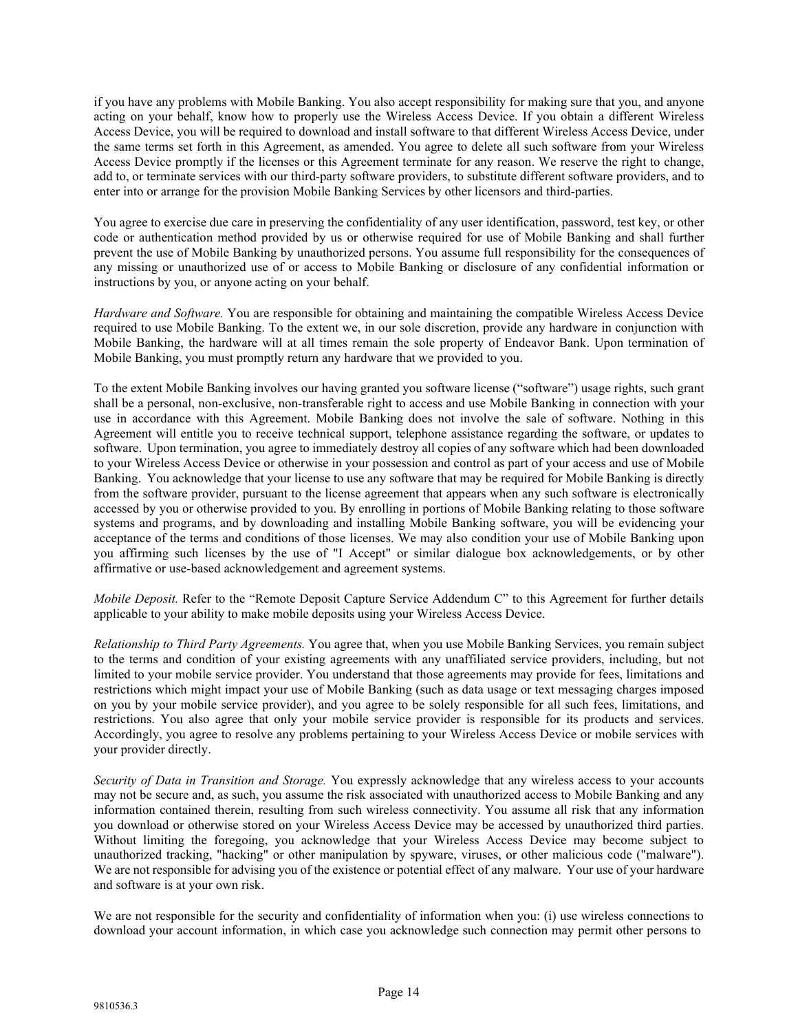if you have any problems with Mobile Banking. You also accept responsibility for making sure that you, and anyone acting on your behalf, know how to properly use the Wireless Access Device. If you obtain a different Wireless Access Device, you will be required to download and install software to that different Wireless Access Device, under the same terms set forth in this Agreement, as amended. You agree to delete all such software from your Wireless Access Device promptly if the licenses or this Agreement terminate for any reason. We reserve the right to change, add to, or terminate services with our third-party software providers, to substitute different software providers, and to enter into or arrange for the provision Mobile Banking Services by other licensors and third-parties.

You agree to exercise due care in preserving the confidentiality of any user identification, password, test key, or other code or authentication method provided by us or otherwise required for use of Mobile Banking and shall further prevent the use of Mobile Banking by unauthorized persons. You assume full responsibility for the consequences of any missing or unauthorized use of or access to Mobile Banking or disclosure of any confidential information or instructions by you, or anyone acting on your behalf.

*Hardware and Software.* You are responsible for obtaining and maintaining the compatible Wireless Access Device required to use Mobile Banking. To the extent we, in our sole discretion, provide any hardware in conjunction with Mobile Banking, the hardware will at all times remain the sole property of Endeavor Bank. Upon termination of Mobile Banking, you must promptly return any hardware that we provided to you.

To the extent Mobile Banking involves our having granted you software license ("software") usage rights, such grant shall be a personal, non-exclusive, non-transferable right to access and use Mobile Banking in connection with your use in accordance with this Agreement. Mobile Banking does not involve the sale of software. Nothing in this Agreement will entitle you to receive technical support, telephone assistance regarding the software, or updates to software. Upon termination, you agree to immediately destroy all copies of any software which had been downloaded to your Wireless Access Device or otherwise in your possession and control as part of your access and use of Mobile Banking. You acknowledge that your license to use any software that may be required for Mobile Banking is directly from the software provider, pursuant to the license agreement that appears when any such software is electronically accessed by you or otherwise provided to you. By enrolling in portions of Mobile Banking relating to those software systems and programs, and by downloading and installing Mobile Banking software, you will be evidencing your acceptance of the terms and conditions of those licenses. We may also condition your use of Mobile Banking upon you affirming such licenses by the use of "I Accept" or similar dialogue box acknowledgements, or by other affirmative or use-based acknowledgement and agreement systems.

*Mobile Deposit.* Refer to the "Remote Deposit Capture Service Addendum C" to this Agreement for further details applicable to your ability to make mobile deposits using your Wireless Access Device.

*Relationship to Third Party Agreements.* You agree that, when you use Mobile Banking Services, you remain subject to the terms and condition of your existing agreements with any unaffiliated service providers, including, but not limited to your mobile service provider. You understand that those agreements may provide for fees, limitations and restrictions which might impact your use of Mobile Banking (such as data usage or text messaging charges imposed on you by your mobile service provider), and you agree to be solely responsible for all such fees, limitations, and restrictions. You also agree that only your mobile service provider is responsible for its products and services. Accordingly, you agree to resolve any problems pertaining to your Wireless Access Device or mobile services with your provider directly.

*Security of Data in Transition and Storage.* You expressly acknowledge that any wireless access to your accounts may not be secure and, as such, you assume the risk associated with unauthorized access to Mobile Banking and any information contained therein, resulting from such wireless connectivity. You assume all risk that any information you download or otherwise stored on your Wireless Access Device may be accessed by unauthorized third parties. Without limiting the foregoing, you acknowledge that your Wireless Access Device may become subject to unauthorized tracking, "hacking" or other manipulation by spyware, viruses, or other malicious code ("malware"). We are not responsible for advising you of the existence or potential effect of any malware. Your use of your hardware and software is at your own risk.

We are not responsible for the security and confidentiality of information when you: (i) use wireless connections to download your account information, in which case you acknowledge such connection may permit other persons to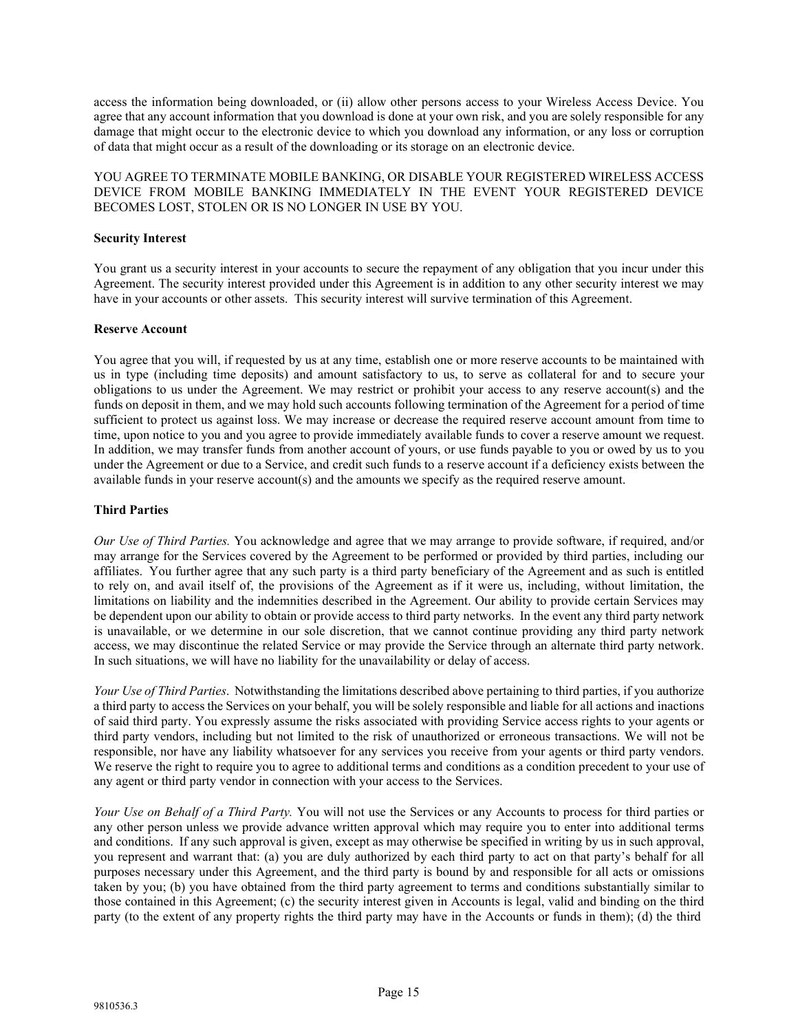access the information being downloaded, or (ii) allow other persons access to your Wireless Access Device. You agree that any account information that you download is done at your own risk, and you are solely responsible for any damage that might occur to the electronic device to which you download any information, or any loss or corruption of data that might occur as a result of the downloading or its storage on an electronic device.

YOU AGREE TO TERMINATE MOBILE BANKING, OR DISABLE YOUR REGISTERED WIRELESS ACCESS DEVICE FROM MOBILE BANKING IMMEDIATELY IN THE EVENT YOUR REGISTERED DEVICE BECOMES LOST, STOLEN OR IS NO LONGER IN USE BY YOU.

## **Security Interest**

You grant us a security interest in your accounts to secure the repayment of any obligation that you incur under this Agreement. The security interest provided under this Agreement is in addition to any other security interest we may have in your accounts or other assets. This security interest will survive termination of this Agreement.

#### **Reserve Account**

You agree that you will, if requested by us at any time, establish one or more reserve accounts to be maintained with us in type (including time deposits) and amount satisfactory to us, to serve as collateral for and to secure your obligations to us under the Agreement. We may restrict or prohibit your access to any reserve account(s) and the funds on deposit in them, and we may hold such accounts following termination of the Agreement for a period of time sufficient to protect us against loss. We may increase or decrease the required reserve account amount from time to time, upon notice to you and you agree to provide immediately available funds to cover a reserve amount we request. In addition, we may transfer funds from another account of yours, or use funds payable to you or owed by us to you under the Agreement or due to a Service, and credit such funds to a reserve account if a deficiency exists between the available funds in your reserve account(s) and the amounts we specify as the required reserve amount.

#### **Third Parties**

*Our Use of Third Parties.* You acknowledge and agree that we may arrange to provide software, if required, and/or may arrange for the Services covered by the Agreement to be performed or provided by third parties, including our affiliates. You further agree that any such party is a third party beneficiary of the Agreement and as such is entitled to rely on, and avail itself of, the provisions of the Agreement as if it were us, including, without limitation, the limitations on liability and the indemnities described in the Agreement. Our ability to provide certain Services may be dependent upon our ability to obtain or provide access to third party networks. In the event any third party network is unavailable, or we determine in our sole discretion, that we cannot continue providing any third party network access, we may discontinue the related Service or may provide the Service through an alternate third party network. In such situations, we will have no liability for the unavailability or delay of access.

*Your Use of Third Parties*. Notwithstanding the limitations described above pertaining to third parties, if you authorize a third party to access the Services on your behalf, you will be solely responsible and liable for all actions and inactions of said third party. You expressly assume the risks associated with providing Service access rights to your agents or third party vendors, including but not limited to the risk of unauthorized or erroneous transactions. We will not be responsible, nor have any liability whatsoever for any services you receive from your agents or third party vendors. We reserve the right to require you to agree to additional terms and conditions as a condition precedent to your use of any agent or third party vendor in connection with your access to the Services.

*Your Use on Behalf of a Third Party.* You will not use the Services or any Accounts to process for third parties or any other person unless we provide advance written approval which may require you to enter into additional terms and conditions. If any such approval is given, except as may otherwise be specified in writing by us in such approval, you represent and warrant that: (a) you are duly authorized by each third party to act on that party's behalf for all purposes necessary under this Agreement, and the third party is bound by and responsible for all acts or omissions taken by you; (b) you have obtained from the third party agreement to terms and conditions substantially similar to those contained in this Agreement; (c) the security interest given in Accounts is legal, valid and binding on the third party (to the extent of any property rights the third party may have in the Accounts or funds in them); (d) the third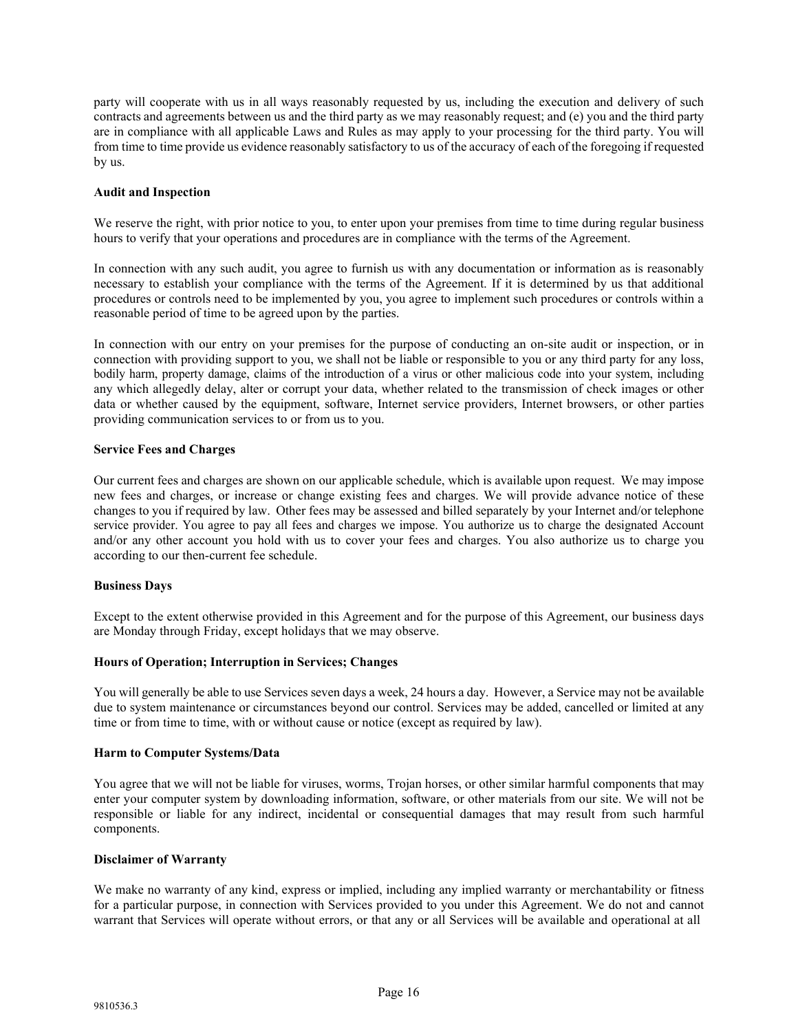party will cooperate with us in all ways reasonably requested by us, including the execution and delivery of such contracts and agreements between us and the third party as we may reasonably request; and (e) you and the third party are in compliance with all applicable Laws and Rules as may apply to your processing for the third party. You will from time to time provide us evidence reasonably satisfactory to us of the accuracy of each of the foregoing if requested by us.

## **Audit and Inspection**

We reserve the right, with prior notice to you, to enter upon your premises from time to time during regular business hours to verify that your operations and procedures are in compliance with the terms of the Agreement.

In connection with any such audit, you agree to furnish us with any documentation or information as is reasonably necessary to establish your compliance with the terms of the Agreement. If it is determined by us that additional procedures or controls need to be implemented by you, you agree to implement such procedures or controls within a reasonable period of time to be agreed upon by the parties.

In connection with our entry on your premises for the purpose of conducting an on-site audit or inspection, or in connection with providing support to you, we shall not be liable or responsible to you or any third party for any loss, bodily harm, property damage, claims of the introduction of a virus or other malicious code into your system, including any which allegedly delay, alter or corrupt your data, whether related to the transmission of check images or other data or whether caused by the equipment, software, Internet service providers, Internet browsers, or other parties providing communication services to or from us to you.

## **Service Fees and Charges**

Our current fees and charges are shown on our applicable schedule, which is available upon request. We may impose new fees and charges, or increase or change existing fees and charges. We will provide advance notice of these changes to you if required by law. Other fees may be assessed and billed separately by your Internet and/or telephone service provider. You agree to pay all fees and charges we impose. You authorize us to charge the designated Account and/or any other account you hold with us to cover your fees and charges. You also authorize us to charge you according to our then-current fee schedule.

#### **Business Days**

Except to the extent otherwise provided in this Agreement and for the purpose of this Agreement, our business days are Monday through Friday, except holidays that we may observe.

#### **Hours of Operation; Interruption in Services; Changes**

You will generally be able to use Services seven days a week, 24 hours a day. However, a Service may not be available due to system maintenance or circumstances beyond our control. Services may be added, cancelled or limited at any time or from time to time, with or without cause or notice (except as required by law).

#### **Harm to Computer Systems/Data**

You agree that we will not be liable for viruses, worms, Trojan horses, or other similar harmful components that may enter your computer system by downloading information, software, or other materials from our site. We will not be responsible or liable for any indirect, incidental or consequential damages that may result from such harmful components.

#### **Disclaimer of Warranty**

We make no warranty of any kind, express or implied, including any implied warranty or merchantability or fitness for a particular purpose, in connection with Services provided to you under this Agreement. We do not and cannot warrant that Services will operate without errors, or that any or all Services will be available and operational at all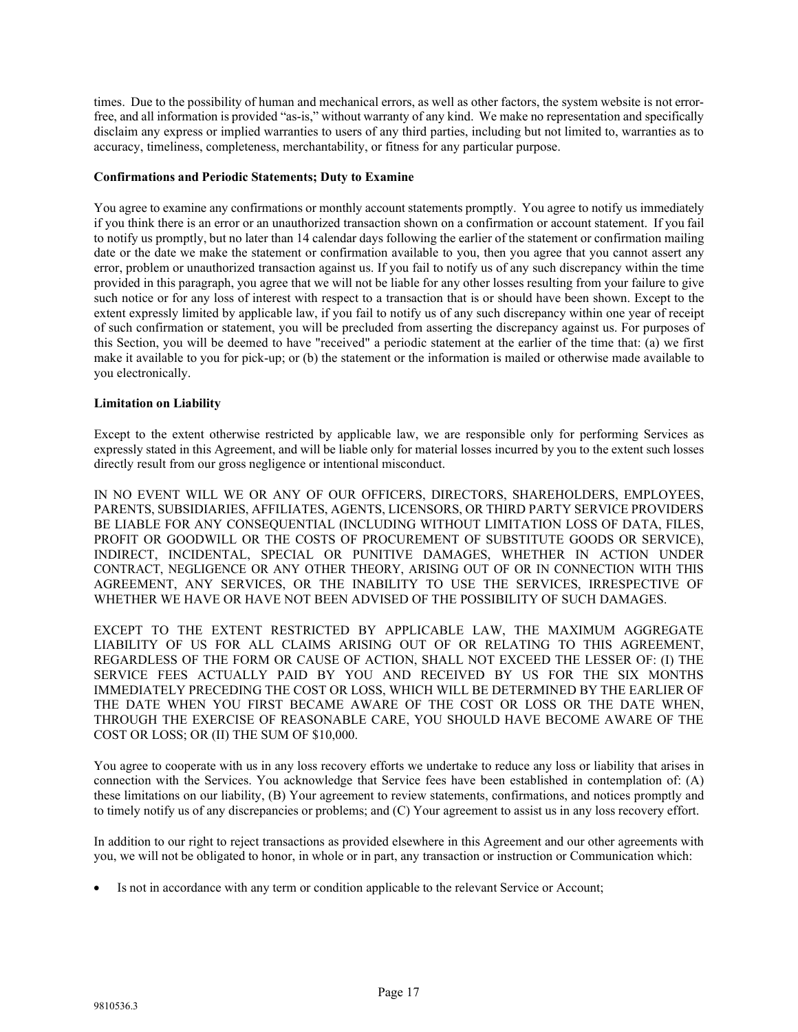times. Due to the possibility of human and mechanical errors, as well as other factors, the system website is not errorfree, and all information is provided "as-is," without warranty of any kind. We make no representation and specifically disclaim any express or implied warranties to users of any third parties, including but not limited to, warranties as to accuracy, timeliness, completeness, merchantability, or fitness for any particular purpose.

#### **Confirmations and Periodic Statements; Duty to Examine**

You agree to examine any confirmations or monthly account statements promptly. You agree to notify us immediately if you think there is an error or an unauthorized transaction shown on a confirmation or account statement. If you fail to notify us promptly, but no later than 14 calendar days following the earlier of the statement or confirmation mailing date or the date we make the statement or confirmation available to you, then you agree that you cannot assert any error, problem or unauthorized transaction against us. If you fail to notify us of any such discrepancy within the time provided in this paragraph, you agree that we will not be liable for any other losses resulting from your failure to give such notice or for any loss of interest with respect to a transaction that is or should have been shown. Except to the extent expressly limited by applicable law, if you fail to notify us of any such discrepancy within one year of receipt of such confirmation or statement, you will be precluded from asserting the discrepancy against us. For purposes of this Section, you will be deemed to have "received" a periodic statement at the earlier of the time that: (a) we first make it available to you for pick-up; or (b) the statement or the information is mailed or otherwise made available to you electronically.

## **Limitation on Liability**

Except to the extent otherwise restricted by applicable law, we are responsible only for performing Services as expressly stated in this Agreement, and will be liable only for material losses incurred by you to the extent such losses directly result from our gross negligence or intentional misconduct.

IN NO EVENT WILL WE OR ANY OF OUR OFFICERS, DIRECTORS, SHAREHOLDERS, EMPLOYEES, PARENTS, SUBSIDIARIES, AFFILIATES, AGENTS, LICENSORS, OR THIRD PARTY SERVICE PROVIDERS BE LIABLE FOR ANY CONSEQUENTIAL (INCLUDING WITHOUT LIMITATION LOSS OF DATA, FILES, PROFIT OR GOODWILL OR THE COSTS OF PROCUREMENT OF SUBSTITUTE GOODS OR SERVICE), INDIRECT, INCIDENTAL, SPECIAL OR PUNITIVE DAMAGES, WHETHER IN ACTION UNDER CONTRACT, NEGLIGENCE OR ANY OTHER THEORY, ARISING OUT OF OR IN CONNECTION WITH THIS AGREEMENT, ANY SERVICES, OR THE INABILITY TO USE THE SERVICES, IRRESPECTIVE OF WHETHER WE HAVE OR HAVE NOT BEEN ADVISED OF THE POSSIBILITY OF SUCH DAMAGES.

EXCEPT TO THE EXTENT RESTRICTED BY APPLICABLE LAW, THE MAXIMUM AGGREGATE LIABILITY OF US FOR ALL CLAIMS ARISING OUT OF OR RELATING TO THIS AGREEMENT, REGARDLESS OF THE FORM OR CAUSE OF ACTION, SHALL NOT EXCEED THE LESSER OF: (I) THE SERVICE FEES ACTUALLY PAID BY YOU AND RECEIVED BY US FOR THE SIX MONTHS IMMEDIATELY PRECEDING THE COST OR LOSS, WHICH WILL BE DETERMINED BY THE EARLIER OF THE DATE WHEN YOU FIRST BECAME AWARE OF THE COST OR LOSS OR THE DATE WHEN, THROUGH THE EXERCISE OF REASONABLE CARE, YOU SHOULD HAVE BECOME AWARE OF THE COST OR LOSS; OR (II) THE SUM OF \$10,000.

You agree to cooperate with us in any loss recovery efforts we undertake to reduce any loss or liability that arises in connection with the Services. You acknowledge that Service fees have been established in contemplation of: (A) these limitations on our liability, (B) Your agreement to review statements, confirmations, and notices promptly and to timely notify us of any discrepancies or problems; and (C) Your agreement to assist us in any loss recovery effort.

In addition to our right to reject transactions as provided elsewhere in this Agreement and our other agreements with you, we will not be obligated to honor, in whole or in part, any transaction or instruction or Communication which:

Is not in accordance with any term or condition applicable to the relevant Service or Account;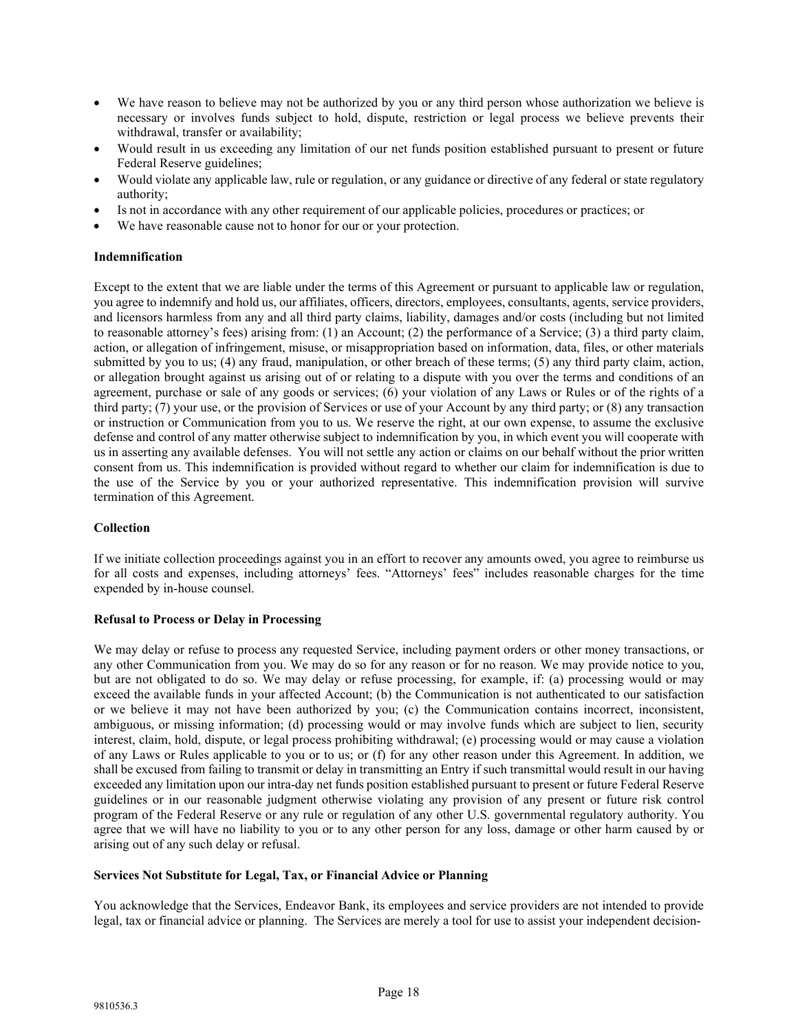- We have reason to believe may not be authorized by you or any third person whose authorization we believe is necessary or involves funds subject to hold, dispute, restriction or legal process we believe prevents their withdrawal, transfer or availability;
- Would result in us exceeding any limitation of our net funds position established pursuant to present or future Federal Reserve guidelines;
- Would violate any applicable law, rule or regulation, or any guidance or directive of any federal or state regulatory authority;
- Is not in accordance with any other requirement of our applicable policies, procedures or practices; or
- We have reasonable cause not to honor for our or your protection.

#### **Indemnification**

Except to the extent that we are liable under the terms of this Agreement or pursuant to applicable law or regulation, you agree to indemnify and hold us, our affiliates, officers, directors, employees, consultants, agents, service providers, and licensors harmless from any and all third party claims, liability, damages and/or costs (including but not limited to reasonable attorney's fees) arising from: (1) an Account; (2) the performance of a Service; (3) a third party claim, action, or allegation of infringement, misuse, or misappropriation based on information, data, files, or other materials submitted by you to us; (4) any fraud, manipulation, or other breach of these terms; (5) any third party claim, action, or allegation brought against us arising out of or relating to a dispute with you over the terms and conditions of an agreement, purchase or sale of any goods or services; (6) your violation of any Laws or Rules or of the rights of a third party; (7) your use, or the provision of Services or use of your Account by any third party; or (8) any transaction or instruction or Communication from you to us. We reserve the right, at our own expense, to assume the exclusive defense and control of any matter otherwise subject to indemnification by you, in which event you will cooperate with us in asserting any available defenses. You will not settle any action or claims on our behalf without the prior written consent from us. This indemnification is provided without regard to whether our claim for indemnification is due to the use of the Service by you or your authorized representative. This indemnification provision will survive termination of this Agreement.

# **Collection**

If we initiate collection proceedings against you in an effort to recover any amounts owed, you agree to reimburse us for all costs and expenses, including attorneys' fees. "Attorneys' fees" includes reasonable charges for the time expended by in-house counsel.

#### **Refusal to Process or Delay in Processing**

We may delay or refuse to process any requested Service, including payment orders or other money transactions, or any other Communication from you. We may do so for any reason or for no reason. We may provide notice to you, but are not obligated to do so. We may delay or refuse processing, for example, if: (a) processing would or may exceed the available funds in your affected Account; (b) the Communication is not authenticated to our satisfaction or we believe it may not have been authorized by you; (c) the Communication contains incorrect, inconsistent, ambiguous, or missing information; (d) processing would or may involve funds which are subject to lien, security interest, claim, hold, dispute, or legal process prohibiting withdrawal; (e) processing would or may cause a violation of any Laws or Rules applicable to you or to us; or (f) for any other reason under this Agreement. In addition, we shall be excused from failing to transmit or delay in transmitting an Entry if such transmittal would result in our having exceeded any limitation upon our intra-day net funds position established pursuant to present or future Federal Reserve guidelines or in our reasonable judgment otherwise violating any provision of any present or future risk control program of the Federal Reserve or any rule or regulation of any other U.S. governmental regulatory authority. You agree that we will have no liability to you or to any other person for any loss, damage or other harm caused by or arising out of any such delay or refusal.

## **Services Not Substitute for Legal, Tax, or Financial Advice or Planning**

You acknowledge that the Services, Endeavor Bank, its employees and service providers are not intended to provide legal, tax or financial advice or planning. The Services are merely a tool for use to assist your independent decision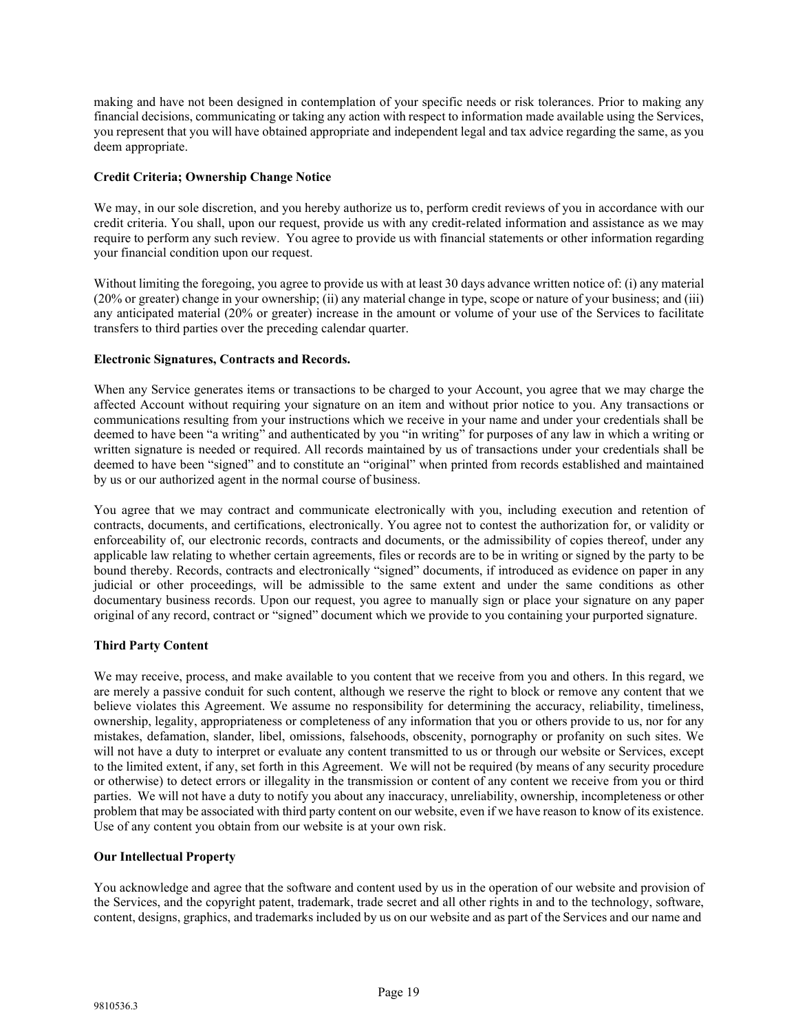making and have not been designed in contemplation of your specific needs or risk tolerances. Prior to making any financial decisions, communicating or taking any action with respect to information made available using the Services, you represent that you will have obtained appropriate and independent legal and tax advice regarding the same, as you deem appropriate.

# **Credit Criteria; Ownership Change Notice**

We may, in our sole discretion, and you hereby authorize us to, perform credit reviews of you in accordance with our credit criteria. You shall, upon our request, provide us with any credit-related information and assistance as we may require to perform any such review. You agree to provide us with financial statements or other information regarding your financial condition upon our request.

Without limiting the foregoing, you agree to provide us with at least 30 days advance written notice of: (i) any material (20% or greater) change in your ownership; (ii) any material change in type, scope or nature of your business; and (iii) any anticipated material (20% or greater) increase in the amount or volume of your use of the Services to facilitate transfers to third parties over the preceding calendar quarter.

## **Electronic Signatures, Contracts and Records.**

When any Service generates items or transactions to be charged to your Account, you agree that we may charge the affected Account without requiring your signature on an item and without prior notice to you. Any transactions or communications resulting from your instructions which we receive in your name and under your credentials shall be deemed to have been "a writing" and authenticated by you "in writing" for purposes of any law in which a writing or written signature is needed or required. All records maintained by us of transactions under your credentials shall be deemed to have been "signed" and to constitute an "original" when printed from records established and maintained by us or our authorized agent in the normal course of business.

You agree that we may contract and communicate electronically with you, including execution and retention of contracts, documents, and certifications, electronically. You agree not to contest the authorization for, or validity or enforceability of, our electronic records, contracts and documents, or the admissibility of copies thereof, under any applicable law relating to whether certain agreements, files or records are to be in writing or signed by the party to be bound thereby. Records, contracts and electronically "signed" documents, if introduced as evidence on paper in any judicial or other proceedings, will be admissible to the same extent and under the same conditions as other documentary business records. Upon our request, you agree to manually sign or place your signature on any paper original of any record, contract or "signed" document which we provide to you containing your purported signature.

# **Third Party Content**

We may receive, process, and make available to you content that we receive from you and others. In this regard, we are merely a passive conduit for such content, although we reserve the right to block or remove any content that we believe violates this Agreement. We assume no responsibility for determining the accuracy, reliability, timeliness, ownership, legality, appropriateness or completeness of any information that you or others provide to us, nor for any mistakes, defamation, slander, libel, omissions, falsehoods, obscenity, pornography or profanity on such sites. We will not have a duty to interpret or evaluate any content transmitted to us or through our website or Services, except to the limited extent, if any, set forth in this Agreement. We will not be required (by means of any security procedure or otherwise) to detect errors or illegality in the transmission or content of any content we receive from you or third parties. We will not have a duty to notify you about any inaccuracy, unreliability, ownership, incompleteness or other problem that may be associated with third party content on our website, even if we have reason to know of its existence. Use of any content you obtain from our website is at your own risk.

# **Our Intellectual Property**

You acknowledge and agree that the software and content used by us in the operation of our website and provision of the Services, and the copyright patent, trademark, trade secret and all other rights in and to the technology, software, content, designs, graphics, and trademarks included by us on our website and as part of the Services and our name and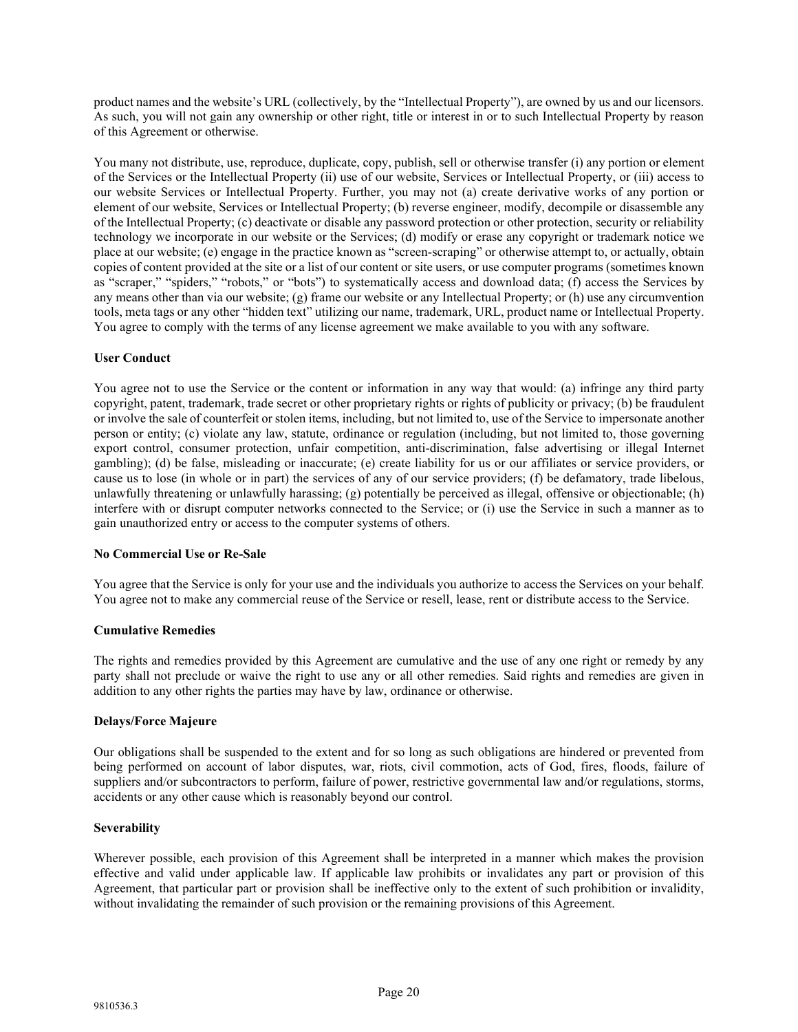product names and the website's URL (collectively, by the "Intellectual Property"), are owned by us and our licensors. As such, you will not gain any ownership or other right, title or interest in or to such Intellectual Property by reason of this Agreement or otherwise.

You many not distribute, use, reproduce, duplicate, copy, publish, sell or otherwise transfer (i) any portion or element of the Services or the Intellectual Property (ii) use of our website, Services or Intellectual Property, or (iii) access to our website Services or Intellectual Property. Further, you may not (a) create derivative works of any portion or element of our website, Services or Intellectual Property; (b) reverse engineer, modify, decompile or disassemble any of the Intellectual Property; (c) deactivate or disable any password protection or other protection, security or reliability technology we incorporate in our website or the Services; (d) modify or erase any copyright or trademark notice we place at our website; (e) engage in the practice known as "screen-scraping" or otherwise attempt to, or actually, obtain copies of content provided at the site or a list of our content or site users, or use computer programs (sometimes known as "scraper," "spiders," "robots," or "bots") to systematically access and download data; (f) access the Services by any means other than via our website; (g) frame our website or any Intellectual Property; or (h) use any circumvention tools, meta tags or any other "hidden text" utilizing our name, trademark, URL, product name or Intellectual Property. You agree to comply with the terms of any license agreement we make available to you with any software.

# **User Conduct**

You agree not to use the Service or the content or information in any way that would: (a) infringe any third party copyright, patent, trademark, trade secret or other proprietary rights or rights of publicity or privacy; (b) be fraudulent or involve the sale of counterfeit or stolen items, including, but not limited to, use of the Service to impersonate another person or entity; (c) violate any law, statute, ordinance or regulation (including, but not limited to, those governing export control, consumer protection, unfair competition, anti-discrimination, false advertising or illegal Internet gambling); (d) be false, misleading or inaccurate; (e) create liability for us or our affiliates or service providers, or cause us to lose (in whole or in part) the services of any of our service providers; (f) be defamatory, trade libelous, unlawfully threatening or unlawfully harassing; (g) potentially be perceived as illegal, offensive or objectionable; (h) interfere with or disrupt computer networks connected to the Service; or (i) use the Service in such a manner as to gain unauthorized entry or access to the computer systems of others.

# **No Commercial Use or Re-Sale**

You agree that the Service is only for your use and the individuals you authorize to access the Services on your behalf. You agree not to make any commercial reuse of the Service or resell, lease, rent or distribute access to the Service.

# **Cumulative Remedies**

The rights and remedies provided by this Agreement are cumulative and the use of any one right or remedy by any party shall not preclude or waive the right to use any or all other remedies. Said rights and remedies are given in addition to any other rights the parties may have by law, ordinance or otherwise.

# **Delays/Force Majeure**

Our obligations shall be suspended to the extent and for so long as such obligations are hindered or prevented from being performed on account of labor disputes, war, riots, civil commotion, acts of God, fires, floods, failure of suppliers and/or subcontractors to perform, failure of power, restrictive governmental law and/or regulations, storms, accidents or any other cause which is reasonably beyond our control.

# **Severability**

Wherever possible, each provision of this Agreement shall be interpreted in a manner which makes the provision effective and valid under applicable law. If applicable law prohibits or invalidates any part or provision of this Agreement, that particular part or provision shall be ineffective only to the extent of such prohibition or invalidity, without invalidating the remainder of such provision or the remaining provisions of this Agreement.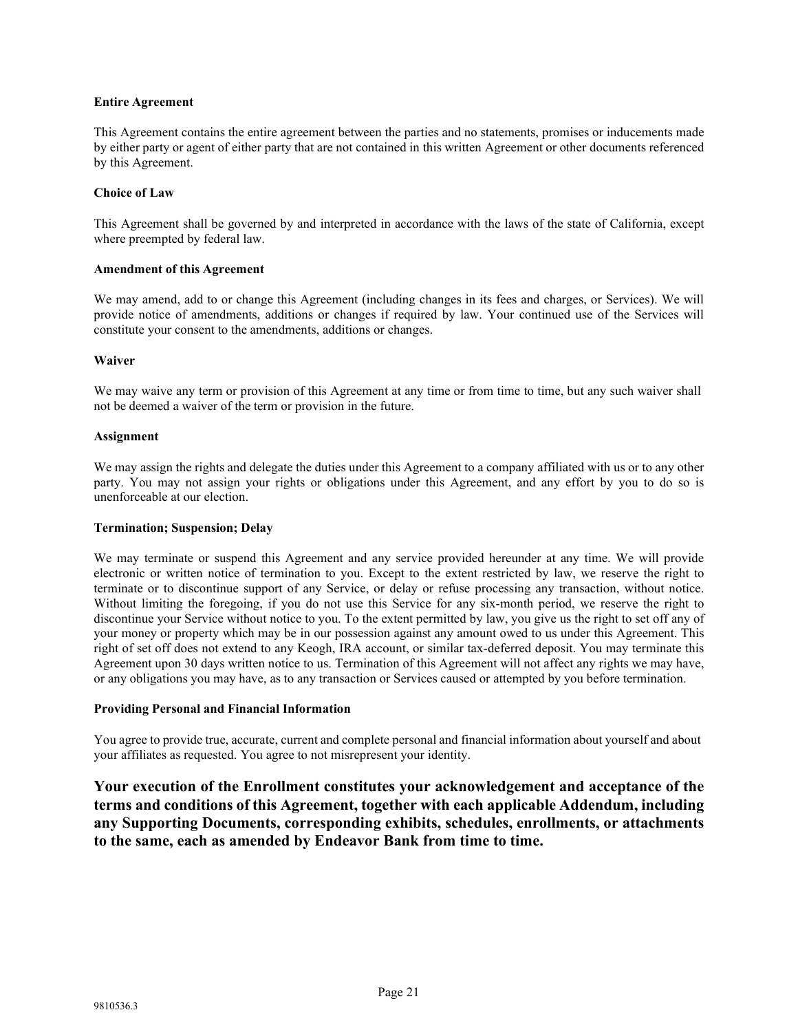## **Entire Agreement**

This Agreement contains the entire agreement between the parties and no statements, promises or inducements made by either party or agent of either party that are not contained in this written Agreement or other documents referenced by this Agreement.

## **Choice of Law**

This Agreement shall be governed by and interpreted in accordance with the laws of the state of California, except where preempted by federal law.

## **Amendment of this Agreement**

We may amend, add to or change this Agreement (including changes in its fees and charges, or Services). We will provide notice of amendments, additions or changes if required by law. Your continued use of the Services will constitute your consent to the amendments, additions or changes.

#### **Waiver**

We may waive any term or provision of this Agreement at any time or from time to time, but any such waiver shall not be deemed a waiver of the term or provision in the future.

#### **Assignment**

We may assign the rights and delegate the duties under this Agreement to a company affiliated with us or to any other party. You may not assign your rights or obligations under this Agreement, and any effort by you to do so is unenforceable at our election.

#### **Termination; Suspension; Delay**

We may terminate or suspend this Agreement and any service provided hereunder at any time. We will provide electronic or written notice of termination to you. Except to the extent restricted by law, we reserve the right to terminate or to discontinue support of any Service, or delay or refuse processing any transaction, without notice. Without limiting the foregoing, if you do not use this Service for any six-month period, we reserve the right to discontinue your Service without notice to you. To the extent permitted by law, you give us the right to set off any of your money or property which may be in our possession against any amount owed to us under this Agreement. This right of set off does not extend to any Keogh, IRA account, or similar tax-deferred deposit. You may terminate this Agreement upon 30 days written notice to us. Termination of this Agreement will not affect any rights we may have, or any obligations you may have, as to any transaction or Services caused or attempted by you before termination.

# **Providing Personal and Financial Information**

You agree to provide true, accurate, current and complete personal and financial information about yourself and about your affiliates as requested. You agree to not misrepresent your identity.

**Your execution of the Enrollment constitutes your acknowledgement and acceptance of the terms and conditions of this Agreement, together with each applicable Addendum, including any Supporting Documents, corresponding exhibits, schedules, enrollments, or attachments to the same, each as amended by Endeavor Bank from time to time.**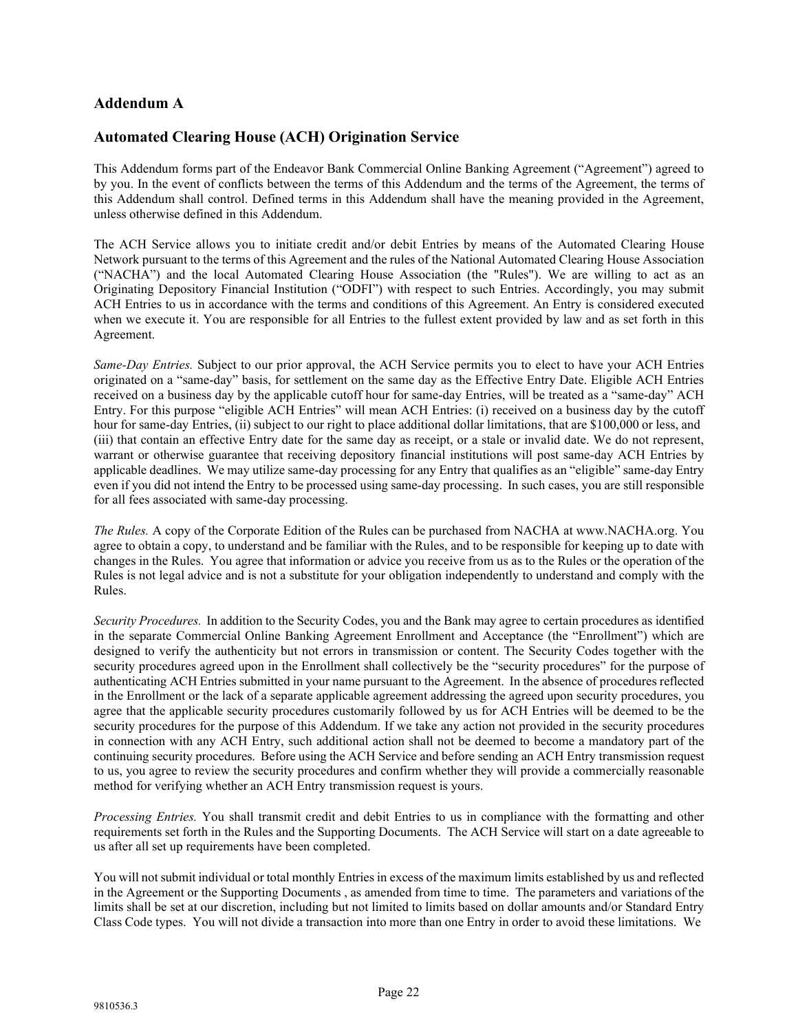# **Addendum A**

# **Automated Clearing House (ACH) Origination Service**

This Addendum forms part of the Endeavor Bank Commercial Online Banking Agreement ("Agreement") agreed to by you. In the event of conflicts between the terms of this Addendum and the terms of the Agreement, the terms of this Addendum shall control. Defined terms in this Addendum shall have the meaning provided in the Agreement, unless otherwise defined in this Addendum.

The ACH Service allows you to initiate credit and/or debit Entries by means of the Automated Clearing House Network pursuant to the terms of this Agreement and the rules of the National Automated Clearing House Association ("NACHA") and the local Automated Clearing House Association (the "Rules"). We are willing to act as an Originating Depository Financial Institution ("ODFI") with respect to such Entries. Accordingly, you may submit ACH Entries to us in accordance with the terms and conditions of this Agreement. An Entry is considered executed when we execute it. You are responsible for all Entries to the fullest extent provided by law and as set forth in this Agreement.

*Same-Day Entries.* Subject to our prior approval, the ACH Service permits you to elect to have your ACH Entries originated on a "same-day" basis, for settlement on the same day as the Effective Entry Date. Eligible ACH Entries received on a business day by the applicable cutoff hour for same-day Entries, will be treated as a "same-day" ACH Entry. For this purpose "eligible ACH Entries" will mean ACH Entries: (i) received on a business day by the cutoff hour for same-day Entries, (ii) subject to our right to place additional dollar limitations, that are \$100,000 or less, and (iii) that contain an effective Entry date for the same day as receipt, or a stale or invalid date. We do not represent, warrant or otherwise guarantee that receiving depository financial institutions will post same-day ACH Entries by applicable deadlines. We may utilize same-day processing for any Entry that qualifies as an "eligible" same-day Entry even if you did not intend the Entry to be processed using same-day processing. In such cases, you are still responsible for all fees associated with same-day processing.

*The Rules.* A copy of the Corporate Edition of the Rules can be purchased from NACHA at [www.NACHA.org.](http://www.nacha.org/) You agree to obtain a copy, to understand and be familiar with the Rules, and to be responsible for keeping up to date with changes in the Rules. You agree that information or advice you receive from us as to the Rules or the operation of the Rules is not legal advice and is not a substitute for your obligation independently to understand and comply with the Rules.

*Security Procedures.* In addition to the Security Codes, you and the Bank may agree to certain procedures as identified in the separate Commercial Online Banking Agreement Enrollment and Acceptance (the "Enrollment") which are designed to verify the authenticity but not errors in transmission or content. The Security Codes together with the security procedures agreed upon in the Enrollment shall collectively be the "security procedures" for the purpose of authenticating ACH Entries submitted in your name pursuant to the Agreement. In the absence of procedures reflected in the Enrollment or the lack of a separate applicable agreement addressing the agreed upon security procedures, you agree that the applicable security procedures customarily followed by us for ACH Entries will be deemed to be the security procedures for the purpose of this Addendum. If we take any action not provided in the security procedures in connection with any ACH Entry, such additional action shall not be deemed to become a mandatory part of the continuing security procedures. Before using the ACH Service and before sending an ACH Entry transmission request to us, you agree to review the security procedures and confirm whether they will provide a commercially reasonable method for verifying whether an ACH Entry transmission request is yours.

*Processing Entries.* You shall transmit credit and debit Entries to us in compliance with the formatting and other requirements set forth in the Rules and the Supporting Documents. The ACH Service will start on a date agreeable to us after all set up requirements have been completed.

You will not submit individual or total monthly Entries in excess of the maximum limits established by us and reflected in the Agreement or the Supporting Documents , as amended from time to time. The parameters and variations of the limits shall be set at our discretion, including but not limited to limits based on dollar amounts and/or Standard Entry Class Code types. You will not divide a transaction into more than one Entry in order to avoid these limitations. We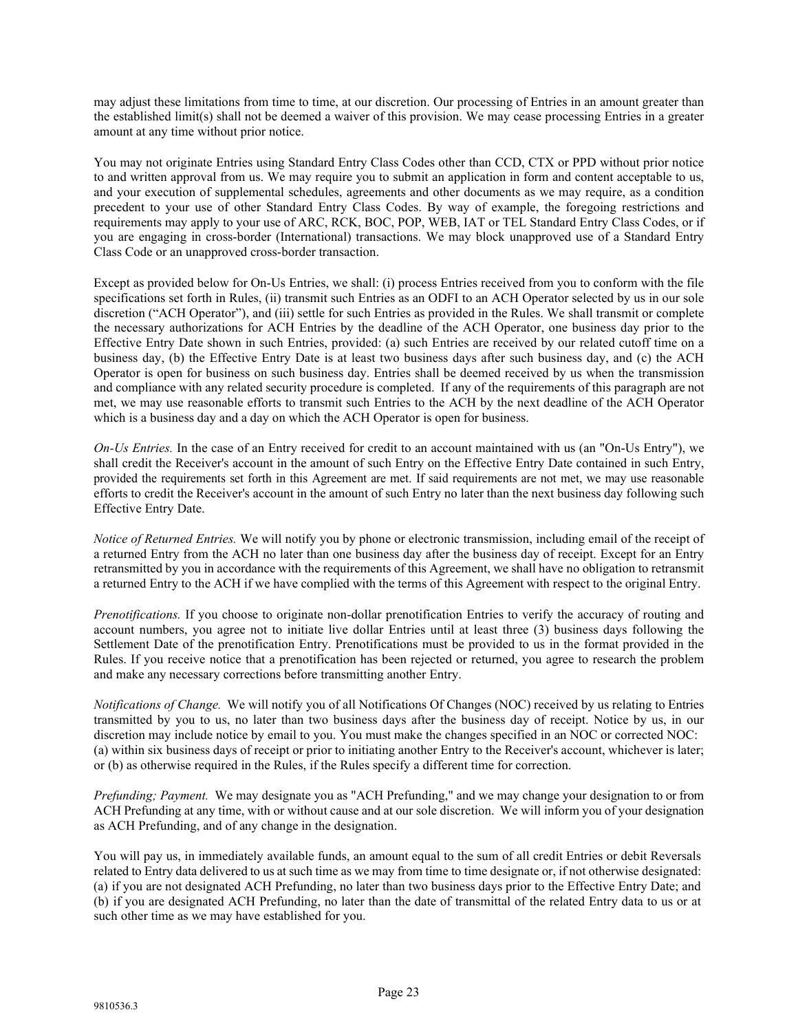may adjust these limitations from time to time, at our discretion. Our processing of Entries in an amount greater than the established limit(s) shall not be deemed a waiver of this provision. We may cease processing Entries in a greater amount at any time without prior notice.

You may not originate Entries using Standard Entry Class Codes other than CCD, CTX or PPD without prior notice to and written approval from us. We may require you to submit an application in form and content acceptable to us, and your execution of supplemental schedules, agreements and other documents as we may require, as a condition precedent to your use of other Standard Entry Class Codes. By way of example, the foregoing restrictions and requirements may apply to your use of ARC, RCK, BOC, POP, WEB, IAT or TEL Standard Entry Class Codes, or if you are engaging in cross-border (International) transactions. We may block unapproved use of a Standard Entry Class Code or an unapproved cross-border transaction.

Except as provided below for On-Us Entries, we shall: (i) process Entries received from you to conform with the file specifications set forth in Rules, (ii) transmit such Entries as an ODFI to an ACH Operator selected by us in our sole discretion ("ACH Operator"), and (iii) settle for such Entries as provided in the Rules. We shall transmit or complete the necessary authorizations for ACH Entries by the deadline of the ACH Operator, one business day prior to the Effective Entry Date shown in such Entries, provided: (a) such Entries are received by our related cutoff time on a business day, (b) the Effective Entry Date is at least two business days after such business day, and (c) the ACH Operator is open for business on such business day. Entries shall be deemed received by us when the transmission and compliance with any related security procedure is completed. If any of the requirements of this paragraph are not met, we may use reasonable efforts to transmit such Entries to the ACH by the next deadline of the ACH Operator which is a business day and a day on which the ACH Operator is open for business.

*On-Us Entries.* In the case of an Entry received for credit to an account maintained with us (an "On-Us Entry"), we shall credit the Receiver's account in the amount of such Entry on the Effective Entry Date contained in such Entry, provided the requirements set forth in this Agreement are met. If said requirements are not met, we may use reasonable efforts to credit the Receiver's account in the amount of such Entry no later than the next business day following such Effective Entry Date.

*Notice of Returned Entries.* We will notify you by phone or electronic transmission, including email of the receipt of a returned Entry from the ACH no later than one business day after the business day of receipt. Except for an Entry retransmitted by you in accordance with the requirements of this Agreement, we shall have no obligation to retransmit a returned Entry to the ACH if we have complied with the terms of this Agreement with respect to the original Entry.

*Prenotifications.* If you choose to originate non-dollar prenotification Entries to verify the accuracy of routing and account numbers, you agree not to initiate live dollar Entries until at least three (3) business days following the Settlement Date of the prenotification Entry. Prenotifications must be provided to us in the format provided in the Rules. If you receive notice that a prenotification has been rejected or returned, you agree to research the problem and make any necessary corrections before transmitting another Entry.

*Notifications of Change.* We will notify you of all Notifications Of Changes (NOC) received by us relating to Entries transmitted by you to us, no later than two business days after the business day of receipt. Notice by us, in our discretion may include notice by email to you. You must make the changes specified in an NOC or corrected NOC: (a) within six business days of receipt or prior to initiating another Entry to the Receiver's account, whichever is later; or (b) as otherwise required in the Rules, if the Rules specify a different time for correction.

*Prefunding; Payment.* We may designate you as "ACH Prefunding," and we may change your designation to or from ACH Prefunding at any time, with or without cause and at our sole discretion. We will inform you of your designation as ACH Prefunding, and of any change in the designation.

You will pay us, in immediately available funds, an amount equal to the sum of all credit Entries or debit Reversals related to Entry data delivered to us at such time as we may from time to time designate or, if not otherwise designated: (a) if you are not designated ACH Prefunding, no later than two business days prior to the Effective Entry Date; and (b) if you are designated ACH Prefunding, no later than the date of transmittal of the related Entry data to us or at such other time as we may have established for you.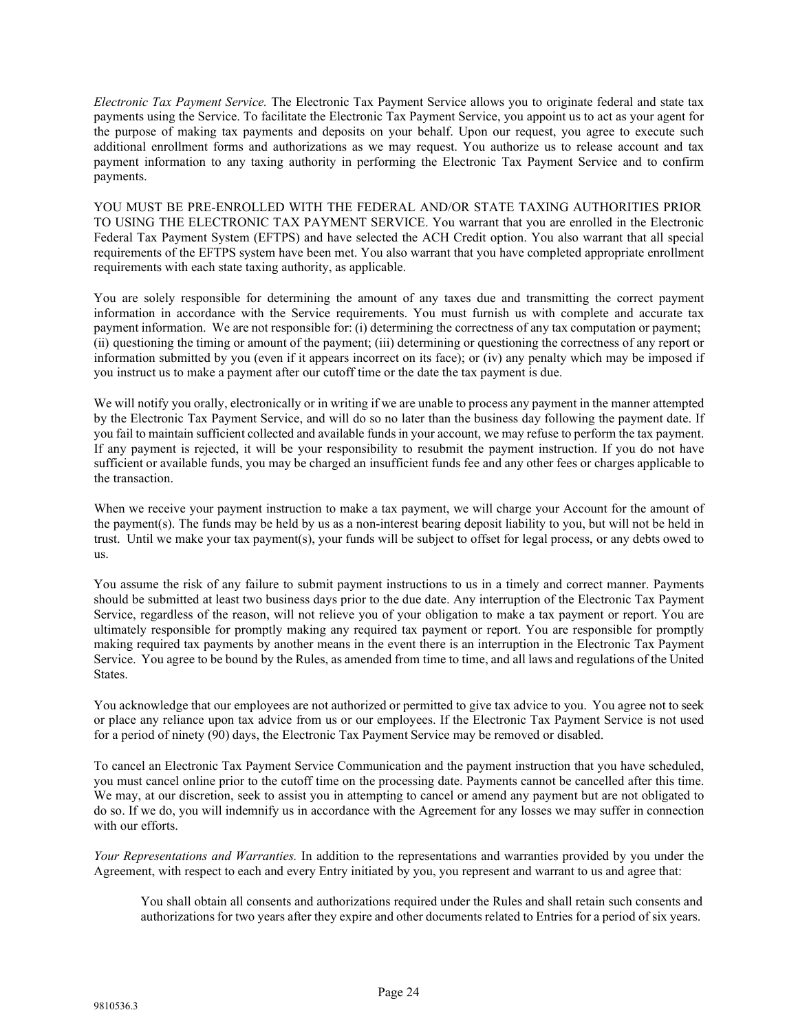*Electronic Tax Payment Service.* The Electronic Tax Payment Service allows you to originate federal and state tax payments using the Service. To facilitate the Electronic Tax Payment Service, you appoint us to act as your agent for the purpose of making tax payments and deposits on your behalf. Upon our request, you agree to execute such additional enrollment forms and authorizations as we may request. You authorize us to release account and tax payment information to any taxing authority in performing the Electronic Tax Payment Service and to confirm payments.

YOU MUST BE PRE-ENROLLED WITH THE FEDERAL AND/OR STATE TAXING AUTHORITIES PRIOR TO USING THE ELECTRONIC TAX PAYMENT SERVICE. You warrant that you are enrolled in the Electronic Federal Tax Payment System (EFTPS) and have selected the ACH Credit option. You also warrant that all special requirements of the EFTPS system have been met. You also warrant that you have completed appropriate enrollment requirements with each state taxing authority, as applicable.

You are solely responsible for determining the amount of any taxes due and transmitting the correct payment information in accordance with the Service requirements. You must furnish us with complete and accurate tax payment information. We are not responsible for: (i) determining the correctness of any tax computation or payment; (ii) questioning the timing or amount of the payment; (iii) determining or questioning the correctness of any report or information submitted by you (even if it appears incorrect on its face); or (iv) any penalty which may be imposed if you instruct us to make a payment after our cutoff time or the date the tax payment is due.

We will notify you orally, electronically or in writing if we are unable to process any payment in the manner attempted by the Electronic Tax Payment Service, and will do so no later than the business day following the payment date. If you fail to maintain sufficient collected and available fundsin your account, we may refuse to perform the tax payment. If any payment is rejected, it will be your responsibility to resubmit the payment instruction. If you do not have sufficient or available funds, you may be charged an insufficient funds fee and any other fees or charges applicable to the transaction.

When we receive your payment instruction to make a tax payment, we will charge your Account for the amount of the payment(s). The funds may be held by us as a non-interest bearing deposit liability to you, but will not be held in trust. Until we make your tax payment(s), your funds will be subject to offset for legal process, or any debts owed to us.

You assume the risk of any failure to submit payment instructions to us in a timely and correct manner. Payments should be submitted at least two business days prior to the due date. Any interruption of the Electronic Tax Payment Service, regardless of the reason, will not relieve you of your obligation to make a tax payment or report. You are ultimately responsible for promptly making any required tax payment or report. You are responsible for promptly making required tax payments by another means in the event there is an interruption in the Electronic Tax Payment Service. You agree to be bound by the Rules, as amended from time to time, and all laws and regulations of the United States.

You acknowledge that our employees are not authorized or permitted to give tax advice to you. You agree not to seek or place any reliance upon tax advice from us or our employees. If the Electronic Tax Payment Service is not used for a period of ninety (90) days, the Electronic Tax Payment Service may be removed or disabled.

To cancel an Electronic Tax Payment Service Communication and the payment instruction that you have scheduled, you must cancel online prior to the cutoff time on the processing date. Payments cannot be cancelled after this time. We may, at our discretion, seek to assist you in attempting to cancel or amend any payment but are not obligated to do so. If we do, you will indemnify us in accordance with the Agreement for any losses we may suffer in connection with our efforts.

*Your Representations and Warranties.* In addition to the representations and warranties provided by you under the Agreement, with respect to each and every Entry initiated by you, you represent and warrant to us and agree that:

You shall obtain all consents and authorizations required under the Rules and shall retain such consents and authorizations for two years after they expire and other documents related to Entries for a period of six years.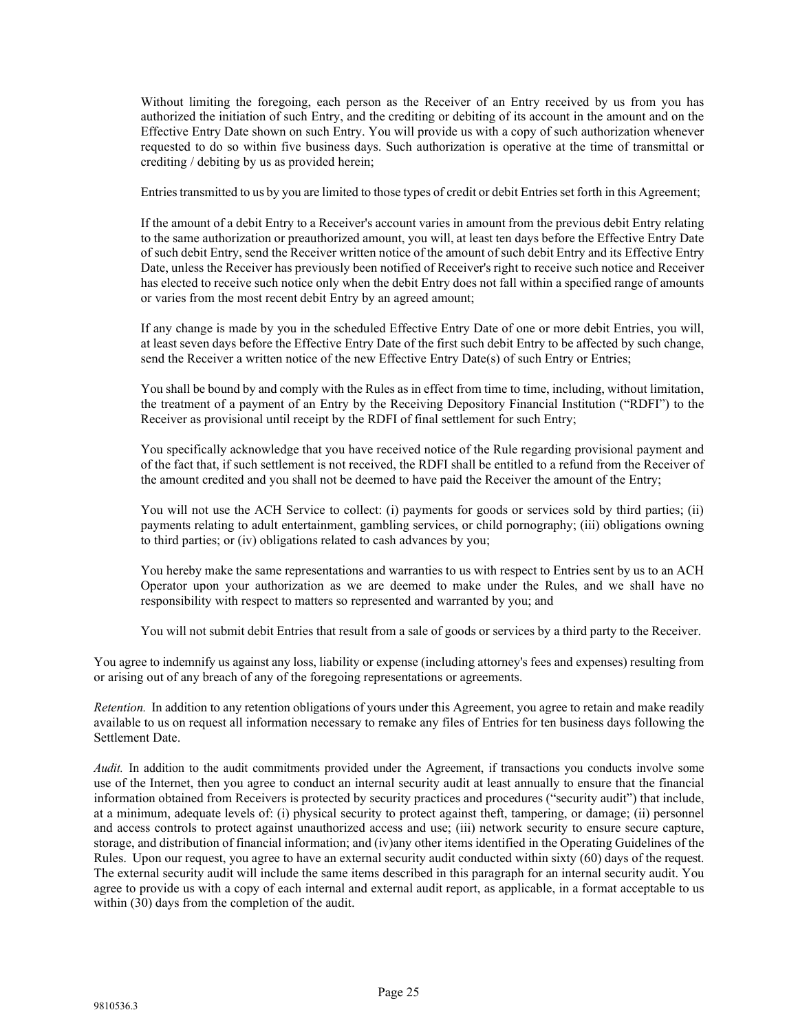Without limiting the foregoing, each person as the Receiver of an Entry received by us from you has authorized the initiation of such Entry, and the crediting or debiting of its account in the amount and on the Effective Entry Date shown on such Entry. You will provide us with a copy of such authorization whenever requested to do so within five business days. Such authorization is operative at the time of transmittal or crediting / debiting by us as provided herein;

Entries transmitted to us by you are limited to those types of credit or debit Entries set forth in this Agreement;

If the amount of a debit Entry to a Receiver's account varies in amount from the previous debit Entry relating to the same authorization or preauthorized amount, you will, at least ten days before the Effective Entry Date of such debit Entry, send the Receiver written notice of the amount of such debit Entry and its Effective Entry Date, unless the Receiver has previously been notified of Receiver's right to receive such notice and Receiver has elected to receive such notice only when the debit Entry does not fall within a specified range of amounts or varies from the most recent debit Entry by an agreed amount;

If any change is made by you in the scheduled Effective Entry Date of one or more debit Entries, you will, at least seven days before the Effective Entry Date of the first such debit Entry to be affected by such change, send the Receiver a written notice of the new Effective Entry Date(s) of such Entry or Entries;

You shall be bound by and comply with the Rules as in effect from time to time, including, without limitation, the treatment of a payment of an Entry by the Receiving Depository Financial Institution ("RDFI") to the Receiver as provisional until receipt by the RDFI of final settlement for such Entry;

You specifically acknowledge that you have received notice of the Rule regarding provisional payment and of the fact that, if such settlement is not received, the RDFI shall be entitled to a refund from the Receiver of the amount credited and you shall not be deemed to have paid the Receiver the amount of the Entry;

You will not use the ACH Service to collect: (i) payments for goods or services sold by third parties; (ii) payments relating to adult entertainment, gambling services, or child pornography; (iii) obligations owning to third parties; or (iv) obligations related to cash advances by you;

You hereby make the same representations and warranties to us with respect to Entries sent by us to an ACH Operator upon your authorization as we are deemed to make under the Rules, and we shall have no responsibility with respect to matters so represented and warranted by you; and

You will not submit debit Entries that result from a sale of goods or services by a third party to the Receiver.

You agree to indemnify us against any loss, liability or expense (including attorney's fees and expenses) resulting from or arising out of any breach of any of the foregoing representations or agreements.

*Retention.* In addition to any retention obligations of yours under this Agreement, you agree to retain and make readily available to us on request all information necessary to remake any files of Entries for ten business days following the Settlement Date.

*Audit.* In addition to the audit commitments provided under the Agreement, if transactions you conducts involve some use of the Internet, then you agree to conduct an internal security audit at least annually to ensure that the financial information obtained from Receivers is protected by security practices and procedures ("security audit") that include, at a minimum, adequate levels of: (i) physical security to protect against theft, tampering, or damage; (ii) personnel and access controls to protect against unauthorized access and use; (iii) network security to ensure secure capture, storage, and distribution of financial information; and (iv)any other items identified in the Operating Guidelines of the Rules. Upon our request, you agree to have an external security audit conducted within sixty (60) days of the request. The external security audit will include the same items described in this paragraph for an internal security audit. You agree to provide us with a copy of each internal and external audit report, as applicable, in a format acceptable to us within (30) days from the completion of the audit.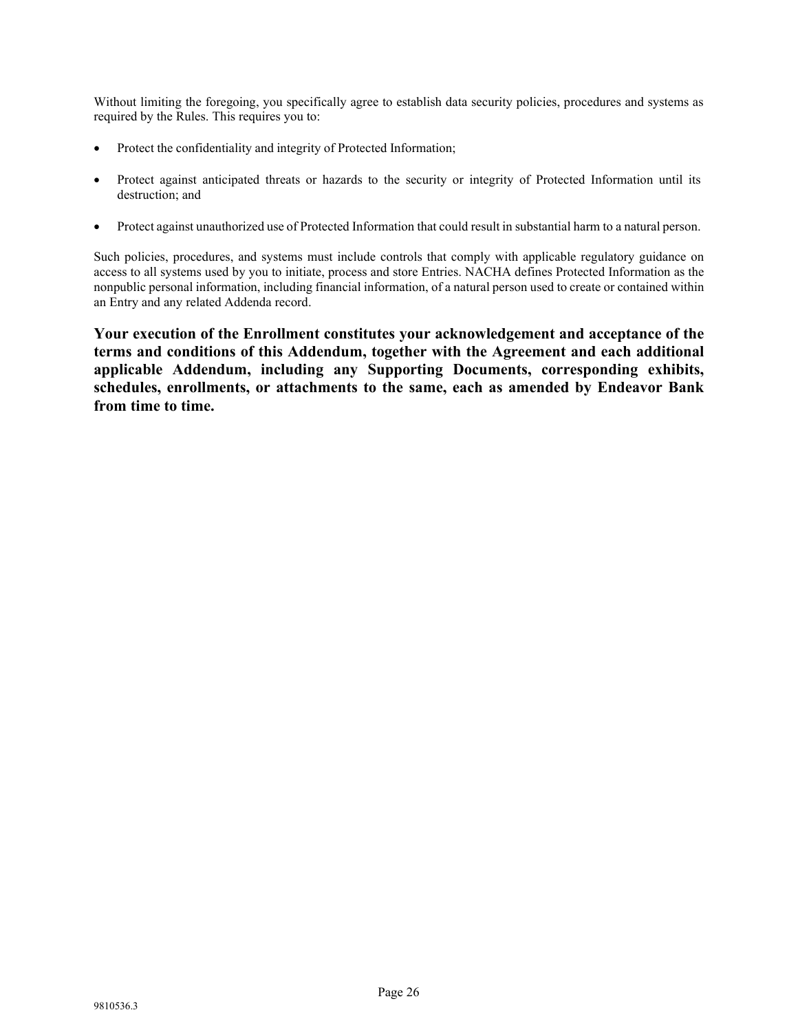Without limiting the foregoing, you specifically agree to establish data security policies, procedures and systems as required by the Rules. This requires you to:

- Protect the confidentiality and integrity of Protected Information;
- Protect against anticipated threats or hazards to the security or integrity of Protected Information until its destruction; and
- Protect against unauthorized use of Protected Information that could result in substantial harm to a natural person.

Such policies, procedures, and systems must include controls that comply with applicable regulatory guidance on access to all systems used by you to initiate, process and store Entries. NACHA defines Protected Information as the nonpublic personal information, including financial information, of a natural person used to create or contained within an Entry and any related Addenda record.

**Your execution of the Enrollment constitutes your acknowledgement and acceptance of the terms and conditions of this Addendum, together with the Agreement and each additional applicable Addendum, including any Supporting Documents, corresponding exhibits, schedules, enrollments, or attachments to the same, each as amended by Endeavor Bank from time to time.**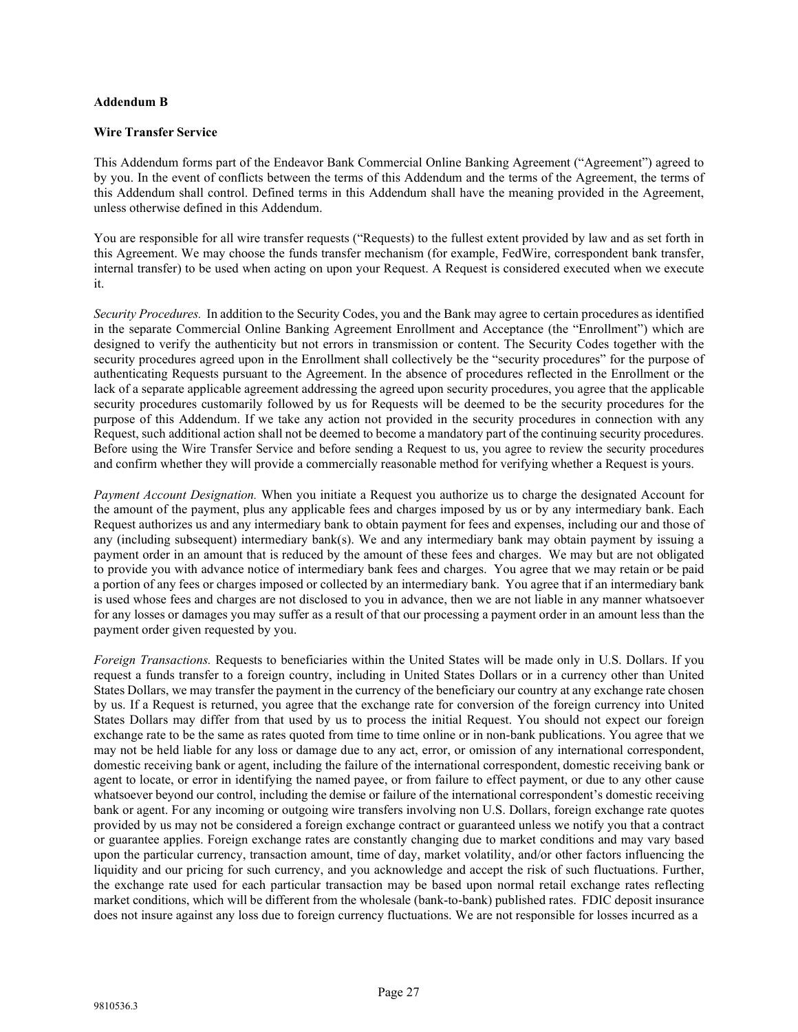## **Addendum B**

## **Wire Transfer Service**

This Addendum forms part of the Endeavor Bank Commercial Online Banking Agreement ("Agreement") agreed to by you. In the event of conflicts between the terms of this Addendum and the terms of the Agreement, the terms of this Addendum shall control. Defined terms in this Addendum shall have the meaning provided in the Agreement, unless otherwise defined in this Addendum.

You are responsible for all wire transfer requests ("Requests) to the fullest extent provided by law and as set forth in this Agreement. We may choose the funds transfer mechanism (for example, FedWire, correspondent bank transfer, internal transfer) to be used when acting on upon your Request. A Request is considered executed when we execute it.

*Security Procedures.* In addition to the Security Codes, you and the Bank may agree to certain procedures as identified in the separate Commercial Online Banking Agreement Enrollment and Acceptance (the "Enrollment") which are designed to verify the authenticity but not errors in transmission or content. The Security Codes together with the security procedures agreed upon in the Enrollment shall collectively be the "security procedures" for the purpose of authenticating Requests pursuant to the Agreement. In the absence of procedures reflected in the Enrollment or the lack of a separate applicable agreement addressing the agreed upon security procedures, you agree that the applicable security procedures customarily followed by us for Requests will be deemed to be the security procedures for the purpose of this Addendum. If we take any action not provided in the security procedures in connection with any Request, such additional action shall not be deemed to become a mandatory part of the continuing security procedures. Before using the Wire Transfer Service and before sending a Request to us, you agree to review the security procedures and confirm whether they will provide a commercially reasonable method for verifying whether a Request is yours.

*Payment Account Designation.* When you initiate a Request you authorize us to charge the designated Account for the amount of the payment, plus any applicable fees and charges imposed by us or by any intermediary bank. Each Request authorizes us and any intermediary bank to obtain payment for fees and expenses, including our and those of any (including subsequent) intermediary bank(s). We and any intermediary bank may obtain payment by issuing a payment order in an amount that is reduced by the amount of these fees and charges. We may but are not obligated to provide you with advance notice of intermediary bank fees and charges. You agree that we may retain or be paid a portion of any fees or charges imposed or collected by an intermediary bank. You agree that if an intermediary bank is used whose fees and charges are not disclosed to you in advance, then we are not liable in any manner whatsoever for any losses or damages you may suffer as a result of that our processing a payment order in an amount less than the payment order given requested by you.

*Foreign Transactions.* Requests to beneficiaries within the United States will be made only in U.S. Dollars. If you request a funds transfer to a foreign country, including in United States Dollars or in a currency other than United States Dollars, we may transfer the payment in the currency of the beneficiary our country at any exchange rate chosen by us. If a Request is returned, you agree that the exchange rate for conversion of the foreign currency into United States Dollars may differ from that used by us to process the initial Request. You should not expect our foreign exchange rate to be the same as rates quoted from time to time online or in non-bank publications. You agree that we may not be held liable for any loss or damage due to any act, error, or omission of any international correspondent, domestic receiving bank or agent, including the failure of the international correspondent, domestic receiving bank or agent to locate, or error in identifying the named payee, or from failure to effect payment, or due to any other cause whatsoever beyond our control, including the demise or failure of the international correspondent's domestic receiving bank or agent. For any incoming or outgoing wire transfers involving non U.S. Dollars, foreign exchange rate quotes provided by us may not be considered a foreign exchange contract or guaranteed unless we notify you that a contract or guarantee applies. Foreign exchange rates are constantly changing due to market conditions and may vary based upon the particular currency, transaction amount, time of day, market volatility, and/or other factors influencing the liquidity and our pricing for such currency, and you acknowledge and accept the risk of such fluctuations. Further, the exchange rate used for each particular transaction may be based upon normal retail exchange rates reflecting market conditions, which will be different from the wholesale (bank-to-bank) published rates. FDIC deposit insurance does not insure against any loss due to foreign currency fluctuations. We are not responsible for losses incurred as a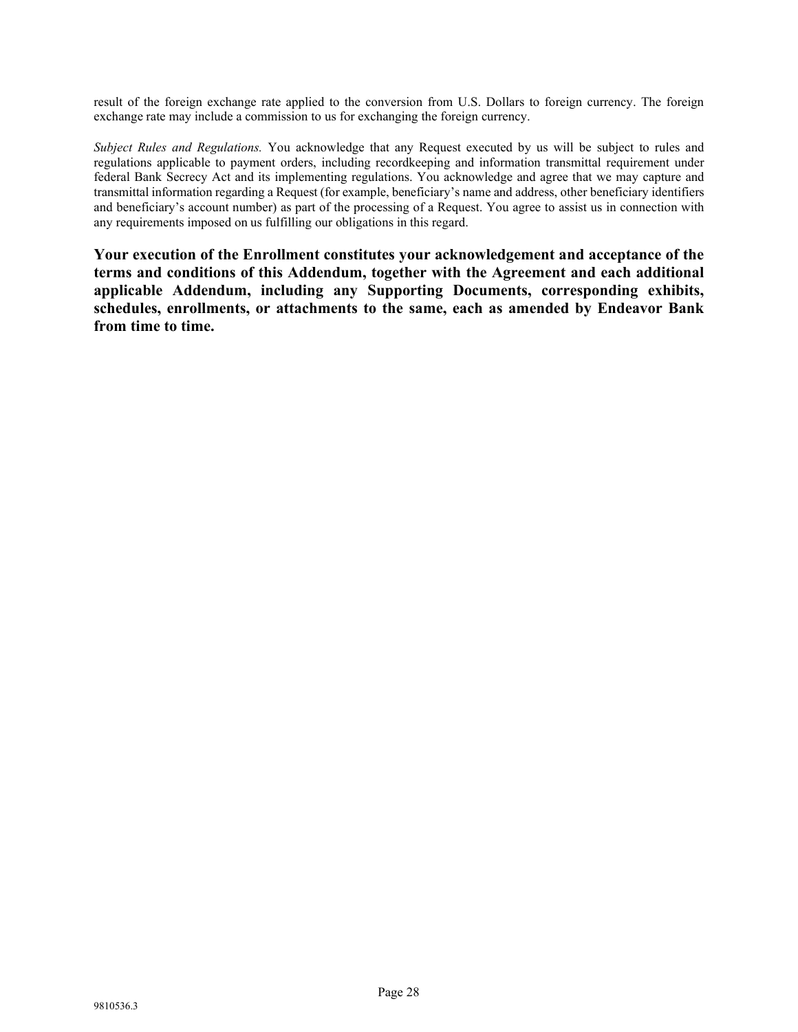result of the foreign exchange rate applied to the conversion from U.S. Dollars to foreign currency. The foreign exchange rate may include a commission to us for exchanging the foreign currency.

*Subject Rules and Regulations.* You acknowledge that any Request executed by us will be subject to rules and regulations applicable to payment orders, including recordkeeping and information transmittal requirement under federal Bank Secrecy Act and its implementing regulations. You acknowledge and agree that we may capture and transmittal information regarding a Request (for example, beneficiary's name and address, other beneficiary identifiers and beneficiary's account number) as part of the processing of a Request. You agree to assist us in connection with any requirements imposed on us fulfilling our obligations in this regard.

**Your execution of the Enrollment constitutes your acknowledgement and acceptance of the terms and conditions of this Addendum, together with the Agreement and each additional applicable Addendum, including any Supporting Documents, corresponding exhibits, schedules, enrollments, or attachments to the same, each as amended by Endeavor Bank from time to time.**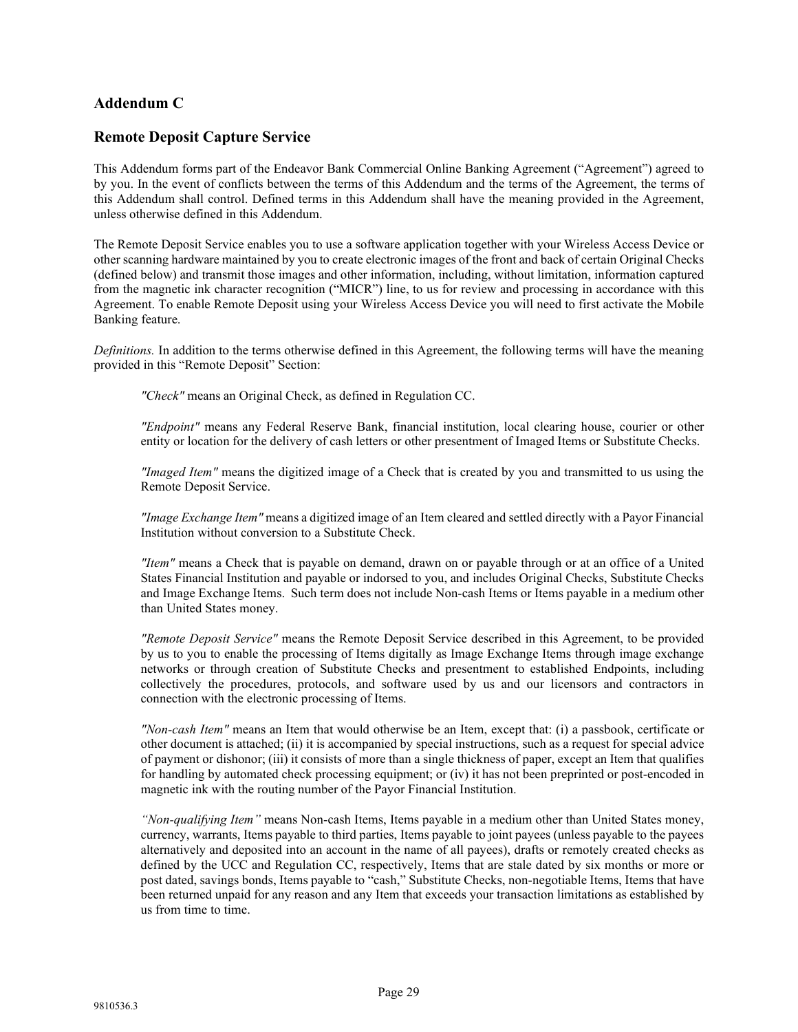# **Addendum C**

# **Remote Deposit Capture Service**

This Addendum forms part of the Endeavor Bank Commercial Online Banking Agreement ("Agreement") agreed to by you. In the event of conflicts between the terms of this Addendum and the terms of the Agreement, the terms of this Addendum shall control. Defined terms in this Addendum shall have the meaning provided in the Agreement, unless otherwise defined in this Addendum.

The Remote Deposit Service enables you to use a software application together with your Wireless Access Device or other scanning hardware maintained by you to create electronic images of the front and back of certain Original Checks (defined below) and transmit those images and other information, including, without limitation, information captured from the magnetic ink character recognition ("MICR") line, to us for review and processing in accordance with this Agreement. To enable Remote Deposit using your Wireless Access Device you will need to first activate the Mobile Banking feature.

*Definitions.* In addition to the terms otherwise defined in this Agreement, the following terms will have the meaning provided in this "Remote Deposit" Section:

*"Check"* means an Original Check, as defined in Regulation CC.

*"Endpoint"* means any Federal Reserve Bank, financial institution, local clearing house, courier or other entity or location for the delivery of cash letters or other presentment of Imaged Items or Substitute Checks.

*"Imaged Item"* means the digitized image of a Check that is created by you and transmitted to us using the Remote Deposit Service.

*"Image Exchange Item"* means a digitized image of an Item cleared and settled directly with a Payor Financial Institution without conversion to a Substitute Check.

*"Item"* means a Check that is payable on demand, drawn on or payable through or at an office of a United States Financial Institution and payable or indorsed to you, and includes Original Checks, Substitute Checks and Image Exchange Items. Such term does not include Non-cash Items or Items payable in a medium other than United States money.

*"Remote Deposit Service"* means the Remote Deposit Service described in this Agreement, to be provided by us to you to enable the processing of Items digitally as Image Exchange Items through image exchange networks or through creation of Substitute Checks and presentment to established Endpoints, including collectively the procedures, protocols, and software used by us and our licensors and contractors in connection with the electronic processing of Items.

*"Non-cash Item"* means an Item that would otherwise be an Item, except that: (i) a passbook, certificate or other document is attached; (ii) it is accompanied by special instructions, such as a request for special advice of payment or dishonor; (iii) it consists of more than a single thickness of paper, except an Item that qualifies for handling by automated check processing equipment; or (iv) it has not been preprinted or post-encoded in magnetic ink with the routing number of the Payor Financial Institution.

*"Non-qualifying Item"* means Non-cash Items, Items payable in a medium other than United States money, currency, warrants, Items payable to third parties, Items payable to joint payees (unless payable to the payees alternatively and deposited into an account in the name of all payees), drafts or remotely created checks as defined by the UCC and Regulation CC, respectively, Items that are stale dated by six months or more or post dated, savings bonds, Items payable to "cash," Substitute Checks, non-negotiable Items, Items that have been returned unpaid for any reason and any Item that exceeds your transaction limitations as established by us from time to time.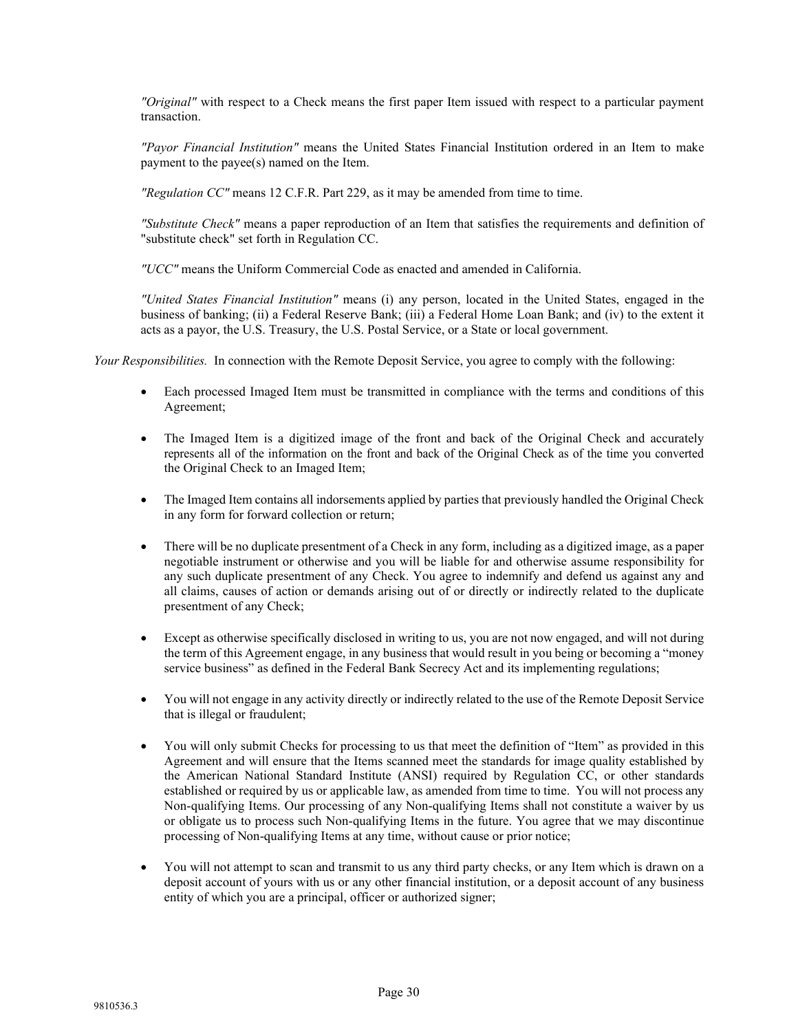*"Original"* with respect to a Check means the first paper Item issued with respect to a particular payment transaction.

*"Payor Financial Institution"* means the United States Financial Institution ordered in an Item to make payment to the payee(s) named on the Item.

*"Regulation CC"* means 12 C.F.R. Part 229, as it may be amended from time to time.

*"Substitute Check"* means a paper reproduction of an Item that satisfies the requirements and definition of "substitute check" set forth in Regulation CC.

*"UCC"* means the Uniform Commercial Code as enacted and amended in California.

*"United States Financial Institution"* means (i) any person, located in the United States, engaged in the business of banking; (ii) a Federal Reserve Bank; (iii) a Federal Home Loan Bank; and (iv) to the extent it acts as a payor, the U.S. Treasury, the U.S. Postal Service, or a State or local government.

*Your Responsibilities.* In connection with the Remote Deposit Service, you agree to comply with the following:

- Each processed Imaged Item must be transmitted in compliance with the terms and conditions of this Agreement;
- The Imaged Item is a digitized image of the front and back of the Original Check and accurately represents all of the information on the front and back of the Original Check as of the time you converted the Original Check to an Imaged Item;
- The Imaged Item contains all indorsements applied by parties that previously handled the Original Check in any form for forward collection or return;
- There will be no duplicate presentment of a Check in any form, including as a digitized image, as a paper negotiable instrument or otherwise and you will be liable for and otherwise assume responsibility for any such duplicate presentment of any Check. You agree to indemnify and defend us against any and all claims, causes of action or demands arising out of or directly or indirectly related to the duplicate presentment of any Check;
- Except as otherwise specifically disclosed in writing to us, you are not now engaged, and will not during the term of this Agreement engage, in any business that would result in you being or becoming a "money service business" as defined in the Federal Bank Secrecy Act and its implementing regulations;
- You will not engage in any activity directly or indirectly related to the use of the Remote Deposit Service that is illegal or fraudulent;
- You will only submit Checks for processing to us that meet the definition of "Item" as provided in this Agreement and will ensure that the Items scanned meet the standards for image quality established by the American National Standard Institute (ANSI) required by Regulation CC, or other standards established or required by us or applicable law, as amended from time to time. You will not process any Non-qualifying Items. Our processing of any Non-qualifying Items shall not constitute a waiver by us or obligate us to process such Non-qualifying Items in the future. You agree that we may discontinue processing of Non-qualifying Items at any time, without cause or prior notice;
- You will not attempt to scan and transmit to us any third party checks, or any Item which is drawn on a deposit account of yours with us or any other financial institution, or a deposit account of any business entity of which you are a principal, officer or authorized signer;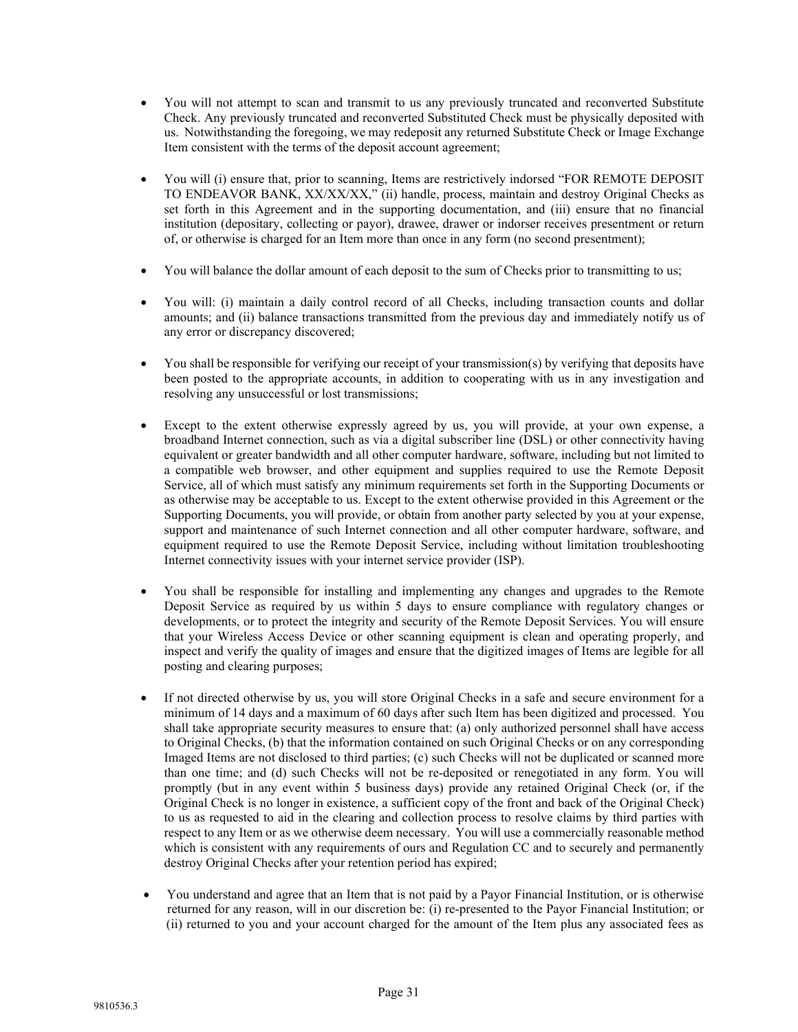- You will not attempt to scan and transmit to us any previously truncated and reconverted Substitute Check. Any previously truncated and reconverted Substituted Check must be physically deposited with us. Notwithstanding the foregoing, we may redeposit any returned Substitute Check or Image Exchange Item consistent with the terms of the deposit account agreement;
- You will (i) ensure that, prior to scanning, Items are restrictively indorsed "FOR REMOTE DEPOSIT TO ENDEAVOR BANK, XX/XX/XX," (ii) handle, process, maintain and destroy Original Checks as set forth in this Agreement and in the supporting documentation, and (iii) ensure that no financial institution (depositary, collecting or payor), drawee, drawer or indorser receives presentment or return of, or otherwise is charged for an Item more than once in any form (no second presentment);
- You will balance the dollar amount of each deposit to the sum of Checks prior to transmitting to us;
- You will: (i) maintain a daily control record of all Checks, including transaction counts and dollar amounts; and (ii) balance transactions transmitted from the previous day and immediately notify us of any error or discrepancy discovered;
- You shall be responsible for verifying our receipt of your transmission(s) by verifying that deposits have been posted to the appropriate accounts, in addition to cooperating with us in any investigation and resolving any unsuccessful or lost transmissions;
- Except to the extent otherwise expressly agreed by us, you will provide, at your own expense, a broadband Internet connection, such as via a digital subscriber line (DSL) or other connectivity having equivalent or greater bandwidth and all other computer hardware, software, including but not limited to a compatible web browser, and other equipment and supplies required to use the Remote Deposit Service, all of which must satisfy any minimum requirements set forth in the Supporting Documents or as otherwise may be acceptable to us. Except to the extent otherwise provided in this Agreement or the Supporting Documents, you will provide, or obtain from another party selected by you at your expense, support and maintenance of such Internet connection and all other computer hardware, software, and equipment required to use the Remote Deposit Service, including without limitation troubleshooting Internet connectivity issues with your internet service provider (ISP).
- You shall be responsible for installing and implementing any changes and upgrades to the Remote Deposit Service as required by us within 5 days to ensure compliance with regulatory changes or developments, or to protect the integrity and security of the Remote Deposit Services. You will ensure that your Wireless Access Device or other scanning equipment is clean and operating properly, and inspect and verify the quality of images and ensure that the digitized images of Items are legible for all posting and clearing purposes;
- If not directed otherwise by us, you will store Original Checks in a safe and secure environment for a minimum of 14 days and a maximum of 60 days after such Item has been digitized and processed. You shall take appropriate security measures to ensure that: (a) only authorized personnel shall have access to Original Checks, (b) that the information contained on such Original Checks or on any corresponding Imaged Items are not disclosed to third parties; (c) such Checks will not be duplicated or scanned more than one time; and (d) such Checks will not be re-deposited or renegotiated in any form. You will promptly (but in any event within 5 business days) provide any retained Original Check (or, if the Original Check is no longer in existence, a sufficient copy of the front and back of the Original Check) to us as requested to aid in the clearing and collection process to resolve claims by third parties with respect to any Item or as we otherwise deem necessary. You will use a commercially reasonable method which is consistent with any requirements of ours and Regulation CC and to securely and permanently destroy Original Checks after your retention period has expired;
- You understand and agree that an Item that is not paid by a Payor Financial Institution, or is otherwise returned for any reason, will in our discretion be: (i) re-presented to the Payor Financial Institution; or (ii) returned to you and your account charged for the amount of the Item plus any associated fees as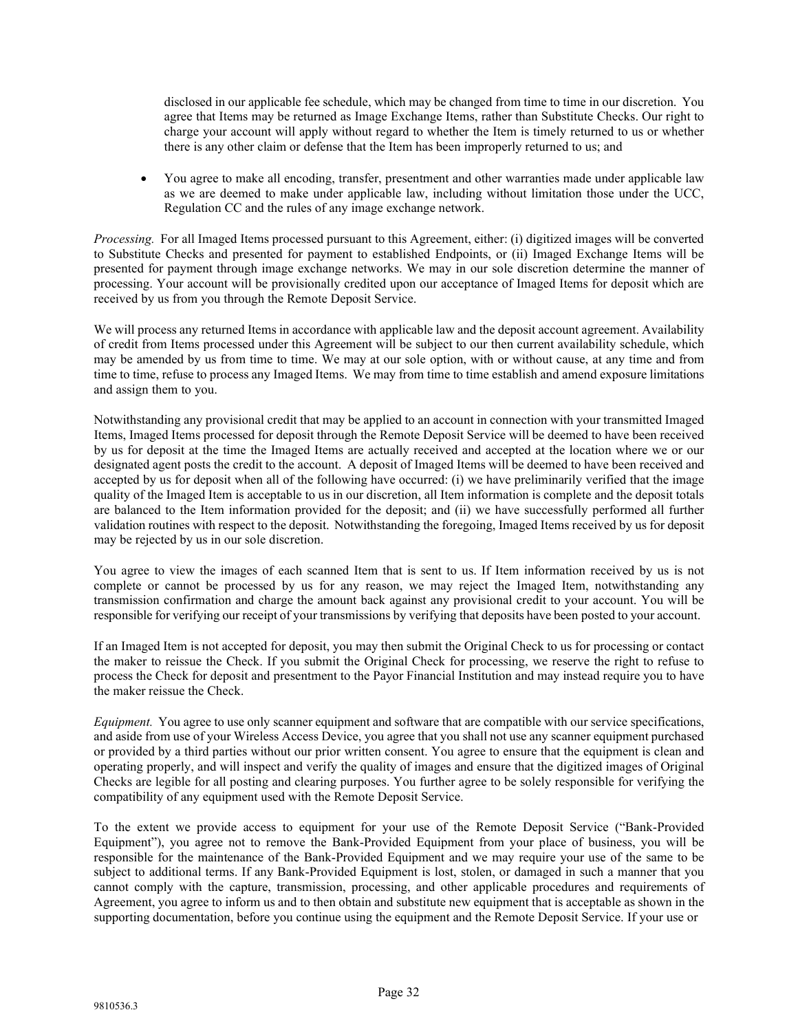disclosed in our applicable fee schedule, which may be changed from time to time in our discretion. You agree that Items may be returned as Image Exchange Items, rather than Substitute Checks. Our right to charge your account will apply without regard to whether the Item is timely returned to us or whether there is any other claim or defense that the Item has been improperly returned to us; and

• You agree to make all encoding, transfer, presentment and other warranties made under applicable law as we are deemed to make under applicable law, including without limitation those under the UCC, Regulation CC and the rules of any image exchange network.

*Processing.* For all Imaged Items processed pursuant to this Agreement, either: (i) digitized images will be converted to Substitute Checks and presented for payment to established Endpoints, or (ii) Imaged Exchange Items will be presented for payment through image exchange networks. We may in our sole discretion determine the manner of processing. Your account will be provisionally credited upon our acceptance of Imaged Items for deposit which are received by us from you through the Remote Deposit Service.

We will process any returned Items in accordance with applicable law and the deposit account agreement. Availability of credit from Items processed under this Agreement will be subject to our then current availability schedule, which may be amended by us from time to time. We may at our sole option, with or without cause, at any time and from time to time, refuse to process any Imaged Items. We may from time to time establish and amend exposure limitations and assign them to you.

Notwithstanding any provisional credit that may be applied to an account in connection with your transmitted Imaged Items, Imaged Items processed for deposit through the Remote Deposit Service will be deemed to have been received by us for deposit at the time the Imaged Items are actually received and accepted at the location where we or our designated agent posts the credit to the account. A deposit of Imaged Items will be deemed to have been received and accepted by us for deposit when all of the following have occurred: (i) we have preliminarily verified that the image quality of the Imaged Item is acceptable to us in our discretion, all Item information is complete and the deposit totals are balanced to the Item information provided for the deposit; and (ii) we have successfully performed all further validation routines with respect to the deposit. Notwithstanding the foregoing, Imaged Items received by us for deposit may be rejected by us in our sole discretion.

You agree to view the images of each scanned Item that is sent to us. If Item information received by us is not complete or cannot be processed by us for any reason, we may reject the Imaged Item, notwithstanding any transmission confirmation and charge the amount back against any provisional credit to your account. You will be responsible for verifying our receipt of your transmissions by verifying that deposits have been posted to your account.

If an Imaged Item is not accepted for deposit, you may then submit the Original Check to us for processing or contact the maker to reissue the Check. If you submit the Original Check for processing, we reserve the right to refuse to process the Check for deposit and presentment to the Payor Financial Institution and may instead require you to have the maker reissue the Check.

*Equipment.* You agree to use only scanner equipment and software that are compatible with our service specifications, and aside from use of your Wireless Access Device, you agree that you shall not use any scanner equipment purchased or provided by a third parties without our prior written consent. You agree to ensure that the equipment is clean and operating properly, and will inspect and verify the quality of images and ensure that the digitized images of Original Checks are legible for all posting and clearing purposes. You further agree to be solely responsible for verifying the compatibility of any equipment used with the Remote Deposit Service.

To the extent we provide access to equipment for your use of the Remote Deposit Service ("Bank-Provided Equipment"), you agree not to remove the Bank-Provided Equipment from your place of business, you will be responsible for the maintenance of the Bank-Provided Equipment and we may require your use of the same to be subject to additional terms. If any Bank-Provided Equipment is lost, stolen, or damaged in such a manner that you cannot comply with the capture, transmission, processing, and other applicable procedures and requirements of Agreement, you agree to inform us and to then obtain and substitute new equipment that is acceptable as shown in the supporting documentation, before you continue using the equipment and the Remote Deposit Service. If your use or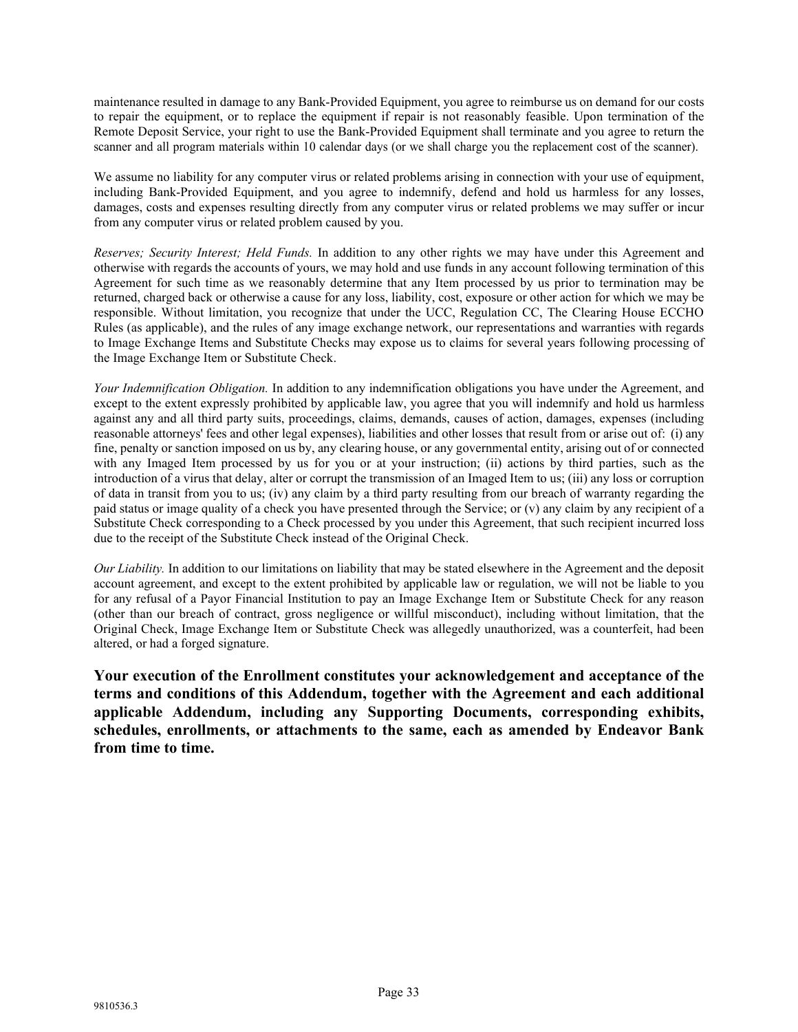maintenance resulted in damage to any Bank-Provided Equipment, you agree to reimburse us on demand for our costs to repair the equipment, or to replace the equipment if repair is not reasonably feasible. Upon termination of the Remote Deposit Service, your right to use the Bank-Provided Equipment shall terminate and you agree to return the scanner and all program materials within 10 calendar days (or we shall charge you the replacement cost of the scanner).

We assume no liability for any computer virus or related problems arising in connection with your use of equipment, including Bank-Provided Equipment, and you agree to indemnify, defend and hold us harmless for any losses, damages, costs and expenses resulting directly from any computer virus or related problems we may suffer or incur from any computer virus or related problem caused by you.

*Reserves; Security Interest; Held Funds.* In addition to any other rights we may have under this Agreement and otherwise with regards the accounts of yours, we may hold and use funds in any account following termination of this Agreement for such time as we reasonably determine that any Item processed by us prior to termination may be returned, charged back or otherwise a cause for any loss, liability, cost, exposure or other action for which we may be responsible. Without limitation, you recognize that under the UCC, Regulation CC, The Clearing House ECCHO Rules (as applicable), and the rules of any image exchange network, our representations and warranties with regards to Image Exchange Items and Substitute Checks may expose us to claims for several years following processing of the Image Exchange Item or Substitute Check.

*Your Indemnification Obligation.* In addition to any indemnification obligations you have under the Agreement, and except to the extent expressly prohibited by applicable law, you agree that you will indemnify and hold us harmless against any and all third party suits, proceedings, claims, demands, causes of action, damages, expenses (including reasonable attorneys' fees and other legal expenses), liabilities and other losses that result from or arise out of: (i) any fine, penalty or sanction imposed on us by, any clearing house, or any governmental entity, arising out of or connected with any Imaged Item processed by us for you or at your instruction; (ii) actions by third parties, such as the introduction of a virus that delay, alter or corrupt the transmission of an Imaged Item to us; (iii) any loss or corruption of data in transit from you to us; (iv) any claim by a third party resulting from our breach of warranty regarding the paid status or image quality of a check you have presented through the Service; or (v) any claim by any recipient of a Substitute Check corresponding to a Check processed by you under this Agreement, that such recipient incurred loss due to the receipt of the Substitute Check instead of the Original Check.

*Our Liability.* In addition to our limitations on liability that may be stated elsewhere in the Agreement and the deposit account agreement, and except to the extent prohibited by applicable law or regulation, we will not be liable to you for any refusal of a Payor Financial Institution to pay an Image Exchange Item or Substitute Check for any reason (other than our breach of contract, gross negligence or willful misconduct), including without limitation, that the Original Check, Image Exchange Item or Substitute Check was allegedly unauthorized, was a counterfeit, had been altered, or had a forged signature.

**Your execution of the Enrollment constitutes your acknowledgement and acceptance of the terms and conditions of this Addendum, together with the Agreement and each additional applicable Addendum, including any Supporting Documents, corresponding exhibits, schedules, enrollments, or attachments to the same, each as amended by Endeavor Bank from time to time.**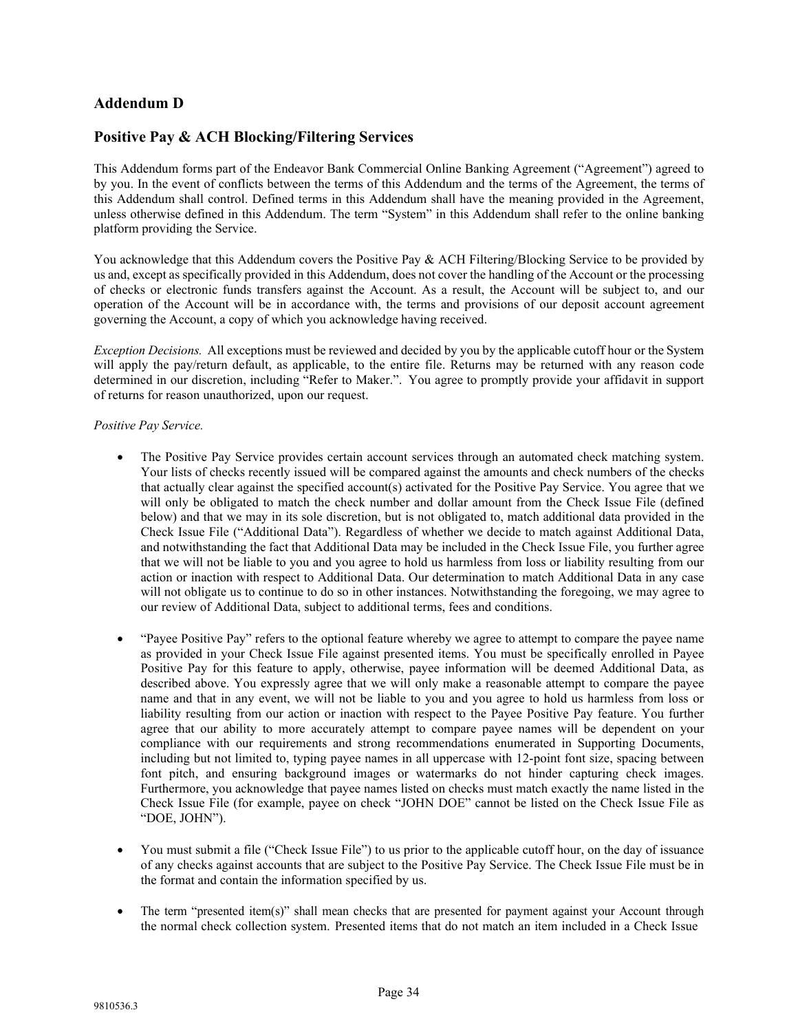# **Addendum D**

# **Positive Pay & ACH Blocking/Filtering Services**

This Addendum forms part of the Endeavor Bank Commercial Online Banking Agreement ("Agreement") agreed to by you. In the event of conflicts between the terms of this Addendum and the terms of the Agreement, the terms of this Addendum shall control. Defined terms in this Addendum shall have the meaning provided in the Agreement, unless otherwise defined in this Addendum. The term "System" in this Addendum shall refer to the online banking platform providing the Service.

You acknowledge that this Addendum covers the Positive Pay & ACH Filtering/Blocking Service to be provided by us and, except as specifically provided in this Addendum, does not cover the handling of the Account or the processing of checks or electronic funds transfers against the Account. As a result, the Account will be subject to, and our operation of the Account will be in accordance with, the terms and provisions of our deposit account agreement governing the Account, a copy of which you acknowledge having received.

*Exception Decisions.* All exceptions must be reviewed and decided by you by the applicable cutoff hour or the System will apply the pay/return default, as applicable, to the entire file. Returns may be returned with any reason code determined in our discretion, including "Refer to Maker.". You agree to promptly provide your affidavit in support of returns for reason unauthorized, upon our request.

# *Positive Pay Service.*

- The Positive Pay Service provides certain account services through an automated check matching system. Your lists of checks recently issued will be compared against the amounts and check numbers of the checks that actually clear against the specified account(s) activated for the Positive Pay Service. You agree that we will only be obligated to match the check number and dollar amount from the Check Issue File (defined below) and that we may in its sole discretion, but is not obligated to, match additional data provided in the Check Issue File ("Additional Data"). Regardless of whether we decide to match against Additional Data, and notwithstanding the fact that Additional Data may be included in the Check Issue File, you further agree that we will not be liable to you and you agree to hold us harmless from loss or liability resulting from our action or inaction with respect to Additional Data. Our determination to match Additional Data in any case will not obligate us to continue to do so in other instances. Notwithstanding the foregoing, we may agree to our review of Additional Data, subject to additional terms, fees and conditions.
- "Payee Positive Pay" refers to the optional feature whereby we agree to attempt to compare the payee name as provided in your Check Issue File against presented items. You must be specifically enrolled in Payee Positive Pay for this feature to apply, otherwise, payee information will be deemed Additional Data, as described above. You expressly agree that we will only make a reasonable attempt to compare the payee name and that in any event, we will not be liable to you and you agree to hold us harmless from loss or liability resulting from our action or inaction with respect to the Payee Positive Pay feature. You further agree that our ability to more accurately attempt to compare payee names will be dependent on your compliance with our requirements and strong recommendations enumerated in Supporting Documents, including but not limited to, typing payee names in all uppercase with 12-point font size, spacing between font pitch, and ensuring background images or watermarks do not hinder capturing check images. Furthermore, you acknowledge that payee names listed on checks must match exactly the name listed in the Check Issue File (for example, payee on check "JOHN DOE" cannot be listed on the Check Issue File as "DOE, JOHN").
- You must submit a file ("Check Issue File") to us prior to the applicable cutoff hour, on the day of issuance of any checks against accounts that are subject to the Positive Pay Service. The Check Issue File must be in the format and contain the information specified by us.
- The term "presented item(s)" shall mean checks that are presented for payment against your Account through the normal check collection system. Presented items that do not match an item included in a Check Issue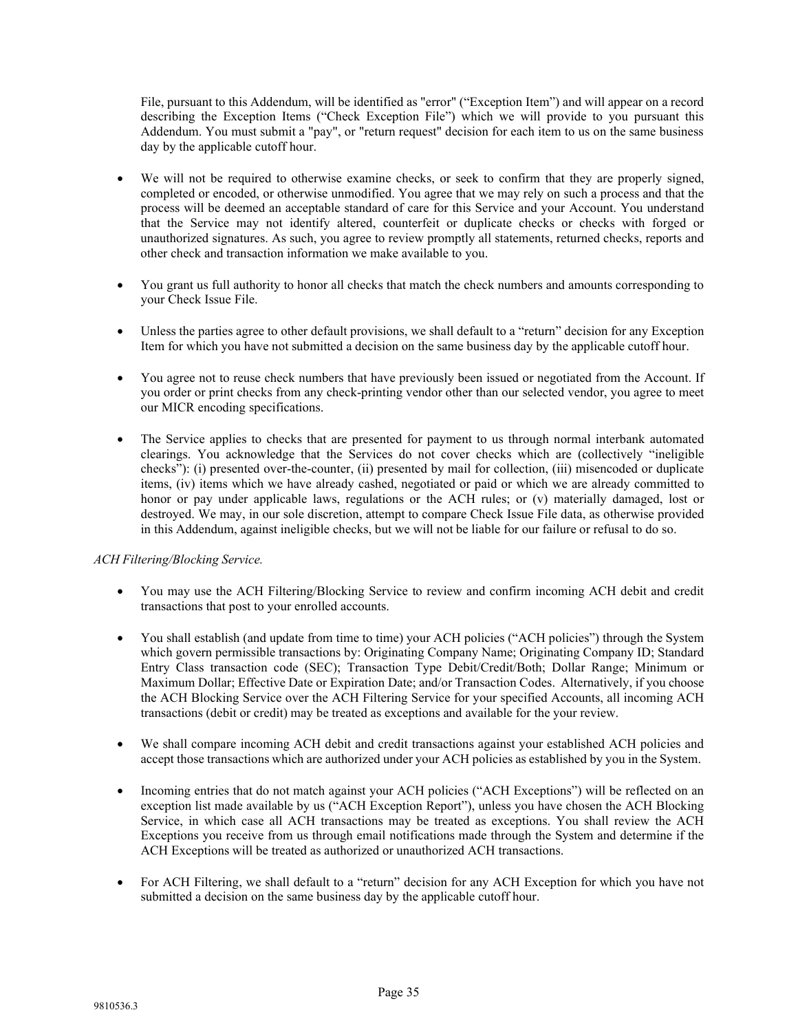File, pursuant to this Addendum, will be identified as "error" ("Exception Item") and will appear on a record describing the Exception Items ("Check Exception File") which we will provide to you pursuant this Addendum. You must submit a "pay", or "return request" decision for each item to us on the same business day by the applicable cutoff hour.

- We will not be required to otherwise examine checks, or seek to confirm that they are properly signed, completed or encoded, or otherwise unmodified. You agree that we may rely on such a process and that the process will be deemed an acceptable standard of care for this Service and your Account. You understand that the Service may not identify altered, counterfeit or duplicate checks or checks with forged or unauthorized signatures. As such, you agree to review promptly all statements, returned checks, reports and other check and transaction information we make available to you.
- You grant us full authority to honor all checks that match the check numbers and amounts corresponding to your Check Issue File.
- Unless the parties agree to other default provisions, we shall default to a "return" decision for any Exception Item for which you have not submitted a decision on the same business day by the applicable cutoff hour.
- You agree not to reuse check numbers that have previously been issued or negotiated from the Account. If you order or print checks from any check-printing vendor other than our selected vendor, you agree to meet our MICR encoding specifications.
- The Service applies to checks that are presented for payment to us through normal interbank automated clearings. You acknowledge that the Services do not cover checks which are (collectively "ineligible checks"): (i) presented over-the-counter, (ii) presented by mail for collection, (iii) misencoded or duplicate items, (iv) items which we have already cashed, negotiated or paid or which we are already committed to honor or pay under applicable laws, regulations or the ACH rules; or (v) materially damaged, lost or destroyed. We may, in our sole discretion, attempt to compare Check Issue File data, as otherwise provided in this Addendum, against ineligible checks, but we will not be liable for our failure or refusal to do so.

# *ACH Filtering/Blocking Service.*

- You may use the ACH Filtering/Blocking Service to review and confirm incoming ACH debit and credit transactions that post to your enrolled accounts.
- You shall establish (and update from time to time) your ACH policies ("ACH policies") through the System which govern permissible transactions by: Originating Company Name; Originating Company ID; Standard Entry Class transaction code (SEC); Transaction Type Debit/Credit/Both; Dollar Range; Minimum or Maximum Dollar; Effective Date or Expiration Date; and/or Transaction Codes. Alternatively, if you choose the ACH Blocking Service over the ACH Filtering Service for your specified Accounts, all incoming ACH transactions (debit or credit) may be treated as exceptions and available for the your review.
- We shall compare incoming ACH debit and credit transactions against your established ACH policies and accept those transactions which are authorized under your ACH policies as established by you in the System.
- Incoming entries that do not match against your ACH policies ("ACH Exceptions") will be reflected on an exception list made available by us ("ACH Exception Report"), unless you have chosen the ACH Blocking Service, in which case all ACH transactions may be treated as exceptions. You shall review the ACH Exceptions you receive from us through email notifications made through the System and determine if the ACH Exceptions will be treated as authorized or unauthorized ACH transactions.
- For ACH Filtering, we shall default to a "return" decision for any ACH Exception for which you have not submitted a decision on the same business day by the applicable cutoff hour.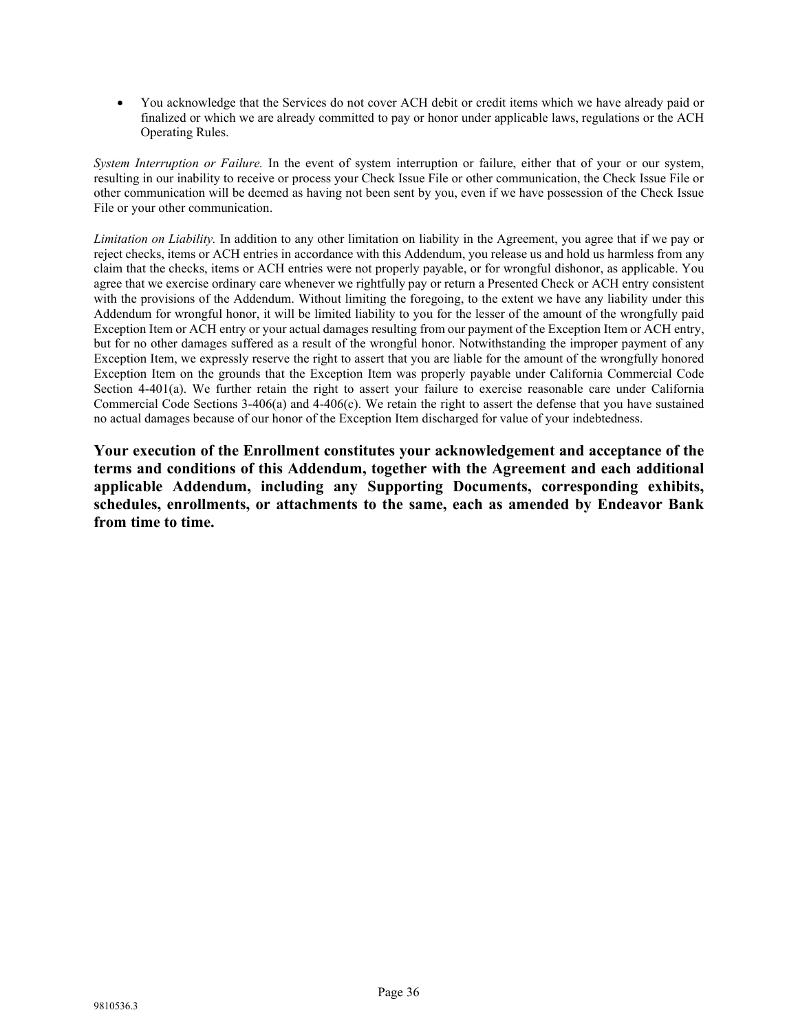• You acknowledge that the Services do not cover ACH debit or credit items which we have already paid or finalized or which we are already committed to pay or honor under applicable laws, regulations or the ACH Operating Rules.

*System Interruption or Failure.* In the event of system interruption or failure, either that of your or our system, resulting in our inability to receive or process your Check Issue File or other communication, the Check Issue File or other communication will be deemed as having not been sent by you, even if we have possession of the Check Issue File or your other communication.

*Limitation on Liability*. In addition to any other limitation on liability in the Agreement, you agree that if we pay or reject checks, items or ACH entries in accordance with this Addendum, you release us and hold us harmless from any claim that the checks, items or ACH entries were not properly payable, or for wrongful dishonor, as applicable. You agree that we exercise ordinary care whenever we rightfully pay or return a Presented Check or ACH entry consistent with the provisions of the Addendum. Without limiting the foregoing, to the extent we have any liability under this Addendum for wrongful honor, it will be limited liability to you for the lesser of the amount of the wrongfully paid Exception Item or ACH entry or your actual damages resulting from our payment of the Exception Item or ACH entry, but for no other damages suffered as a result of the wrongful honor. Notwithstanding the improper payment of any Exception Item, we expressly reserve the right to assert that you are liable for the amount of the wrongfully honored Exception Item on the grounds that the Exception Item was properly payable under California Commercial Code Section 4-401(a). We further retain the right to assert your failure to exercise reasonable care under California Commercial Code Sections  $3-406(a)$  and  $4-406(c)$ . We retain the right to assert the defense that you have sustained no actual damages because of our honor of the Exception Item discharged for value of your indebtedness.

**Your execution of the Enrollment constitutes your acknowledgement and acceptance of the terms and conditions of this Addendum, together with the Agreement and each additional applicable Addendum, including any Supporting Documents, corresponding exhibits, schedules, enrollments, or attachments to the same, each as amended by Endeavor Bank from time to time.**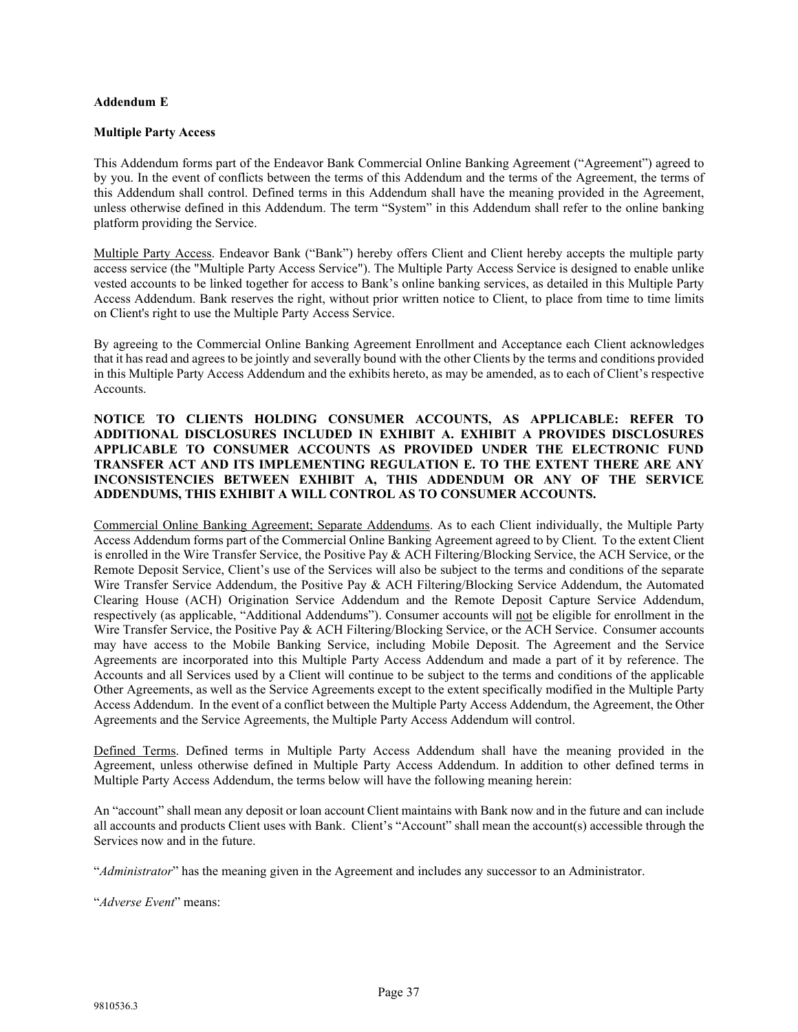## **Addendum E**

## **Multiple Party Access**

This Addendum forms part of the Endeavor Bank Commercial Online Banking Agreement ("Agreement") agreed to by you. In the event of conflicts between the terms of this Addendum and the terms of the Agreement, the terms of this Addendum shall control. Defined terms in this Addendum shall have the meaning provided in the Agreement, unless otherwise defined in this Addendum. The term "System" in this Addendum shall refer to the online banking platform providing the Service.

Multiple Party Access. Endeavor Bank ("Bank") hereby offers Client and Client hereby accepts the multiple party access service (the "Multiple Party Access Service"). The Multiple Party Access Service is designed to enable unlike vested accounts to be linked together for access to Bank's online banking services, as detailed in this Multiple Party Access Addendum. Bank reserves the right, without prior written notice to Client, to place from time to time limits on Client's right to use the Multiple Party Access Service.

By agreeing to the Commercial Online Banking Agreement Enrollment and Acceptance each Client acknowledges that it hasread and agrees to be jointly and severally bound with the other Clients by the terms and conditions provided in this Multiple Party Access Addendum and the exhibits hereto, as may be amended, as to each of Client's respective Accounts.

## **NOTICE TO CLIENTS HOLDING CONSUMER ACCOUNTS, AS APPLICABLE: REFER TO ADDITIONAL DISCLOSURES INCLUDED IN EXHIBIT A. EXHIBIT A PROVIDES DISCLOSURES APPLICABLE TO CONSUMER ACCOUNTS AS PROVIDED UNDER THE ELECTRONIC FUND TRANSFER ACT AND ITS IMPLEMENTING REGULATION E. TO THE EXTENT THERE ARE ANY INCONSISTENCIES BETWEEN EXHIBIT A, THIS ADDENDUM OR ANY OF THE SERVICE ADDENDUMS, THIS EXHIBIT A WILL CONTROL AS TO CONSUMER ACCOUNTS.**

Commercial Online Banking Agreement; Separate Addendums. As to each Client individually, the Multiple Party Access Addendum forms part of the Commercial Online Banking Agreement agreed to by Client. To the extent Client is enrolled in the Wire Transfer Service, the Positive Pay & ACH Filtering/Blocking Service, the ACH Service, or the Remote Deposit Service, Client's use of the Services will also be subject to the terms and conditions of the separate Wire Transfer Service Addendum, the Positive Pay & ACH Filtering/Blocking Service Addendum, the Automated Clearing House (ACH) Origination Service Addendum and the Remote Deposit Capture Service Addendum, respectively (as applicable, "Additional Addendums"). Consumer accounts will not be eligible for enrollment in the Wire Transfer Service, the Positive Pay & ACH Filtering/Blocking Service, or the ACH Service. Consumer accounts may have access to the Mobile Banking Service, including Mobile Deposit. The Agreement and the Service Agreements are incorporated into this Multiple Party Access Addendum and made a part of it by reference. The Accounts and all Services used by a Client will continue to be subject to the terms and conditions of the applicable Other Agreements, as well as the Service Agreements except to the extent specifically modified in the Multiple Party Access Addendum. In the event of a conflict between the Multiple Party Access Addendum, the Agreement, the Other Agreements and the Service Agreements, the Multiple Party Access Addendum will control.

Defined Terms. Defined terms in Multiple Party Access Addendum shall have the meaning provided in the Agreement, unless otherwise defined in Multiple Party Access Addendum. In addition to other defined terms in Multiple Party Access Addendum, the terms below will have the following meaning herein:

An "account" shall mean any deposit or loan account Client maintains with Bank now and in the future and can include all accounts and products Client uses with Bank. Client's "Account" shall mean the account(s) accessible through the Services now and in the future.

"*Administrator*" has the meaning given in the Agreement and includes any successor to an Administrator.

"*Adverse Event*" means: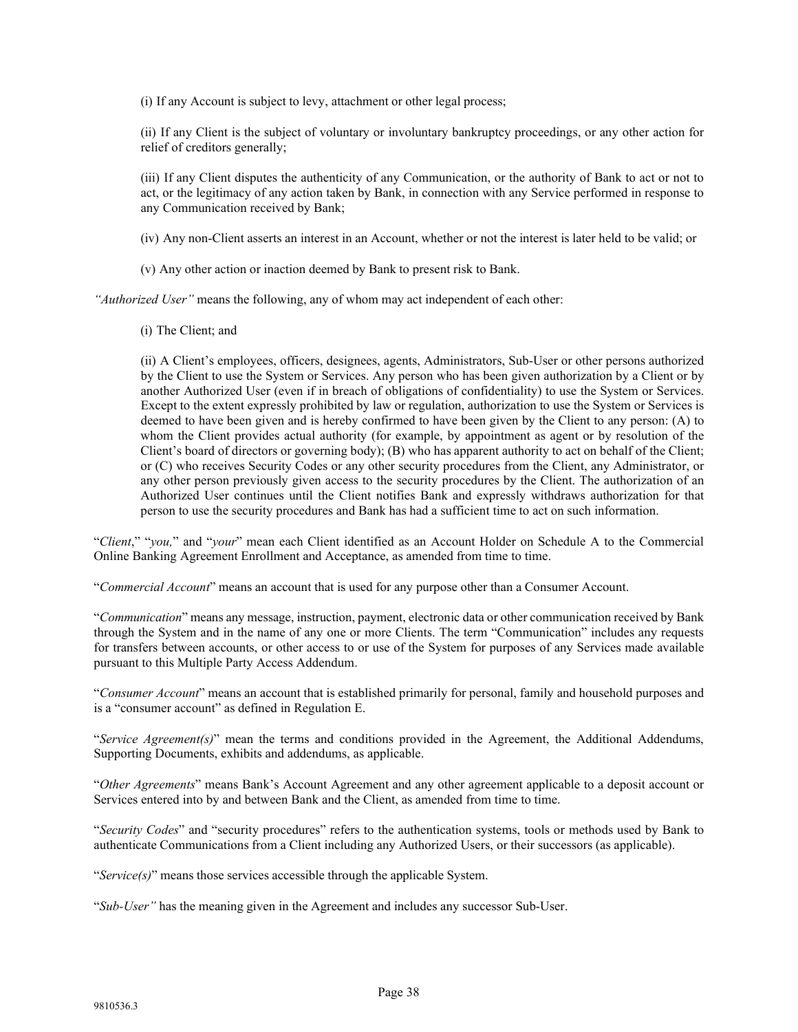(i) If any Account is subject to levy, attachment or other legal process;

(ii) If any Client is the subject of voluntary or involuntary bankruptcy proceedings, or any other action for relief of creditors generally;

(iii) If any Client disputes the authenticity of any Communication, or the authority of Bank to act or not to act, or the legitimacy of any action taken by Bank, in connection with any Service performed in response to any Communication received by Bank;

(iv) Any non-Client asserts an interest in an Account, whether or not the interest is later held to be valid; or

(v) Any other action or inaction deemed by Bank to present risk to Bank.

*"Authorized User"* means the following, any of whom may act independent of each other:

(i) The Client; and

(ii) A Client's employees, officers, designees, agents, Administrators, Sub-User or other persons authorized by the Client to use the System or Services. Any person who has been given authorization by a Client or by another Authorized User (even if in breach of obligations of confidentiality) to use the System or Services. Except to the extent expressly prohibited by law or regulation, authorization to use the System or Services is deemed to have been given and is hereby confirmed to have been given by the Client to any person: (A) to whom the Client provides actual authority (for example, by appointment as agent or by resolution of the Client's board of directors or governing body); (B) who has apparent authority to act on behalf of the Client; or (C) who receives Security Codes or any other security procedures from the Client, any Administrator, or any other person previously given access to the security procedures by the Client. The authorization of an Authorized User continues until the Client notifies Bank and expressly withdraws authorization for that person to use the security procedures and Bank has had a sufficient time to act on such information.

"*Client*," "*you,*" and "*your*" mean each Client identified as an Account Holder on Schedule A to the Commercial Online Banking Agreement Enrollment and Acceptance, as amended from time to time.

"*Commercial Account*" means an account that is used for any purpose other than a Consumer Account.

"*Communication*" means any message, instruction, payment, electronic data or other communication received by Bank through the System and in the name of any one or more Clients. The term "Communication" includes any requests for transfers between accounts, or other access to or use of the System for purposes of any Services made available pursuant to this Multiple Party Access Addendum.

"*Consumer Account*" means an account that is established primarily for personal, family and household purposes and is a "consumer account" as defined in Regulation E.

"*Service Agreement(s)*" mean the terms and conditions provided in the Agreement, the Additional Addendums, Supporting Documents, exhibits and addendums, as applicable.

"*Other Agreements*" means Bank's Account Agreement and any other agreement applicable to a deposit account or Services entered into by and between Bank and the Client, as amended from time to time.

"*Security Codes*" and "security procedures" refers to the authentication systems, tools or methods used by Bank to authenticate Communications from a Client including any Authorized Users, or their successors (as applicable).

"*Service(s)*" means those services accessible through the applicable System.

"*Sub-User"* has the meaning given in the Agreement and includes any successor Sub-User.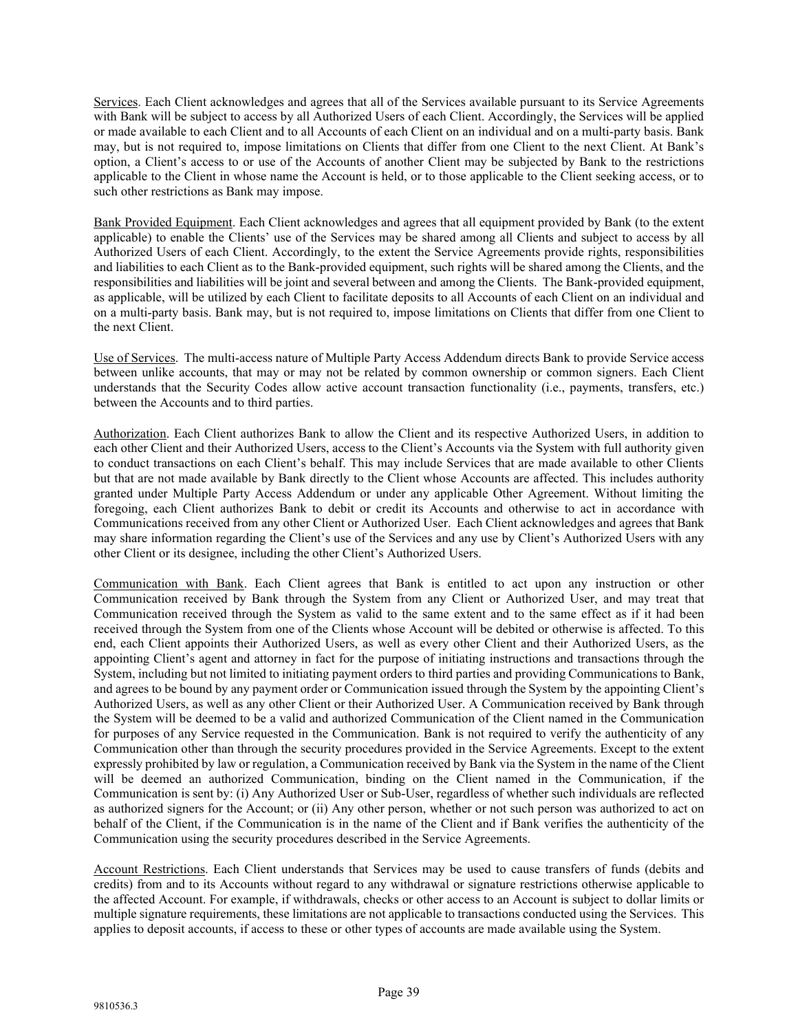Services. Each Client acknowledges and agrees that all of the Services available pursuant to its Service Agreements with Bank will be subject to access by all Authorized Users of each Client. Accordingly, the Services will be applied or made available to each Client and to all Accounts of each Client on an individual and on a multi-party basis. Bank may, but is not required to, impose limitations on Clients that differ from one Client to the next Client. At Bank's option, a Client's access to or use of the Accounts of another Client may be subjected by Bank to the restrictions applicable to the Client in whose name the Account is held, or to those applicable to the Client seeking access, or to such other restrictions as Bank may impose.

Bank Provided Equipment. Each Client acknowledges and agrees that all equipment provided by Bank (to the extent applicable) to enable the Clients' use of the Services may be shared among all Clients and subject to access by all Authorized Users of each Client. Accordingly, to the extent the Service Agreements provide rights, responsibilities and liabilities to each Client as to the Bank-provided equipment, such rights will be shared among the Clients, and the responsibilities and liabilities will be joint and several between and among the Clients. The Bank-provided equipment, as applicable, will be utilized by each Client to facilitate deposits to all Accounts of each Client on an individual and on a multi-party basis. Bank may, but is not required to, impose limitations on Clients that differ from one Client to the next Client.

Use of Services. The multi-access nature of Multiple Party Access Addendum directs Bank to provide Service access between unlike accounts, that may or may not be related by common ownership or common signers. Each Client understands that the Security Codes allow active account transaction functionality (i.e., payments, transfers, etc.) between the Accounts and to third parties.

Authorization. Each Client authorizes Bank to allow the Client and its respective Authorized Users, in addition to each other Client and their Authorized Users, access to the Client's Accounts via the System with full authority given to conduct transactions on each Client's behalf. This may include Services that are made available to other Clients but that are not made available by Bank directly to the Client whose Accounts are affected. This includes authority granted under Multiple Party Access Addendum or under any applicable Other Agreement. Without limiting the foregoing, each Client authorizes Bank to debit or credit its Accounts and otherwise to act in accordance with Communications received from any other Client or Authorized User. Each Client acknowledges and agrees that Bank may share information regarding the Client's use of the Services and any use by Client's Authorized Users with any other Client or its designee, including the other Client's Authorized Users.

Communication with Bank. Each Client agrees that Bank is entitled to act upon any instruction or other Communication received by Bank through the System from any Client or Authorized User, and may treat that Communication received through the System as valid to the same extent and to the same effect as if it had been received through the System from one of the Clients whose Account will be debited or otherwise is affected. To this end, each Client appoints their Authorized Users, as well as every other Client and their Authorized Users, as the appointing Client's agent and attorney in fact for the purpose of initiating instructions and transactions through the System, including but not limited to initiating payment orders to third parties and providing Communications to Bank, and agrees to be bound by any payment order or Communication issued through the System by the appointing Client's Authorized Users, as well as any other Client or their Authorized User. A Communication received by Bank through the System will be deemed to be a valid and authorized Communication of the Client named in the Communication for purposes of any Service requested in the Communication. Bank is not required to verify the authenticity of any Communication other than through the security procedures provided in the Service Agreements. Except to the extent expressly prohibited by law or regulation, a Communication received by Bank via the System in the name of the Client will be deemed an authorized Communication, binding on the Client named in the Communication, if the Communication is sent by: (i) Any Authorized User or Sub-User, regardless of whether such individuals are reflected as authorized signers for the Account; or (ii) Any other person, whether or not such person was authorized to act on behalf of the Client, if the Communication is in the name of the Client and if Bank verifies the authenticity of the Communication using the security procedures described in the Service Agreements.

Account Restrictions. Each Client understands that Services may be used to cause transfers of funds (debits and credits) from and to its Accounts without regard to any withdrawal or signature restrictions otherwise applicable to the affected Account. For example, if withdrawals, checks or other access to an Account is subject to dollar limits or multiple signature requirements, these limitations are not applicable to transactions conducted using the Services. This applies to deposit accounts, if access to these or other types of accounts are made available using the System.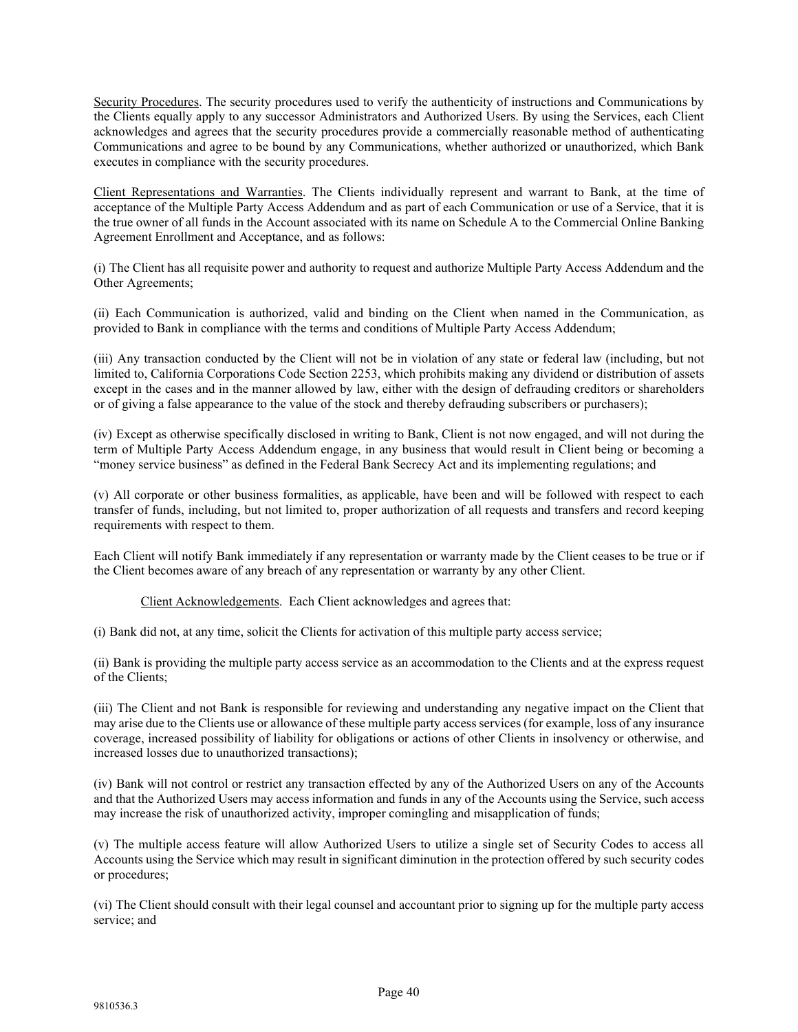Security Procedures. The security procedures used to verify the authenticity of instructions and Communications by the Clients equally apply to any successor Administrators and Authorized Users. By using the Services, each Client acknowledges and agrees that the security procedures provide a commercially reasonable method of authenticating Communications and agree to be bound by any Communications, whether authorized or unauthorized, which Bank executes in compliance with the security procedures.

Client Representations and Warranties. The Clients individually represent and warrant to Bank, at the time of acceptance of the Multiple Party Access Addendum and as part of each Communication or use of a Service, that it is the true owner of all funds in the Account associated with its name on Schedule A to the Commercial Online Banking Agreement Enrollment and Acceptance, and as follows:

(i) The Client has all requisite power and authority to request and authorize Multiple Party Access Addendum and the Other Agreements;

(ii) Each Communication is authorized, valid and binding on the Client when named in the Communication, as provided to Bank in compliance with the terms and conditions of Multiple Party Access Addendum;

(iii) Any transaction conducted by the Client will not be in violation of any state or federal law (including, but not limited to, California Corporations Code Section 2253, which prohibits making any dividend or distribution of assets except in the cases and in the manner allowed by law, either with the design of defrauding creditors or shareholders or of giving a false appearance to the value of the stock and thereby defrauding subscribers or purchasers);

(iv) Except as otherwise specifically disclosed in writing to Bank, Client is not now engaged, and will not during the term of Multiple Party Access Addendum engage, in any business that would result in Client being or becoming a "money service business" as defined in the Federal Bank Secrecy Act and its implementing regulations; and

(v) All corporate or other business formalities, as applicable, have been and will be followed with respect to each transfer of funds, including, but not limited to, proper authorization of all requests and transfers and record keeping requirements with respect to them.

Each Client will notify Bank immediately if any representation or warranty made by the Client ceases to be true or if the Client becomes aware of any breach of any representation or warranty by any other Client.

Client Acknowledgements. Each Client acknowledges and agrees that:

(i) Bank did not, at any time, solicit the Clients for activation of this multiple party access service;

(ii) Bank is providing the multiple party access service as an accommodation to the Clients and at the express request of the Clients;

(iii) The Client and not Bank is responsible for reviewing and understanding any negative impact on the Client that may arise due to the Clients use or allowance of these multiple party access services (for example, loss of any insurance coverage, increased possibility of liability for obligations or actions of other Clients in insolvency or otherwise, and increased losses due to unauthorized transactions);

(iv) Bank will not control or restrict any transaction effected by any of the Authorized Users on any of the Accounts and that the Authorized Users may access information and funds in any of the Accounts using the Service, such access may increase the risk of unauthorized activity, improper comingling and misapplication of funds;

(v) The multiple access feature will allow Authorized Users to utilize a single set of Security Codes to access all Accounts using the Service which may result in significant diminution in the protection offered by such security codes or procedures;

(vi) The Client should consult with their legal counsel and accountant prior to signing up for the multiple party access service; and